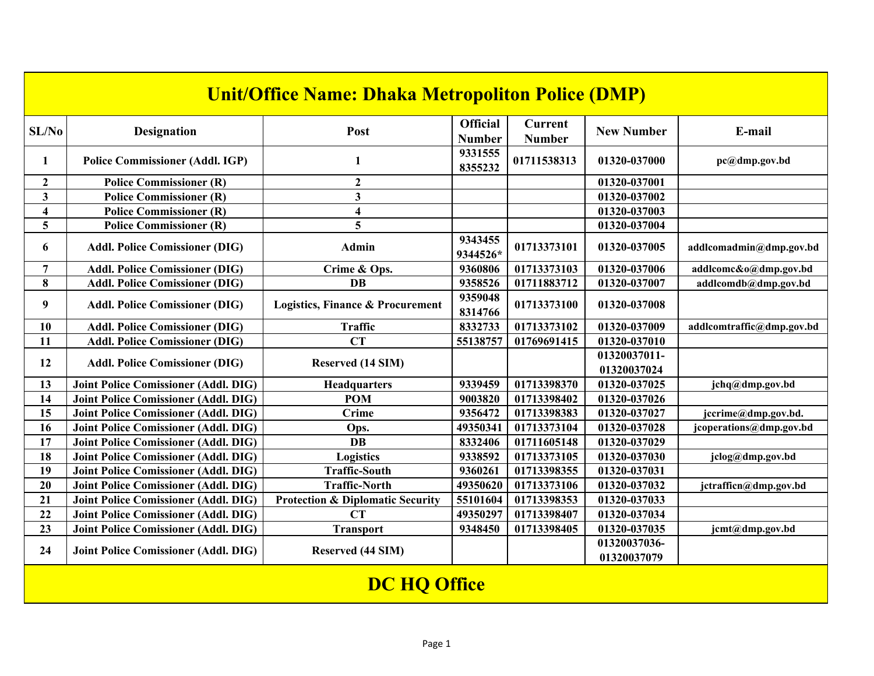|                         | <b>Unit/Office Name: Dhaka Metropoliton Police (DMP)</b> |                                             |                                  |                                 |                             |                           |  |  |  |
|-------------------------|----------------------------------------------------------|---------------------------------------------|----------------------------------|---------------------------------|-----------------------------|---------------------------|--|--|--|
| SL/No                   | <b>Designation</b>                                       | Post                                        | <b>Official</b><br><b>Number</b> | <b>Current</b><br><b>Number</b> | <b>New Number</b>           | E-mail                    |  |  |  |
| 1                       | <b>Police Commissioner (Addl. IGP)</b>                   | 1                                           | 9331555<br>8355232               | 01711538313                     | 01320-037000                | pc@dmp.gov.bd             |  |  |  |
| $\mathbf{2}$            | <b>Police Commissioner (R)</b>                           | $\mathbf{2}$                                |                                  |                                 | 01320-037001                |                           |  |  |  |
| $\overline{\mathbf{3}}$ | <b>Police Commissioner (R)</b>                           | $\overline{\mathbf{3}}$                     |                                  |                                 | 01320-037002                |                           |  |  |  |
| $\overline{\mathbf{4}}$ | <b>Police Commissioner (R)</b>                           | $\overline{\mathbf{4}}$                     |                                  |                                 | 01320-037003                |                           |  |  |  |
| 5                       | <b>Police Commissioner (R)</b>                           | 5                                           |                                  |                                 | 01320-037004                |                           |  |  |  |
| 6                       | <b>Addl. Police Comissioner (DIG)</b>                    | <b>Admin</b>                                | 9343455<br>9344526*              | 01713373101                     | 01320-037005                | addlcomadmin@dmp.gov.bd   |  |  |  |
| $\overline{7}$          | <b>Addl. Police Comissioner (DIG)</b>                    | Crime & Ops.                                | 9360806                          | 01713373103                     | 01320-037006                | addlcomc&o@dmp.gov.bd     |  |  |  |
| 8                       | <b>Addl. Police Comissioner (DIG)</b>                    | <b>DB</b>                                   | 9358526                          | 01711883712                     | 01320-037007                | addlcomdb@dmp.gov.bd      |  |  |  |
| 9                       | <b>Addl. Police Comissioner (DIG)</b>                    | <b>Logistics, Finance &amp; Procurement</b> | 9359048<br>8314766               | 01713373100                     | 01320-037008                |                           |  |  |  |
| 10                      | <b>Addl. Police Comissioner (DIG)</b>                    | <b>Traffic</b>                              | 8332733                          | 01713373102                     | 01320-037009                | addlcomtraffic@dmp.gov.bd |  |  |  |
| 11                      | <b>Addl. Police Comissioner (DIG)</b>                    | <b>CT</b>                                   | 55138757                         | 01769691415                     | 01320-037010                |                           |  |  |  |
| 12                      |                                                          |                                             |                                  |                                 | 01320037011-                |                           |  |  |  |
|                         | <b>Addl. Police Comissioner (DIG)</b>                    | Reserved (14 SIM)                           |                                  |                                 | 01320037024                 |                           |  |  |  |
| 13                      | <b>Joint Police Comissioner (Addl. DIG)</b>              | Headquarters                                | 9339459                          | 01713398370                     | 01320-037025                | jchq@dmp.gov.bd           |  |  |  |
| 14                      | <b>Joint Police Comissioner (Addl. DIG)</b>              | <b>POM</b>                                  | 9003820                          | 01713398402                     | 01320-037026                |                           |  |  |  |
| 15                      | <b>Joint Police Comissioner (Addl. DIG)</b>              | <b>Crime</b>                                | 9356472                          | 01713398383                     | 01320-037027                | jccrime@dmp.gov.bd.       |  |  |  |
| 16                      | <b>Joint Police Comissioner (Addl. DIG)</b>              | Ops.                                        | 49350341                         | 01713373104                     | 01320-037028                | jcoperations@dmp.gov.bd   |  |  |  |
| 17                      | <b>Joint Police Comissioner (Addl. DIG)</b>              | <b>DB</b>                                   | 8332406                          | 01711605148                     | 01320-037029                |                           |  |  |  |
| 18                      | <b>Joint Police Comissioner (Addl. DIG)</b>              | <b>Logistics</b>                            | 9338592                          | 01713373105                     | 01320-037030                | jclog@dmp.gov.bd          |  |  |  |
| 19                      | <b>Joint Police Comissioner (Addl. DIG)</b>              | <b>Traffic-South</b>                        | 9360261                          | 01713398355                     | 01320-037031                |                           |  |  |  |
| 20                      | <b>Joint Police Comissioner (Addl. DIG)</b>              | <b>Traffic-North</b>                        | 49350620                         | 01713373106                     | 01320-037032                | jctrafficn@dmp.gov.bd     |  |  |  |
| 21                      | <b>Joint Police Comissioner (Addl. DIG)</b>              | <b>Protection &amp; Diplomatic Security</b> | 55101604                         | 01713398353                     | 01320-037033                |                           |  |  |  |
| 22                      | <b>Joint Police Comissioner (Addl. DIG)</b>              | CT                                          | 49350297                         | 01713398407                     | 01320-037034                |                           |  |  |  |
| 23                      | <b>Joint Police Comissioner (Addl. DIG)</b>              | <b>Transport</b>                            | 9348450                          | 01713398405                     | 01320-037035                | jcmt@dmp.gov.bd           |  |  |  |
| 24                      | <b>Joint Police Comissioner (Addl. DIG)</b>              | Reserved (44 SIM)                           |                                  |                                 | 01320037036-<br>01320037079 |                           |  |  |  |
|                         |                                                          | <b>DC HQ Office</b>                         |                                  |                                 |                             |                           |  |  |  |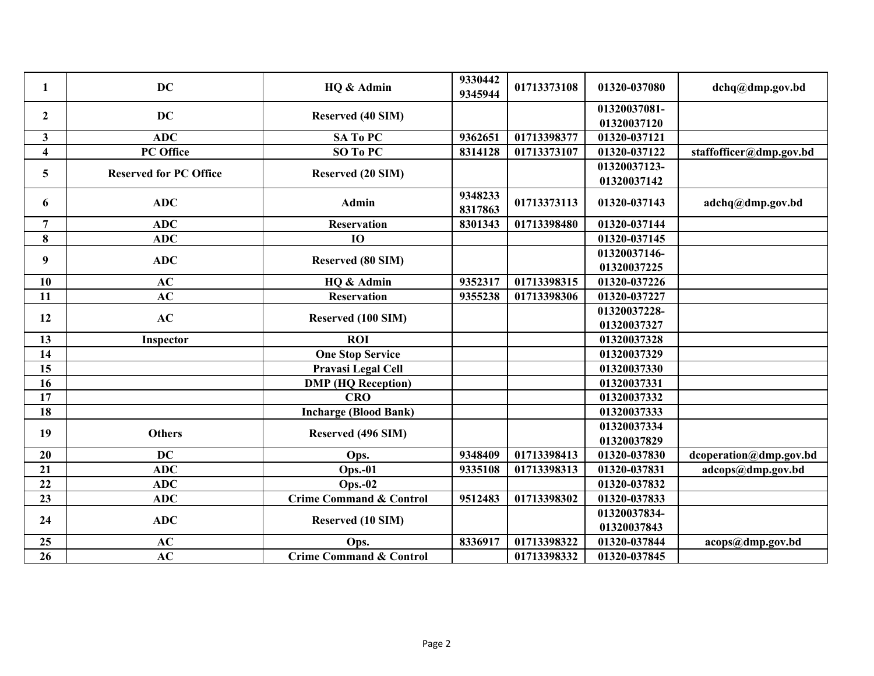| 1                       | <b>DC</b>                     | HQ & Admin                         | 9330442<br>9345944 | 01713373108 | 01320-037080 | dchq@dmp.gov.bd         |
|-------------------------|-------------------------------|------------------------------------|--------------------|-------------|--------------|-------------------------|
| $\mathbf{2}$            | <b>DC</b>                     | <b>Reserved (40 SIM)</b>           |                    |             | 01320037081- |                         |
|                         |                               |                                    |                    |             | 01320037120  |                         |
| 3                       | <b>ADC</b>                    | SA To PC                           | 9362651            | 01713398377 | 01320-037121 |                         |
| $\overline{\mathbf{4}}$ | PC Office                     | SO To PC                           | 8314128            | 01713373107 | 01320-037122 | staffofficer@dmp.gov.bd |
| 5                       | <b>Reserved for PC Office</b> | Reserved (20 SIM)                  |                    |             | 01320037123- |                         |
|                         |                               |                                    |                    |             | 01320037142  |                         |
| 6                       | <b>ADC</b>                    | <b>Admin</b>                       | 9348233<br>8317863 | 01713373113 | 01320-037143 | adchq@dmp.gov.bd        |
| $\overline{7}$          | <b>ADC</b>                    | <b>Reservation</b>                 | 8301343            | 01713398480 | 01320-037144 |                         |
| 8                       | <b>ADC</b>                    | <b>IO</b>                          |                    |             | 01320-037145 |                         |
| 9                       | <b>ADC</b>                    | <b>Reserved (80 SIM)</b>           |                    |             | 01320037146- |                         |
|                         |                               |                                    |                    |             | 01320037225  |                         |
| 10                      | AC                            | HQ & Admin                         | 9352317            | 01713398315 | 01320-037226 |                         |
| 11                      | AC                            | <b>Reservation</b>                 | 9355238            | 01713398306 | 01320-037227 |                         |
| 12                      | AC                            | Reserved (100 SIM)                 |                    |             | 01320037228- |                         |
|                         |                               |                                    |                    |             | 01320037327  |                         |
| 13                      | <b>Inspector</b>              | <b>ROI</b>                         |                    |             | 01320037328  |                         |
| 14                      |                               | <b>One Stop Service</b>            |                    |             | 01320037329  |                         |
| 15                      |                               | Pravasi Legal Cell                 |                    |             | 01320037330  |                         |
| 16                      |                               | <b>DMP</b> (HQ Reception)          |                    |             | 01320037331  |                         |
| 17                      |                               | <b>CRO</b>                         |                    |             | 01320037332  |                         |
| 18                      |                               | <b>Incharge (Blood Bank)</b>       |                    |             | 01320037333  |                         |
| 19                      | <b>Others</b>                 | Reserved (496 SIM)                 |                    |             | 01320037334  |                         |
|                         |                               |                                    |                    |             | 01320037829  |                         |
| 20                      | <b>DC</b>                     | Ops.                               | 9348409            | 01713398413 | 01320-037830 | dcoperation@dmp.gov.bd  |
| 21                      | <b>ADC</b>                    | <b>Ops.-01</b>                     | 9335108            | 01713398313 | 01320-037831 | adcops@dmp.gov.bd       |
| 22                      | <b>ADC</b>                    | $Ops.-02$                          |                    |             | 01320-037832 |                         |
| 23                      | <b>ADC</b>                    | <b>Crime Command &amp; Control</b> | 9512483            | 01713398302 | 01320-037833 |                         |
| 24                      | <b>ADC</b>                    | Reserved (10 SIM)                  |                    |             | 01320037834- |                         |
|                         |                               |                                    |                    |             | 01320037843  |                         |
| 25                      | AC                            | Ops.                               | 8336917            | 01713398322 | 01320-037844 | acops@dmp.gov.bd        |
| 26                      | AC                            | <b>Crime Command &amp; Control</b> |                    | 01713398332 | 01320-037845 |                         |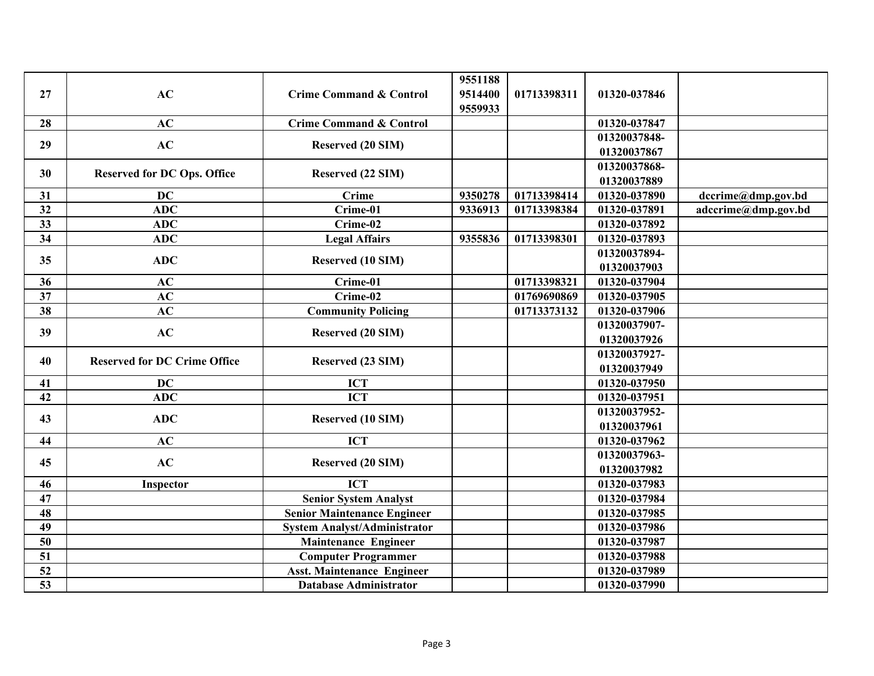| 27              | AC                                  | <b>Crime Command &amp; Control</b>  | 9551188<br>9514400<br>9559933 | 01713398311 | 01320-037846                |                     |
|-----------------|-------------------------------------|-------------------------------------|-------------------------------|-------------|-----------------------------|---------------------|
| 28              | AC                                  | <b>Crime Command &amp; Control</b>  |                               |             | 01320-037847                |                     |
| 29              | AC                                  | <b>Reserved (20 SIM)</b>            |                               |             | 01320037848-<br>01320037867 |                     |
| 30              | <b>Reserved for DC Ops. Office</b>  | Reserved (22 SIM)                   |                               |             | 01320037868-<br>01320037889 |                     |
| 31              | <b>DC</b>                           | <b>Crime</b>                        | 9350278                       | 01713398414 | 01320-037890                | dccrime@dmp.gov.bd  |
| 32              | <b>ADC</b>                          | Crime-01                            | 9336913                       | 01713398384 | 01320-037891                | adccrime@dmp.gov.bd |
| 33              | <b>ADC</b>                          | Crime-02                            |                               |             | 01320-037892                |                     |
| 34              | <b>ADC</b>                          | <b>Legal Affairs</b>                | 9355836                       | 01713398301 | 01320-037893                |                     |
| 35              | <b>ADC</b>                          | Reserved (10 SIM)                   |                               |             | 01320037894-<br>01320037903 |                     |
| 36              | AC                                  | Crime-01                            |                               | 01713398321 | 01320-037904                |                     |
| 37              | AC                                  | Crime-02                            |                               | 01769690869 | 01320-037905                |                     |
| 38              | AC                                  | <b>Community Policing</b>           |                               | 01713373132 | 01320-037906                |                     |
| 39              | AC                                  | Reserved (20 SIM)                   |                               |             | 01320037907-<br>01320037926 |                     |
| 40              | <b>Reserved for DC Crime Office</b> | Reserved (23 SIM)                   |                               |             | 01320037927-<br>01320037949 |                     |
| 41              | <b>DC</b>                           | <b>ICT</b>                          |                               |             | 01320-037950                |                     |
| 42              | <b>ADC</b>                          | <b>ICT</b>                          |                               |             | 01320-037951                |                     |
| 43              | <b>ADC</b>                          | Reserved (10 SIM)                   |                               |             | 01320037952-<br>01320037961 |                     |
| 44              | AC                                  | <b>ICT</b>                          |                               |             | 01320-037962                |                     |
| 45              | AC                                  | Reserved (20 SIM)                   |                               |             | 01320037963-<br>01320037982 |                     |
| 46              | Inspector                           | <b>ICT</b>                          |                               |             | 01320-037983                |                     |
| 47              |                                     | <b>Senior System Analyst</b>        |                               |             | 01320-037984                |                     |
| 48              |                                     | <b>Senior Maintenance Engineer</b>  |                               |             | 01320-037985                |                     |
| 49              |                                     | <b>System Analyst/Administrator</b> |                               |             | 01320-037986                |                     |
| 50              |                                     | <b>Maintenance Engineer</b>         |                               |             | 01320-037987                |                     |
| 51              |                                     | <b>Computer Programmer</b>          |                               |             | 01320-037988                |                     |
| 52              |                                     | <b>Asst. Maintenance Engineer</b>   |                               |             | 01320-037989                |                     |
| $\overline{53}$ |                                     | <b>Database Administrator</b>       |                               |             | 01320-037990                |                     |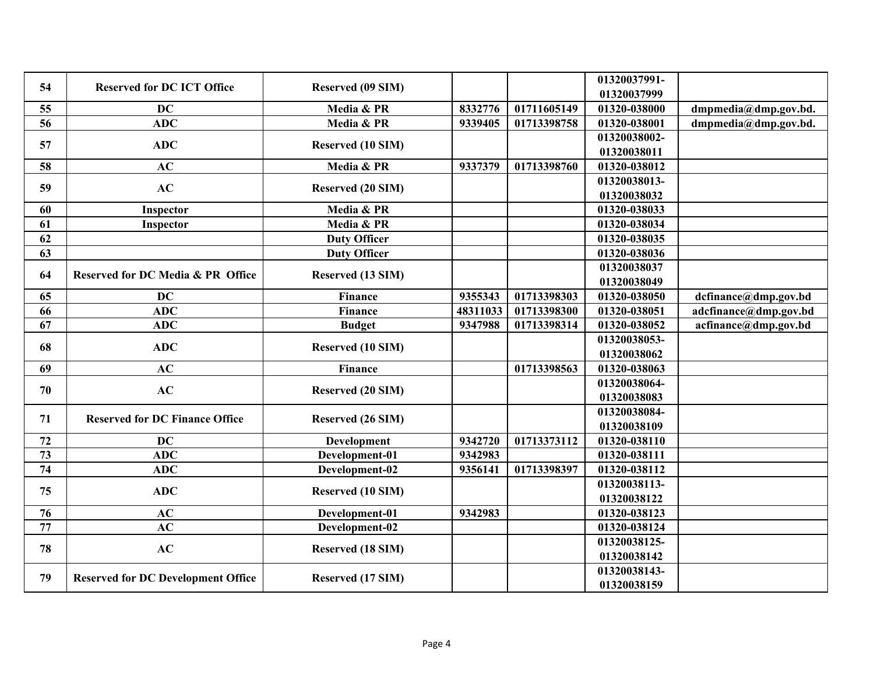| 54 | <b>Reserved for DC ICT Office</b>            | Reserved (09 SIM)        |          |             | 01320037991- |                       |
|----|----------------------------------------------|--------------------------|----------|-------------|--------------|-----------------------|
|    |                                              |                          |          |             | 01320037999  |                       |
| 55 | <b>DC</b>                                    | Media & PR               | 8332776  | 01711605149 | 01320-038000 | dmpmedia@dmp.gov.bd.  |
| 56 | <b>ADC</b>                                   | Media & PR               | 9339405  | 01713398758 | 01320-038001 | dmpmedia@dmp.gov.bd.  |
| 57 | <b>ADC</b>                                   | Reserved (10 SIM)        |          |             | 01320038002- |                       |
|    |                                              |                          |          |             | 01320038011  |                       |
| 58 | AC                                           | Media & PR               | 9337379  | 01713398760 | 01320-038012 |                       |
| 59 | AC                                           | <b>Reserved (20 SIM)</b> |          |             | 01320038013- |                       |
|    |                                              |                          |          |             | 01320038032  |                       |
| 60 | Inspector                                    | Media & PR               |          |             | 01320-038033 |                       |
| 61 | Inspector                                    | Media & PR               |          |             | 01320-038034 |                       |
| 62 |                                              | <b>Duty Officer</b>      |          |             | 01320-038035 |                       |
| 63 |                                              | <b>Duty Officer</b>      |          |             | 01320-038036 |                       |
|    | <b>Reserved for DC Media &amp; PR Office</b> |                          |          |             | 01320038037  |                       |
| 64 |                                              | Reserved (13 SIM)        |          |             | 01320038049  |                       |
| 65 | <b>DC</b>                                    | <b>Finance</b>           | 9355343  | 01713398303 | 01320-038050 | dcfinance@dmp.gov.bd  |
| 66 | <b>ADC</b>                                   | <b>Finance</b>           | 48311033 | 01713398300 | 01320-038051 | adcfinance@dmp.gov.bd |
| 67 | <b>ADC</b>                                   | <b>Budget</b>            | 9347988  | 01713398314 | 01320-038052 | acfinance@dmp.gov.bd  |
|    |                                              |                          |          |             | 01320038053- |                       |
| 68 | <b>ADC</b>                                   | Reserved (10 SIM)        |          |             | 01320038062  |                       |
| 69 | AC                                           | <b>Finance</b>           |          | 01713398563 | 01320-038063 |                       |
|    |                                              |                          |          |             | 01320038064- |                       |
| 70 | AC                                           | <b>Reserved (20 SIM)</b> |          |             | 01320038083  |                       |
|    |                                              |                          |          |             | 01320038084- |                       |
| 71 | <b>Reserved for DC Finance Office</b>        | Reserved (26 SIM)        |          |             | 01320038109  |                       |
| 72 | <b>DC</b>                                    | Development              | 9342720  | 01713373112 | 01320-038110 |                       |
| 73 | <b>ADC</b>                                   | Development-01           | 9342983  |             | 01320-038111 |                       |
| 74 | <b>ADC</b>                                   | Development-02           | 9356141  | 01713398397 | 01320-038112 |                       |
|    |                                              |                          |          |             | 01320038113- |                       |
| 75 | <b>ADC</b>                                   | Reserved (10 SIM)        |          |             | 01320038122  |                       |
| 76 | AC                                           | Development-01           | 9342983  |             | 01320-038123 |                       |
| 77 | AC                                           | Development-02           |          |             | 01320-038124 |                       |
|    |                                              |                          |          |             | 01320038125- |                       |
| 78 | AC                                           | Reserved (18 SIM)        |          |             | 01320038142  |                       |
|    |                                              |                          |          |             | 01320038143- |                       |
| 79 | <b>Reserved for DC Development Office</b>    | Reserved (17 SIM)        |          |             | 01320038159  |                       |
|    |                                              |                          |          |             |              |                       |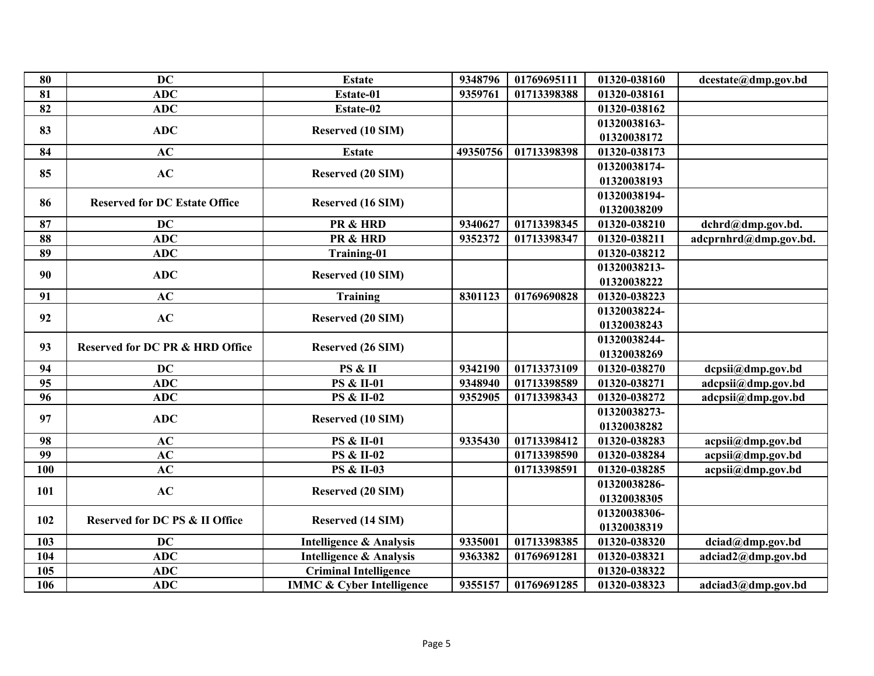| 80  | <b>DC</b>                                  | <b>Estate</b>                        | 9348796  | 01769695111 | 01320-038160 | dcestate@dmp.gov.bd   |
|-----|--------------------------------------------|--------------------------------------|----------|-------------|--------------|-----------------------|
| 81  | <b>ADC</b>                                 | Estate-01                            | 9359761  | 01713398388 | 01320-038161 |                       |
| 82  | <b>ADC</b>                                 | Estate-02                            |          |             | 01320-038162 |                       |
| 83  | <b>ADC</b>                                 | Reserved (10 SIM)                    |          |             | 01320038163- |                       |
|     |                                            |                                      |          |             | 01320038172  |                       |
| 84  | AC                                         | <b>Estate</b>                        | 49350756 | 01713398398 | 01320-038173 |                       |
| 85  | AC                                         | Reserved (20 SIM)                    |          |             | 01320038174- |                       |
|     |                                            |                                      |          |             | 01320038193  |                       |
| 86  | <b>Reserved for DC Estate Office</b>       | Reserved (16 SIM)                    |          |             | 01320038194- |                       |
|     |                                            |                                      |          |             | 01320038209  |                       |
| 87  | <b>DC</b>                                  | PR & HRD                             | 9340627  | 01713398345 | 01320-038210 | dchrd@dmp.gov.bd.     |
| 88  | <b>ADC</b>                                 | PR & HRD                             | 9352372  | 01713398347 | 01320-038211 | adcprnhrd@dmp.gov.bd. |
| 89  | <b>ADC</b>                                 | <b>Training-01</b>                   |          |             | 01320-038212 |                       |
| 90  | <b>ADC</b>                                 | Reserved (10 SIM)                    |          |             | 01320038213- |                       |
|     |                                            |                                      |          |             | 01320038222  |                       |
| 91  | AC                                         | <b>Training</b>                      | 8301123  | 01769690828 | 01320-038223 |                       |
| 92  | AC                                         | Reserved (20 SIM)                    |          |             | 01320038224- |                       |
|     |                                            |                                      |          |             | 01320038243  |                       |
| 93  | <b>Reserved for DC PR &amp; HRD Office</b> | Reserved (26 SIM)                    |          |             | 01320038244- |                       |
|     |                                            |                                      |          |             | 01320038269  |                       |
| 94  | <b>DC</b>                                  | PS & II                              | 9342190  | 01713373109 | 01320-038270 | dcpsii@dmp.gov.bd     |
| 95  | <b>ADC</b>                                 | <b>PS &amp; II-01</b>                | 9348940  | 01713398589 | 01320-038271 | adcpsii@dmp.gov.bd    |
| 96  | <b>ADC</b>                                 | <b>PS &amp; II-02</b>                | 9352905  | 01713398343 | 01320-038272 | adcpsii@dmp.gov.bd    |
| 97  | <b>ADC</b>                                 | Reserved (10 SIM)                    |          |             | 01320038273- |                       |
|     |                                            |                                      |          |             | 01320038282  |                       |
| 98  | AC                                         | <b>PS &amp; II-01</b>                | 9335430  | 01713398412 | 01320-038283 | acpsii@dmp.gov.bd     |
| 99  | AC                                         | <b>PS &amp; II-02</b>                |          | 01713398590 | 01320-038284 | acpsii@dmp.gov.bd     |
| 100 | AC                                         | <b>PS &amp; II-03</b>                |          | 01713398591 | 01320-038285 | acpsii@dmp.gov.bd     |
| 101 | AC                                         | Reserved (20 SIM)                    |          |             | 01320038286- |                       |
|     |                                            |                                      |          |             | 01320038305  |                       |
| 102 | <b>Reserved for DC PS &amp; II Office</b>  | Reserved (14 SIM)                    |          |             | 01320038306- |                       |
|     |                                            |                                      |          |             | 01320038319  |                       |
| 103 | <b>DC</b>                                  | <b>Intelligence &amp; Analysis</b>   | 9335001  | 01713398385 | 01320-038320 | dciad@dmp.gov.bd      |
| 104 | <b>ADC</b>                                 | <b>Intelligence &amp; Analysis</b>   | 9363382  | 01769691281 | 01320-038321 | adciad2@dmp.gov.bd    |
| 105 | <b>ADC</b>                                 | <b>Criminal Intelligence</b>         |          |             | 01320-038322 |                       |
| 106 | <b>ADC</b>                                 | <b>IMMC &amp; Cyber Intelligence</b> | 9355157  | 01769691285 | 01320-038323 | adciad3@dmp.gov.bd    |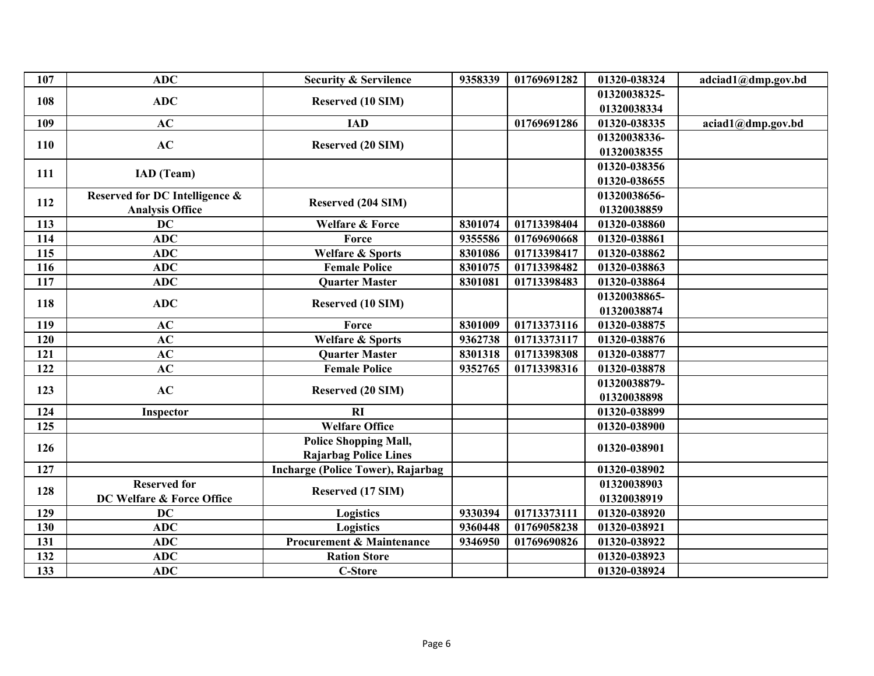| 107 | <b>ADC</b>                     | <b>Security &amp; Servilence</b>         | 9358339 | 01769691282 | 01320-038324 | adciad1@dmp.gov.bd |
|-----|--------------------------------|------------------------------------------|---------|-------------|--------------|--------------------|
| 108 | <b>ADC</b>                     | Reserved (10 SIM)                        |         |             | 01320038325- |                    |
|     |                                |                                          |         |             | 01320038334  |                    |
| 109 | AC                             | <b>IAD</b>                               |         | 01769691286 | 01320-038335 | aciad1@dmp.gov.bd  |
| 110 | AC                             | <b>Reserved (20 SIM)</b>                 |         |             | 01320038336- |                    |
|     |                                |                                          |         |             | 01320038355  |                    |
| 111 | IAD (Team)                     |                                          |         |             | 01320-038356 |                    |
|     |                                |                                          |         |             | 01320-038655 |                    |
| 112 | Reserved for DC Intelligence & | Reserved (204 SIM)                       |         |             | 01320038656- |                    |
|     | <b>Analysis Office</b>         |                                          |         |             | 01320038859  |                    |
| 113 | <b>DC</b>                      | <b>Welfare &amp; Force</b>               | 8301074 | 01713398404 | 01320-038860 |                    |
| 114 | <b>ADC</b>                     | Force                                    | 9355586 | 01769690668 | 01320-038861 |                    |
| 115 | <b>ADC</b>                     | <b>Welfare &amp; Sports</b>              | 8301086 | 01713398417 | 01320-038862 |                    |
| 116 | <b>ADC</b>                     | <b>Female Police</b>                     | 8301075 | 01713398482 | 01320-038863 |                    |
| 117 | <b>ADC</b>                     | <b>Quarter Master</b>                    | 8301081 | 01713398483 | 01320-038864 |                    |
| 118 | <b>ADC</b>                     | Reserved (10 SIM)                        |         |             | 01320038865- |                    |
|     |                                |                                          |         |             | 01320038874  |                    |
| 119 | AC                             | Force                                    | 8301009 | 01713373116 | 01320-038875 |                    |
| 120 | AC                             | <b>Welfare &amp; Sports</b>              | 9362738 | 01713373117 | 01320-038876 |                    |
| 121 | AC                             | <b>Quarter Master</b>                    | 8301318 | 01713398308 | 01320-038877 |                    |
| 122 | AC                             | <b>Female Police</b>                     | 9352765 | 01713398316 | 01320-038878 |                    |
| 123 | AC                             | <b>Reserved (20 SIM)</b>                 |         |             | 01320038879- |                    |
|     |                                |                                          |         |             | 01320038898  |                    |
| 124 | Inspector                      | RI                                       |         |             | 01320-038899 |                    |
| 125 |                                | <b>Welfare Office</b>                    |         |             | 01320-038900 |                    |
| 126 |                                | <b>Police Shopping Mall,</b>             |         |             | 01320-038901 |                    |
|     |                                | <b>Rajarbag Police Lines</b>             |         |             |              |                    |
| 127 |                                | <b>Incharge (Police Tower), Rajarbag</b> |         |             | 01320-038902 |                    |
| 128 | <b>Reserved for</b>            |                                          |         |             | 01320038903  |                    |
|     | DC Welfare & Force Office      | Reserved (17 SIM)                        |         |             | 01320038919  |                    |
| 129 | <b>DC</b>                      | <b>Logistics</b>                         | 9330394 | 01713373111 | 01320-038920 |                    |
| 130 | <b>ADC</b>                     | <b>Logistics</b>                         | 9360448 | 01769058238 | 01320-038921 |                    |
| 131 | <b>ADC</b>                     | <b>Procurement &amp; Maintenance</b>     | 9346950 | 01769690826 | 01320-038922 |                    |
| 132 | ADC                            | <b>Ration Store</b>                      |         |             | 01320-038923 |                    |
| 133 | <b>ADC</b>                     | <b>C-Store</b>                           |         |             | 01320-038924 |                    |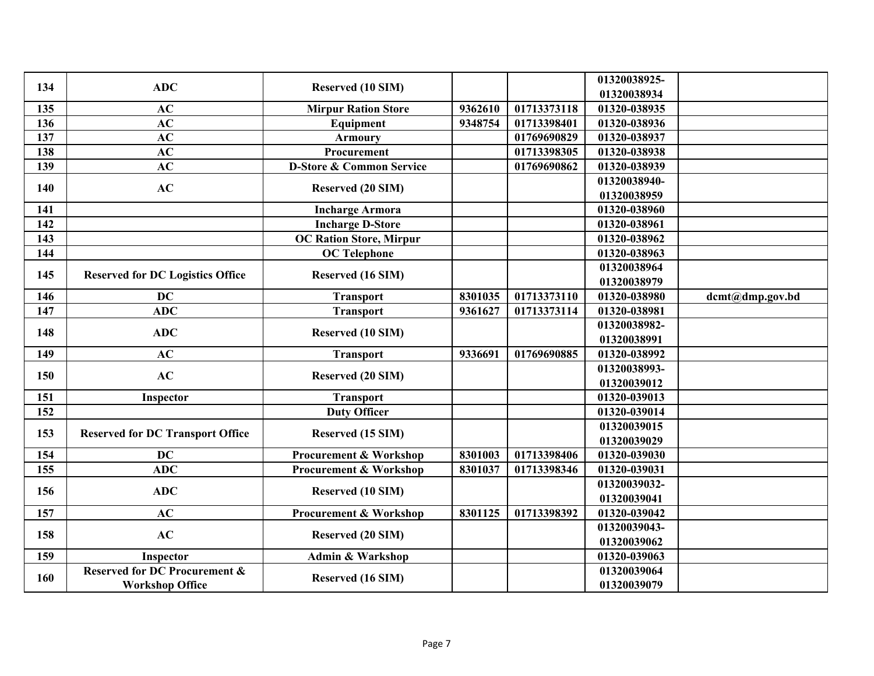| 134 | <b>ADC</b>                               | Reserved (10 SIM)                   |         |             | 01320038925-<br>01320038934 |                 |
|-----|------------------------------------------|-------------------------------------|---------|-------------|-----------------------------|-----------------|
| 135 | AC                                       | <b>Mirpur Ration Store</b>          | 9362610 | 01713373118 | 01320-038935                |                 |
| 136 | AC                                       | Equipment                           | 9348754 | 01713398401 | 01320-038936                |                 |
| 137 | AC                                       | <b>Armoury</b>                      |         | 01769690829 | 01320-038937                |                 |
| 138 | AC                                       | Procurement                         |         | 01713398305 | 01320-038938                |                 |
| 139 | AC                                       | <b>D-Store &amp; Common Service</b> |         | 01769690862 | 01320-038939                |                 |
| 140 | AC                                       | Reserved (20 SIM)                   |         |             | 01320038940-<br>01320038959 |                 |
| 141 |                                          | <b>Incharge Armora</b>              |         |             | 01320-038960                |                 |
| 142 |                                          | <b>Incharge D-Store</b>             |         |             | 01320-038961                |                 |
| 143 |                                          | <b>OC Ration Store, Mirpur</b>      |         |             | 01320-038962                |                 |
| 144 |                                          | <b>OC</b> Telephone                 |         |             | 01320-038963                |                 |
|     |                                          |                                     |         |             | 01320038964                 |                 |
| 145 | <b>Reserved for DC Logistics Office</b>  | Reserved (16 SIM)                   |         |             | 01320038979                 |                 |
| 146 | <b>DC</b>                                | <b>Transport</b>                    | 8301035 | 01713373110 | 01320-038980                | dcmt@dmp.gov.bd |
| 147 | <b>ADC</b>                               | <b>Transport</b>                    | 9361627 | 01713373114 | 01320-038981                |                 |
| 148 | <b>ADC</b>                               | Reserved (10 SIM)                   |         |             | 01320038982-                |                 |
| 149 | AC                                       |                                     |         |             | 01320038991<br>01320-038992 |                 |
|     |                                          | <b>Transport</b>                    | 9336691 | 01769690885 |                             |                 |
| 150 | AC                                       | <b>Reserved (20 SIM)</b>            |         |             | 01320038993-<br>01320039012 |                 |
| 151 | Inspector                                | <b>Transport</b>                    |         |             | 01320-039013                |                 |
| 152 |                                          | <b>Duty Officer</b>                 |         |             | 01320-039014                |                 |
|     |                                          |                                     |         |             | 01320039015                 |                 |
| 153 | <b>Reserved for DC Transport Office</b>  | Reserved (15 SIM)                   |         |             | 01320039029                 |                 |
| 154 | <b>DC</b>                                | <b>Procurement &amp; Workshop</b>   | 8301003 | 01713398406 | 01320-039030                |                 |
| 155 | $\overline{ADC}$                         | <b>Procurement &amp; Workshop</b>   | 8301037 | 01713398346 | 01320-039031                |                 |
| 156 | <b>ADC</b>                               |                                     |         |             | 01320039032-                |                 |
|     |                                          | Reserved (10 SIM)                   |         |             | 01320039041                 |                 |
| 157 | AC                                       | <b>Procurement &amp; Workshop</b>   | 8301125 | 01713398392 | 01320-039042                |                 |
| 158 | AC                                       | Reserved (20 SIM)                   |         |             | 01320039043-                |                 |
|     |                                          |                                     |         |             | 01320039062                 |                 |
| 159 | Inspector                                | <b>Admin &amp; Warkshop</b>         |         |             | 01320-039063                |                 |
| 160 | <b>Reserved for DC Procurement &amp;</b> | Reserved (16 SIM)                   |         |             | 01320039064                 |                 |
|     | <b>Workshop Office</b>                   |                                     |         |             | 01320039079                 |                 |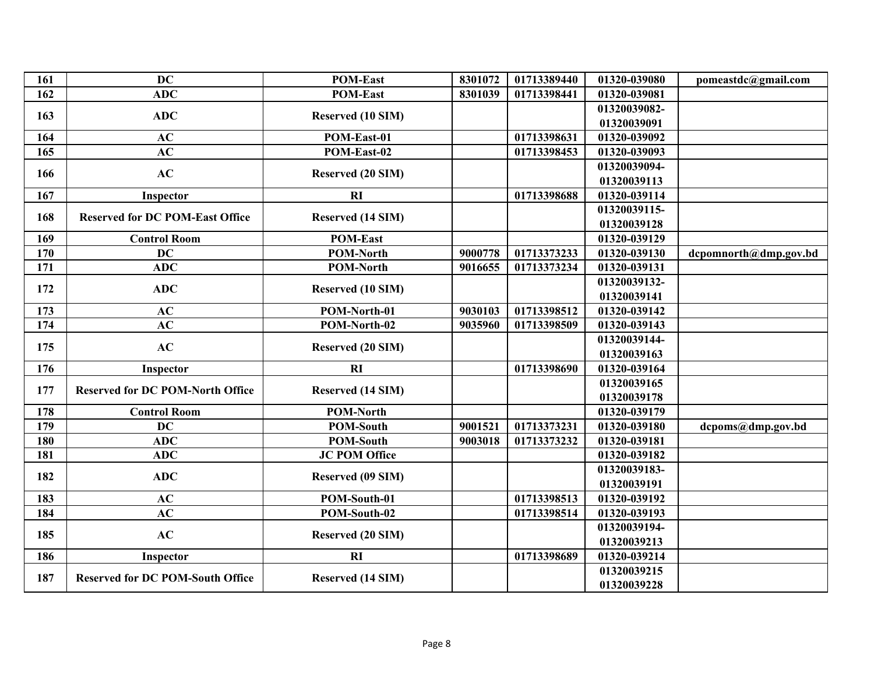| 161 | <b>DC</b>                               | <b>POM-East</b>          | 8301072 | 01713389440 | 01320-039080 | pomeastdc@gmail.com   |
|-----|-----------------------------------------|--------------------------|---------|-------------|--------------|-----------------------|
| 162 | <b>ADC</b>                              | <b>POM-East</b>          | 8301039 | 01713398441 | 01320-039081 |                       |
|     | <b>ADC</b>                              |                          |         |             | 01320039082- |                       |
| 163 |                                         | <b>Reserved (10 SIM)</b> |         |             | 01320039091  |                       |
| 164 | AC                                      | POM-East-01              |         | 01713398631 | 01320-039092 |                       |
| 165 | <b>AC</b>                               | POM-East-02              |         | 01713398453 | 01320-039093 |                       |
| 166 | AC                                      |                          |         |             | 01320039094- |                       |
|     |                                         | <b>Reserved (20 SIM)</b> |         |             | 01320039113  |                       |
| 167 | Inspector                               | RI                       |         | 01713398688 | 01320-039114 |                       |
| 168 | <b>Reserved for DC POM-East Office</b>  |                          |         |             | 01320039115- |                       |
|     |                                         | Reserved (14 SIM)        |         |             | 01320039128  |                       |
| 169 | <b>Control Room</b>                     | <b>POM-East</b>          |         |             | 01320-039129 |                       |
| 170 | <b>DC</b>                               | <b>POM-North</b>         | 9000778 | 01713373233 | 01320-039130 | dcpomnorth@dmp.gov.bd |
| 171 | <b>ADC</b>                              | <b>POM-North</b>         | 9016655 | 01713373234 | 01320-039131 |                       |
| 172 | <b>ADC</b>                              |                          |         |             | 01320039132- |                       |
|     |                                         | Reserved (10 SIM)        |         |             | 01320039141  |                       |
| 173 | AC                                      | POM-North-01             | 9030103 | 01713398512 | 01320-039142 |                       |
| 174 | AC                                      | POM-North-02             | 9035960 | 01713398509 | 01320-039143 |                       |
|     |                                         |                          |         |             | 01320039144- |                       |
| 175 | AC                                      | Reserved (20 SIM)        |         |             | 01320039163  |                       |
| 176 | Inspector                               | RI                       |         | 01713398690 | 01320-039164 |                       |
| 177 | <b>Reserved for DC POM-North Office</b> | Reserved (14 SIM)        |         |             | 01320039165  |                       |
|     |                                         |                          |         |             | 01320039178  |                       |
| 178 | <b>Control Room</b>                     | <b>POM-North</b>         |         |             | 01320-039179 |                       |
| 179 | <b>DC</b>                               | <b>POM-South</b>         | 9001521 | 01713373231 | 01320-039180 | dcpoms@dmp.gov.bd     |
| 180 | ADC                                     | <b>POM-South</b>         | 9003018 | 01713373232 | 01320-039181 |                       |
| 181 | ADC                                     | <b>JC POM Office</b>     |         |             | 01320-039182 |                       |
| 182 | <b>ADC</b>                              |                          |         |             | 01320039183- |                       |
|     |                                         | Reserved (09 SIM)        |         |             | 01320039191  |                       |
| 183 | AC                                      | POM-South-01             |         | 01713398513 | 01320-039192 |                       |
| 184 | AC                                      | POM-South-02             |         | 01713398514 | 01320-039193 |                       |
| 185 | AC                                      |                          |         |             | 01320039194- |                       |
|     |                                         | <b>Reserved (20 SIM)</b> |         |             | 01320039213  |                       |
| 186 | Inspector                               | RI                       |         | 01713398689 | 01320-039214 |                       |
| 187 | <b>Reserved for DC POM-South Office</b> | Reserved (14 SIM)        |         |             | 01320039215  |                       |
|     |                                         |                          |         |             | 01320039228  |                       |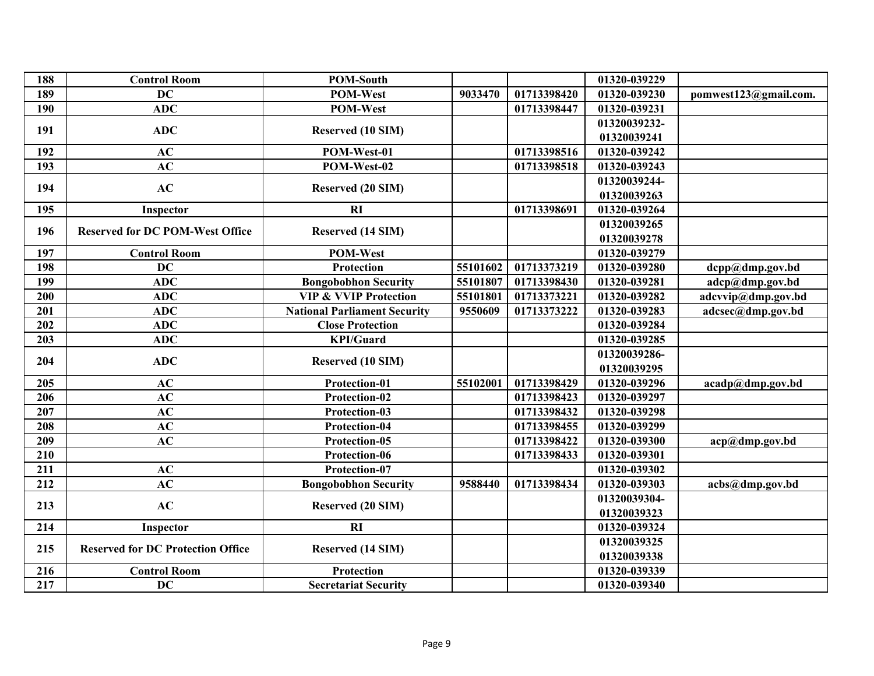| 188 | <b>Control Room</b>                      | <b>POM-South</b>                    |          |             | 01320-039229 |                       |
|-----|------------------------------------------|-------------------------------------|----------|-------------|--------------|-----------------------|
| 189 | <b>DC</b>                                | <b>POM-West</b>                     | 9033470  | 01713398420 | 01320-039230 | pomwest123@gmail.com. |
| 190 | ADC                                      | <b>POM-West</b>                     |          | 01713398447 | 01320-039231 |                       |
| 191 | <b>ADC</b>                               | Reserved (10 SIM)                   |          |             | 01320039232- |                       |
|     |                                          |                                     |          |             | 01320039241  |                       |
| 192 | AC                                       | POM-West-01                         |          | 01713398516 | 01320-039242 |                       |
| 193 | AC                                       | POM-West-02                         |          | 01713398518 | 01320-039243 |                       |
| 194 | AC                                       | Reserved (20 SIM)                   |          |             | 01320039244- |                       |
|     |                                          |                                     |          |             | 01320039263  |                       |
| 195 | Inspector                                | RI                                  |          | 01713398691 | 01320-039264 |                       |
|     | <b>Reserved for DC POM-West Office</b>   |                                     |          |             | 01320039265  |                       |
| 196 |                                          | Reserved (14 SIM)                   |          |             | 01320039278  |                       |
| 197 | <b>Control Room</b>                      | POM-West                            |          |             | 01320-039279 |                       |
| 198 | <b>DC</b>                                | <b>Protection</b>                   | 55101602 | 01713373219 | 01320-039280 | dcpp@dmp.gov.bd       |
| 199 | ADC                                      | <b>Bongobobhon Security</b>         | 55101807 | 01713398430 | 01320-039281 | adcp@dmp.gov.bd       |
| 200 | ADC                                      | <b>VIP &amp; VVIP Protection</b>    | 55101801 | 01713373221 | 01320-039282 | adcvvip@dmp.gov.bd    |
| 201 | <b>ADC</b>                               | <b>National Parliament Security</b> | 9550609  | 01713373222 | 01320-039283 | adcsec@dmp.gov.bd     |
| 202 | <b>ADC</b>                               | <b>Close Protection</b>             |          |             | 01320-039284 |                       |
| 203 | <b>ADC</b>                               | <b>KPI/Guard</b>                    |          |             | 01320-039285 |                       |
|     | <b>ADC</b>                               |                                     |          |             | 01320039286- |                       |
| 204 |                                          | Reserved (10 SIM)                   |          |             | 01320039295  |                       |
| 205 | AC                                       | Protection-01                       | 55102001 | 01713398429 | 01320-039296 | acadp@dmp.gov.bd      |
| 206 | AC                                       | Protection-02                       |          | 01713398423 | 01320-039297 |                       |
| 207 | AC                                       | Protection-03                       |          | 01713398432 | 01320-039298 |                       |
| 208 | AC                                       | Protection-04                       |          | 01713398455 | 01320-039299 |                       |
| 209 | AC                                       | Protection-05                       |          | 01713398422 | 01320-039300 | acp@dmp.gov.bd        |
| 210 |                                          | Protection-06                       |          | 01713398433 | 01320-039301 |                       |
| 211 | AC                                       | Protection-07                       |          |             | 01320-039302 |                       |
| 212 | AC                                       | <b>Bongobobhon Security</b>         | 9588440  | 01713398434 | 01320-039303 | acbs@dmp.gov.bd       |
| 213 | AC                                       |                                     |          |             | 01320039304- |                       |
|     |                                          | <b>Reserved (20 SIM)</b>            |          |             | 01320039323  |                       |
| 214 | Inspector                                | RI                                  |          |             | 01320-039324 |                       |
|     |                                          |                                     |          |             | 01320039325  |                       |
| 215 | <b>Reserved for DC Protection Office</b> | Reserved (14 SIM)                   |          |             | 01320039338  |                       |
| 216 | <b>Control Room</b>                      | Protection                          |          |             | 01320-039339 |                       |
| 217 | <b>DC</b>                                | <b>Secretariat Security</b>         |          |             | 01320-039340 |                       |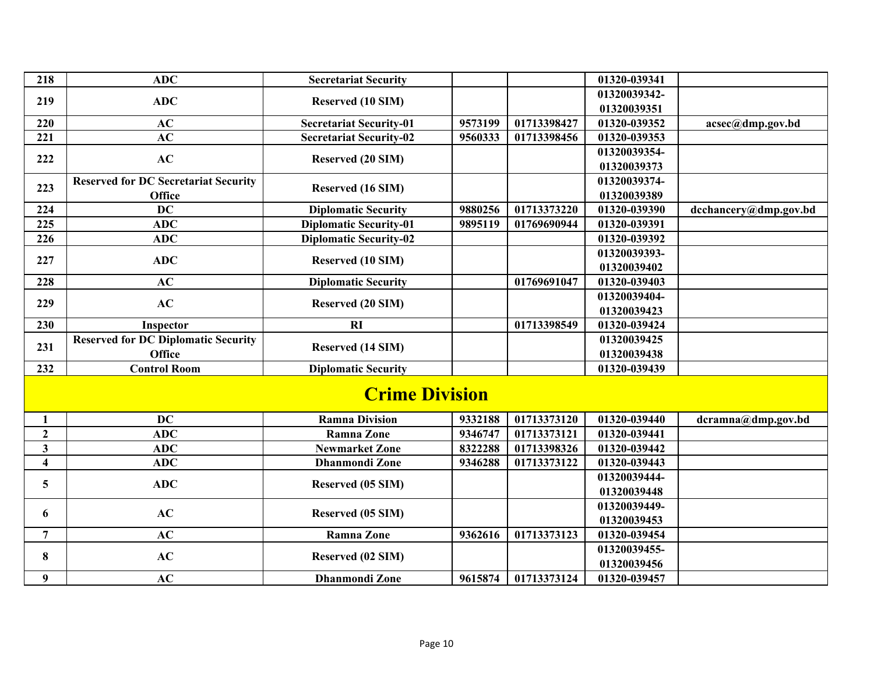| 218                     | <b>ADC</b>                                  | <b>Secretariat Security</b>    |         |             | 01320-039341                |                       |  |  |  |
|-------------------------|---------------------------------------------|--------------------------------|---------|-------------|-----------------------------|-----------------------|--|--|--|
| 219                     | <b>ADC</b>                                  | <b>Reserved (10 SIM)</b>       |         |             | 01320039342-                |                       |  |  |  |
|                         |                                             |                                |         |             | 01320039351                 |                       |  |  |  |
| 220                     | AC                                          | <b>Secretariat Security-01</b> | 9573199 | 01713398427 | 01320-039352                | acsec@dmp.gov.bd      |  |  |  |
| 221                     | AC                                          | <b>Secretariat Security-02</b> | 9560333 | 01713398456 | $\overline{01}320 - 039353$ |                       |  |  |  |
| 222                     | AC                                          | <b>Reserved (20 SIM)</b>       |         |             | 01320039354-                |                       |  |  |  |
|                         |                                             |                                |         |             | 01320039373                 |                       |  |  |  |
| 223                     | <b>Reserved for DC Secretariat Security</b> | Reserved (16 SIM)              |         |             | 01320039374-                |                       |  |  |  |
|                         | <b>Office</b>                               |                                |         |             | 01320039389                 |                       |  |  |  |
| 224                     | $\overline{DC}$                             | <b>Diplomatic Security</b>     | 9880256 | 01713373220 | 01320-039390                | dcchancery@dmp.gov.bd |  |  |  |
| 225                     | ADC                                         | <b>Diplomatic Security-01</b>  | 9895119 | 01769690944 | 01320-039391                |                       |  |  |  |
| 226                     | <b>ADC</b>                                  | <b>Diplomatic Security-02</b>  |         |             | 01320-039392                |                       |  |  |  |
| 227                     | <b>ADC</b>                                  | <b>Reserved (10 SIM)</b>       |         |             | 01320039393-                |                       |  |  |  |
|                         |                                             |                                |         |             | 01320039402                 |                       |  |  |  |
| 228                     | AC                                          | <b>Diplomatic Security</b>     |         | 01769691047 | 01320-039403                |                       |  |  |  |
| 229                     | AC                                          | <b>Reserved (20 SIM)</b>       |         |             | 01320039404-                |                       |  |  |  |
|                         |                                             |                                |         |             | 01320039423                 |                       |  |  |  |
| 230                     | Inspector                                   | RI                             |         | 01713398549 | 01320-039424                |                       |  |  |  |
| 231                     | <b>Reserved for DC Diplomatic Security</b>  | Reserved (14 SIM)              |         |             | 01320039425                 |                       |  |  |  |
|                         | <b>Office</b>                               |                                |         |             | 01320039438                 |                       |  |  |  |
| 232                     | <b>Control Room</b>                         | <b>Diplomatic Security</b>     |         |             | 01320-039439                |                       |  |  |  |
| <b>Crime Division</b>   |                                             |                                |         |             |                             |                       |  |  |  |
| 1                       | <b>DC</b>                                   | <b>Ramna Division</b>          | 9332188 | 01713373120 | 01320-039440                | dcramna@dmp.gov.bd    |  |  |  |
| $\boldsymbol{2}$        | <b>ADC</b>                                  | <b>Ramna Zone</b>              | 9346747 | 01713373121 | 01320-039441                |                       |  |  |  |
| $\overline{\mathbf{3}}$ | <b>ADC</b>                                  | <b>Newmarket Zone</b>          | 8322288 | 01713398326 | 01320-039442                |                       |  |  |  |
| $\overline{\mathbf{4}}$ | <b>ADC</b>                                  | <b>Dhanmondi Zone</b>          | 9346288 | 01713373122 | 01320-039443                |                       |  |  |  |
| 5                       | <b>ADC</b>                                  | Reserved (05 SIM)              |         |             | 01320039444-                |                       |  |  |  |
|                         |                                             |                                |         |             | 01320039448                 |                       |  |  |  |
| 6                       | AC                                          | Reserved (05 SIM)              |         |             | 01320039449-                |                       |  |  |  |
|                         |                                             |                                |         |             | 01320039453                 |                       |  |  |  |
| $\overline{7}$          | AC                                          | <b>Ramna Zone</b>              | 9362616 | 01713373123 | 01320-039454                |                       |  |  |  |
| 8                       | AC                                          | Reserved (02 SIM)              |         |             | 01320039455-                |                       |  |  |  |
|                         |                                             |                                |         |             | 01320039456                 |                       |  |  |  |
| 9                       | AC                                          | <b>Dhanmondi Zone</b>          | 9615874 | 01713373124 | 01320-039457                |                       |  |  |  |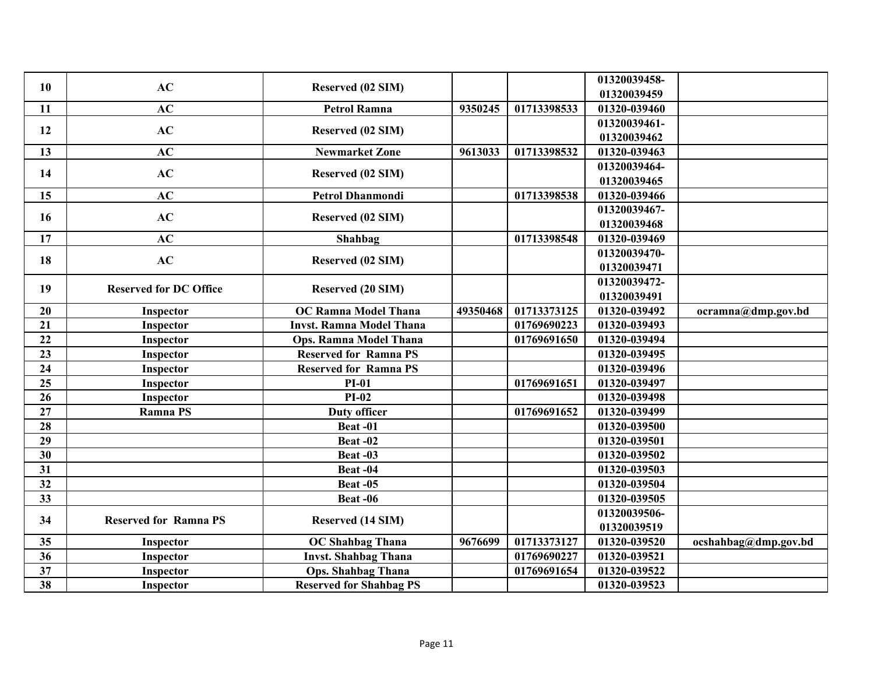| 01320039458-<br>AC<br>10<br>Reserved (02 SIM)<br>01320039459<br>AC<br>9350245<br>01713398533<br>11<br><b>Petrol Ramna</b><br>01320-039460<br>01320039461-<br>AC<br>Reserved (02 SIM)<br>12<br>01320039462<br>AC<br>9613033<br>13<br><b>Newmarket Zone</b><br>01713398532<br>01320-039463<br>01320039464-<br>AC<br>14<br>Reserved (02 SIM)<br>01320039465<br>AC<br>15<br><b>Petrol Dhanmondi</b><br>01713398538<br>01320-039466<br>01320039467-<br>AC<br>16<br>Reserved (02 SIM)<br>01320039468<br>AC<br>01713398548<br>17<br>Shahbag<br>01320-039469<br>01320039470-<br>AC<br>18<br>Reserved (02 SIM)<br>01320039471<br>01320039472-<br>19<br><b>Reserved (20 SIM)</b><br><b>Reserved for DC Office</b><br>01320039491<br>49350468<br>01713373125<br>20<br><b>OC Ramna Model Thana</b><br>01320-039492<br>Inspector<br>21<br><b>Invst. Ramna Model Thana</b><br>01769690223<br>01320-039493<br>Inspector<br>22<br>01769691650<br>01320-039494<br><b>Ops. Ramna Model Thana</b><br>Inspector<br>23<br><b>Reserved for Ramna PS</b><br>01320-039495<br>Inspector<br>24<br><b>Reserved for Ramna PS</b><br>01320-039496<br>Inspector<br>25<br>$PI-01$<br>01769691651<br>01320-039497<br>Inspector<br>$PI-02$<br>26<br>01320-039498<br>Inspector<br>27<br><b>Ramna PS</b><br><b>Duty officer</b><br>01769691652<br>01320-039499 |    |         |  |              |                      |
|-----------------------------------------------------------------------------------------------------------------------------------------------------------------------------------------------------------------------------------------------------------------------------------------------------------------------------------------------------------------------------------------------------------------------------------------------------------------------------------------------------------------------------------------------------------------------------------------------------------------------------------------------------------------------------------------------------------------------------------------------------------------------------------------------------------------------------------------------------------------------------------------------------------------------------------------------------------------------------------------------------------------------------------------------------------------------------------------------------------------------------------------------------------------------------------------------------------------------------------------------------------------------------------------------------------------------------|----|---------|--|--------------|----------------------|
|                                                                                                                                                                                                                                                                                                                                                                                                                                                                                                                                                                                                                                                                                                                                                                                                                                                                                                                                                                                                                                                                                                                                                                                                                                                                                                                             |    |         |  |              |                      |
|                                                                                                                                                                                                                                                                                                                                                                                                                                                                                                                                                                                                                                                                                                                                                                                                                                                                                                                                                                                                                                                                                                                                                                                                                                                                                                                             |    |         |  |              |                      |
|                                                                                                                                                                                                                                                                                                                                                                                                                                                                                                                                                                                                                                                                                                                                                                                                                                                                                                                                                                                                                                                                                                                                                                                                                                                                                                                             |    |         |  |              |                      |
|                                                                                                                                                                                                                                                                                                                                                                                                                                                                                                                                                                                                                                                                                                                                                                                                                                                                                                                                                                                                                                                                                                                                                                                                                                                                                                                             |    |         |  |              |                      |
|                                                                                                                                                                                                                                                                                                                                                                                                                                                                                                                                                                                                                                                                                                                                                                                                                                                                                                                                                                                                                                                                                                                                                                                                                                                                                                                             |    |         |  |              |                      |
|                                                                                                                                                                                                                                                                                                                                                                                                                                                                                                                                                                                                                                                                                                                                                                                                                                                                                                                                                                                                                                                                                                                                                                                                                                                                                                                             |    |         |  |              |                      |
|                                                                                                                                                                                                                                                                                                                                                                                                                                                                                                                                                                                                                                                                                                                                                                                                                                                                                                                                                                                                                                                                                                                                                                                                                                                                                                                             |    |         |  |              |                      |
|                                                                                                                                                                                                                                                                                                                                                                                                                                                                                                                                                                                                                                                                                                                                                                                                                                                                                                                                                                                                                                                                                                                                                                                                                                                                                                                             |    |         |  |              |                      |
|                                                                                                                                                                                                                                                                                                                                                                                                                                                                                                                                                                                                                                                                                                                                                                                                                                                                                                                                                                                                                                                                                                                                                                                                                                                                                                                             |    |         |  |              |                      |
|                                                                                                                                                                                                                                                                                                                                                                                                                                                                                                                                                                                                                                                                                                                                                                                                                                                                                                                                                                                                                                                                                                                                                                                                                                                                                                                             |    |         |  |              |                      |
|                                                                                                                                                                                                                                                                                                                                                                                                                                                                                                                                                                                                                                                                                                                                                                                                                                                                                                                                                                                                                                                                                                                                                                                                                                                                                                                             |    |         |  |              |                      |
|                                                                                                                                                                                                                                                                                                                                                                                                                                                                                                                                                                                                                                                                                                                                                                                                                                                                                                                                                                                                                                                                                                                                                                                                                                                                                                                             |    |         |  |              |                      |
|                                                                                                                                                                                                                                                                                                                                                                                                                                                                                                                                                                                                                                                                                                                                                                                                                                                                                                                                                                                                                                                                                                                                                                                                                                                                                                                             |    |         |  |              |                      |
|                                                                                                                                                                                                                                                                                                                                                                                                                                                                                                                                                                                                                                                                                                                                                                                                                                                                                                                                                                                                                                                                                                                                                                                                                                                                                                                             |    |         |  |              |                      |
|                                                                                                                                                                                                                                                                                                                                                                                                                                                                                                                                                                                                                                                                                                                                                                                                                                                                                                                                                                                                                                                                                                                                                                                                                                                                                                                             |    |         |  |              |                      |
|                                                                                                                                                                                                                                                                                                                                                                                                                                                                                                                                                                                                                                                                                                                                                                                                                                                                                                                                                                                                                                                                                                                                                                                                                                                                                                                             |    |         |  |              | ocramna@dmp.gov.bd   |
|                                                                                                                                                                                                                                                                                                                                                                                                                                                                                                                                                                                                                                                                                                                                                                                                                                                                                                                                                                                                                                                                                                                                                                                                                                                                                                                             |    |         |  |              |                      |
|                                                                                                                                                                                                                                                                                                                                                                                                                                                                                                                                                                                                                                                                                                                                                                                                                                                                                                                                                                                                                                                                                                                                                                                                                                                                                                                             |    |         |  |              |                      |
|                                                                                                                                                                                                                                                                                                                                                                                                                                                                                                                                                                                                                                                                                                                                                                                                                                                                                                                                                                                                                                                                                                                                                                                                                                                                                                                             |    |         |  |              |                      |
|                                                                                                                                                                                                                                                                                                                                                                                                                                                                                                                                                                                                                                                                                                                                                                                                                                                                                                                                                                                                                                                                                                                                                                                                                                                                                                                             |    |         |  |              |                      |
|                                                                                                                                                                                                                                                                                                                                                                                                                                                                                                                                                                                                                                                                                                                                                                                                                                                                                                                                                                                                                                                                                                                                                                                                                                                                                                                             |    |         |  |              |                      |
|                                                                                                                                                                                                                                                                                                                                                                                                                                                                                                                                                                                                                                                                                                                                                                                                                                                                                                                                                                                                                                                                                                                                                                                                                                                                                                                             |    |         |  |              |                      |
|                                                                                                                                                                                                                                                                                                                                                                                                                                                                                                                                                                                                                                                                                                                                                                                                                                                                                                                                                                                                                                                                                                                                                                                                                                                                                                                             |    |         |  |              |                      |
|                                                                                                                                                                                                                                                                                                                                                                                                                                                                                                                                                                                                                                                                                                                                                                                                                                                                                                                                                                                                                                                                                                                                                                                                                                                                                                                             | 28 | Beat-01 |  | 01320-039500 |                      |
| 29<br>01320-039501<br>Beat-02                                                                                                                                                                                                                                                                                                                                                                                                                                                                                                                                                                                                                                                                                                                                                                                                                                                                                                                                                                                                                                                                                                                                                                                                                                                                                               |    |         |  |              |                      |
| 30<br>01320-039502<br>Beat -03                                                                                                                                                                                                                                                                                                                                                                                                                                                                                                                                                                                                                                                                                                                                                                                                                                                                                                                                                                                                                                                                                                                                                                                                                                                                                              |    |         |  |              |                      |
| 31<br>Beat-04<br>01320-039503                                                                                                                                                                                                                                                                                                                                                                                                                                                                                                                                                                                                                                                                                                                                                                                                                                                                                                                                                                                                                                                                                                                                                                                                                                                                                               |    |         |  |              |                      |
| 32<br>01320-039504<br>Beat-05                                                                                                                                                                                                                                                                                                                                                                                                                                                                                                                                                                                                                                                                                                                                                                                                                                                                                                                                                                                                                                                                                                                                                                                                                                                                                               |    |         |  |              |                      |
| 33<br>01320-039505<br>Beat -06                                                                                                                                                                                                                                                                                                                                                                                                                                                                                                                                                                                                                                                                                                                                                                                                                                                                                                                                                                                                                                                                                                                                                                                                                                                                                              |    |         |  |              |                      |
| 01320039506-<br>34<br><b>Reserved for Ramna PS</b>                                                                                                                                                                                                                                                                                                                                                                                                                                                                                                                                                                                                                                                                                                                                                                                                                                                                                                                                                                                                                                                                                                                                                                                                                                                                          |    |         |  |              |                      |
| Reserved (14 SIM)<br>01320039519                                                                                                                                                                                                                                                                                                                                                                                                                                                                                                                                                                                                                                                                                                                                                                                                                                                                                                                                                                                                                                                                                                                                                                                                                                                                                            |    |         |  |              |                      |
| 01713373127<br><b>OC Shahbag Thana</b><br>9676699<br>01320-039520<br>35<br>Inspector                                                                                                                                                                                                                                                                                                                                                                                                                                                                                                                                                                                                                                                                                                                                                                                                                                                                                                                                                                                                                                                                                                                                                                                                                                        |    |         |  |              | ocshahbag@dmp.gov.bd |
| 36<br><b>Invst. Shahbag Thana</b><br>01769690227<br>01320-039521<br>Inspector                                                                                                                                                                                                                                                                                                                                                                                                                                                                                                                                                                                                                                                                                                                                                                                                                                                                                                                                                                                                                                                                                                                                                                                                                                               |    |         |  |              |                      |
| 01769691654<br>01320-039522<br>37<br><b>Ops. Shahbag Thana</b><br>Inspector                                                                                                                                                                                                                                                                                                                                                                                                                                                                                                                                                                                                                                                                                                                                                                                                                                                                                                                                                                                                                                                                                                                                                                                                                                                 |    |         |  |              |                      |
| 38<br><b>Reserved for Shahbag PS</b><br>01320-039523<br>Inspector                                                                                                                                                                                                                                                                                                                                                                                                                                                                                                                                                                                                                                                                                                                                                                                                                                                                                                                                                                                                                                                                                                                                                                                                                                                           |    |         |  |              |                      |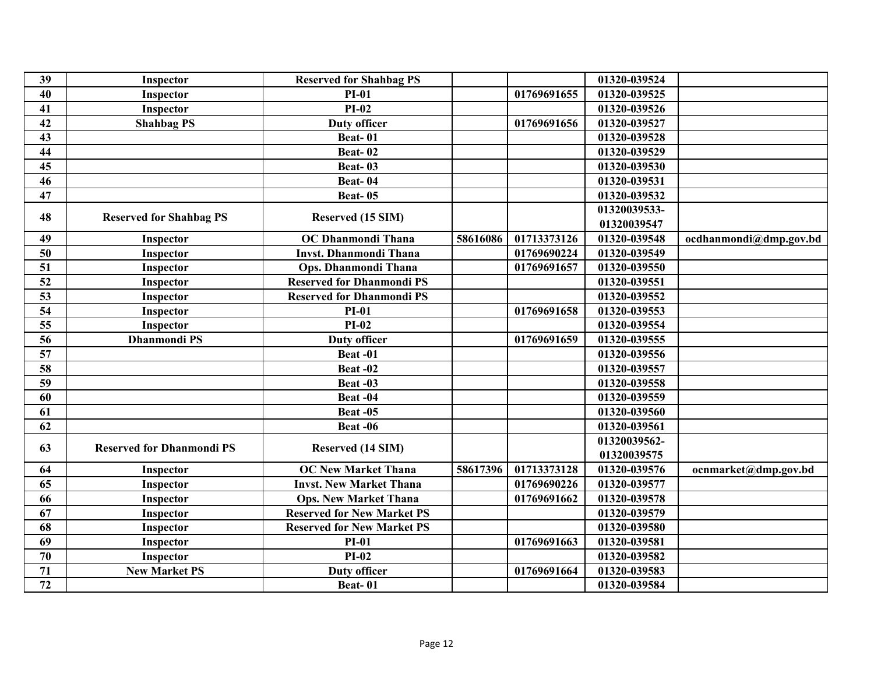| 39 | Inspector                        | <b>Reserved for Shahbag PS</b>    |          |             | 01320-039524 |                        |
|----|----------------------------------|-----------------------------------|----------|-------------|--------------|------------------------|
| 40 | Inspector                        | $PI-01$                           |          | 01769691655 | 01320-039525 |                        |
| 41 | Inspector                        | $PI-02$                           |          |             | 01320-039526 |                        |
| 42 | <b>Shahbag PS</b>                | <b>Duty officer</b>               |          | 01769691656 | 01320-039527 |                        |
| 43 |                                  | <b>Beat-01</b>                    |          |             | 01320-039528 |                        |
| 44 |                                  | <b>Beat-02</b>                    |          |             | 01320-039529 |                        |
| 45 |                                  | <b>Beat-03</b>                    |          |             | 01320-039530 |                        |
| 46 |                                  | Beat-04                           |          |             | 01320-039531 |                        |
| 47 |                                  | <b>Beat-05</b>                    |          |             | 01320-039532 |                        |
|    |                                  |                                   |          |             | 01320039533- |                        |
| 48 | <b>Reserved for Shahbag PS</b>   | Reserved (15 SIM)                 |          |             | 01320039547  |                        |
| 49 | Inspector                        | OC Dhanmondi Thana                | 58616086 | 01713373126 | 01320-039548 | ocdhanmondi@dmp.gov.bd |
| 50 | Inspector                        | <b>Invst. Dhanmondi Thana</b>     |          | 01769690224 | 01320-039549 |                        |
| 51 | Inspector                        | Ops. Dhanmondi Thana              |          | 01769691657 | 01320-039550 |                        |
| 52 | Inspector                        | <b>Reserved for Dhanmondi PS</b>  |          |             | 01320-039551 |                        |
| 53 | Inspector                        | <b>Reserved for Dhanmondi PS</b>  |          |             | 01320-039552 |                        |
| 54 | Inspector                        | <b>PI-01</b>                      |          | 01769691658 | 01320-039553 |                        |
| 55 | Inspector                        | $PI-02$                           |          |             | 01320-039554 |                        |
| 56 | <b>Dhanmondi PS</b>              | <b>Duty officer</b>               |          | 01769691659 | 01320-039555 |                        |
| 57 |                                  | Beat-01                           |          |             | 01320-039556 |                        |
| 58 |                                  | Beat-02                           |          |             | 01320-039557 |                        |
| 59 |                                  | Beat-03                           |          |             | 01320-039558 |                        |
| 60 |                                  | Beat-04                           |          |             | 01320-039559 |                        |
| 61 |                                  | <b>Beat -05</b>                   |          |             | 01320-039560 |                        |
| 62 |                                  | Beat-06                           |          |             | 01320-039561 |                        |
|    |                                  |                                   |          |             | 01320039562- |                        |
| 63 | <b>Reserved for Dhanmondi PS</b> | Reserved (14 SIM)                 |          |             | 01320039575  |                        |
| 64 | Inspector                        | <b>OC New Market Thana</b>        | 58617396 | 01713373128 | 01320-039576 | ocnmarket@dmp.gov.bd   |
| 65 | Inspector                        | <b>Invst. New Market Thana</b>    |          | 01769690226 | 01320-039577 |                        |
| 66 | Inspector                        | <b>Ops. New Market Thana</b>      |          | 01769691662 | 01320-039578 |                        |
| 67 | Inspector                        | <b>Reserved for New Market PS</b> |          |             | 01320-039579 |                        |
| 68 | Inspector                        | <b>Reserved for New Market PS</b> |          |             | 01320-039580 |                        |
| 69 | Inspector                        | $PI-01$                           |          | 01769691663 | 01320-039581 |                        |
| 70 | Inspector                        | $PI-02$                           |          |             | 01320-039582 |                        |
| 71 | <b>New Market PS</b>             | <b>Duty officer</b>               |          | 01769691664 | 01320-039583 |                        |
| 72 |                                  | Beat-01                           |          |             | 01320-039584 |                        |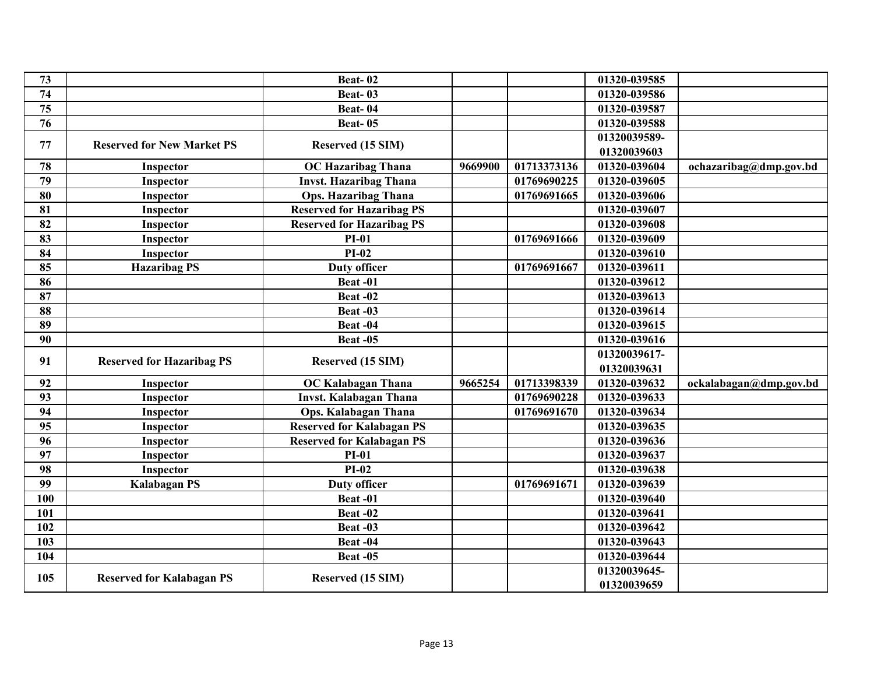| 73  |                                   | Beat-02                          |         |             | 01320-039585 |                        |
|-----|-----------------------------------|----------------------------------|---------|-------------|--------------|------------------------|
| 74  |                                   | Beat-03                          |         |             | 01320-039586 |                        |
| 75  |                                   | Beat-04                          |         |             | 01320-039587 |                        |
| 76  |                                   | <b>Beat-05</b>                   |         |             | 01320-039588 |                        |
|     |                                   |                                  |         |             | 01320039589- |                        |
| 77  | <b>Reserved for New Market PS</b> | Reserved (15 SIM)                |         |             | 01320039603  |                        |
| 78  | Inspector                         | <b>OC Hazaribag Thana</b>        | 9669900 | 01713373136 | 01320-039604 | ochazaribag@dmp.gov.bd |
| 79  | Inspector                         | <b>Invst. Hazaribag Thana</b>    |         | 01769690225 | 01320-039605 |                        |
| 80  | Inspector                         | <b>Ops. Hazaribag Thana</b>      |         | 01769691665 | 01320-039606 |                        |
| 81  | Inspector                         | <b>Reserved for Hazaribag PS</b> |         |             | 01320-039607 |                        |
| 82  | Inspector                         | <b>Reserved for Hazaribag PS</b> |         |             | 01320-039608 |                        |
| 83  | Inspector                         | $PI-01$                          |         | 01769691666 | 01320-039609 |                        |
| 84  | Inspector                         | $PI-02$                          |         |             | 01320-039610 |                        |
| 85  | <b>Hazaribag PS</b>               | Duty officer                     |         | 01769691667 | 01320-039611 |                        |
| 86  |                                   | Beat-01                          |         |             | 01320-039612 |                        |
| 87  |                                   | Beat-02                          |         |             | 01320-039613 |                        |
| 88  |                                   | Beat-03                          |         |             | 01320-039614 |                        |
| 89  |                                   | Beat-04                          |         |             | 01320-039615 |                        |
| 90  |                                   | Beat-05                          |         |             | 01320-039616 |                        |
|     |                                   |                                  |         |             | 01320039617- |                        |
| 91  | <b>Reserved for Hazaribag PS</b>  | Reserved (15 SIM)                |         |             | 01320039631  |                        |
| 92  | Inspector                         | <b>OC Kalabagan Thana</b>        | 9665254 | 01713398339 | 01320-039632 | ockalabagan@dmp.gov.bd |
| 93  | Inspector                         | <b>Invst. Kalabagan Thana</b>    |         | 01769690228 | 01320-039633 |                        |
| 94  | Inspector                         | Ops. Kalabagan Thana             |         | 01769691670 | 01320-039634 |                        |
| 95  | Inspector                         | <b>Reserved for Kalabagan PS</b> |         |             | 01320-039635 |                        |
| 96  | Inspector                         | <b>Reserved for Kalabagan PS</b> |         |             | 01320-039636 |                        |
| 97  | Inspector                         | $PI-01$                          |         |             | 01320-039637 |                        |
| 98  | Inspector                         | $PI-02$                          |         |             | 01320-039638 |                        |
| 99  | <b>Kalabagan PS</b>               | <b>Duty officer</b>              |         | 01769691671 | 01320-039639 |                        |
| 100 |                                   | Beat-01                          |         |             | 01320-039640 |                        |
| 101 |                                   | Beat-02                          |         |             | 01320-039641 |                        |
| 102 |                                   | Beat-03                          |         |             | 01320-039642 |                        |
| 103 |                                   | Beat-04                          |         |             | 01320-039643 |                        |
| 104 |                                   | <b>Beat -05</b>                  |         |             | 01320-039644 |                        |
|     |                                   |                                  |         |             | 01320039645- |                        |
| 105 | <b>Reserved for Kalabagan PS</b>  | Reserved (15 SIM)                |         |             | 01320039659  |                        |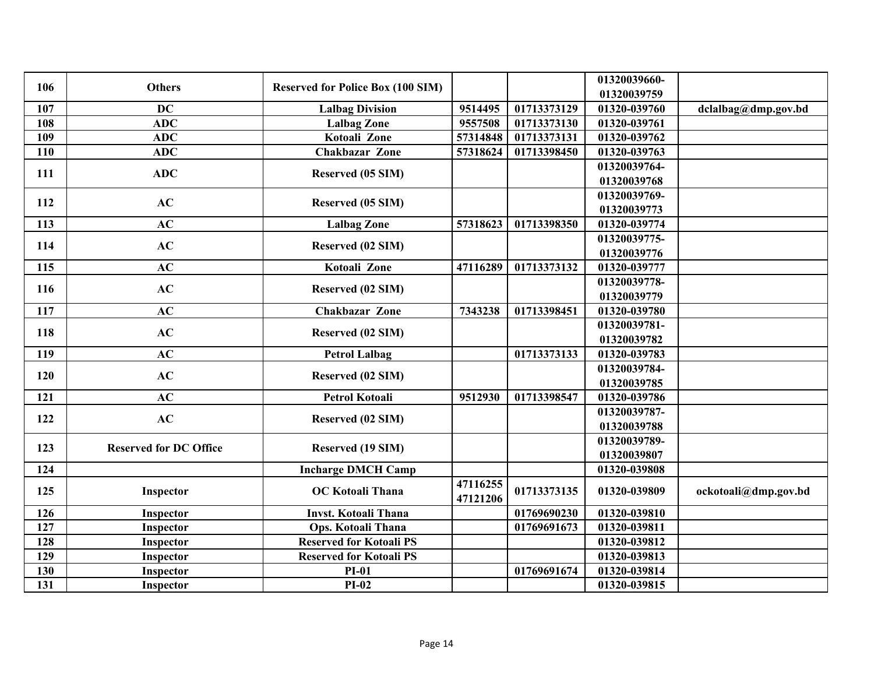| 106 | <b>Others</b>                 | <b>Reserved for Police Box (100 SIM)</b> |                      |             | 01320039660-<br>01320039759 |                      |
|-----|-------------------------------|------------------------------------------|----------------------|-------------|-----------------------------|----------------------|
| 107 | <b>DC</b>                     | <b>Lalbag Division</b>                   | 9514495              | 01713373129 | 01320-039760                | dclalbag@dmp.gov.bd  |
| 108 | <b>ADC</b>                    | <b>Lalbag Zone</b>                       | 9557508              | 01713373130 | 01320-039761                |                      |
| 109 | <b>ADC</b>                    | Kotoali Zone                             | 57314848             | 01713373131 | 01320-039762                |                      |
| 110 | <b>ADC</b>                    | <b>Chakbazar Zone</b>                    | 57318624             | 01713398450 | 01320-039763                |                      |
| 111 | <b>ADC</b>                    | Reserved (05 SIM)                        |                      |             | 01320039764-<br>01320039768 |                      |
| 112 | AC                            | Reserved (05 SIM)                        |                      |             | 01320039769-<br>01320039773 |                      |
| 113 | AC                            | <b>Lalbag Zone</b>                       | 57318623             | 01713398350 | 01320-039774                |                      |
| 114 | AC                            | Reserved (02 SIM)                        |                      |             | 01320039775-<br>01320039776 |                      |
| 115 | AC                            | Kotoali Zone                             | 47116289             | 01713373132 | 01320-039777                |                      |
| 116 | AC                            | Reserved (02 SIM)                        |                      |             | 01320039778-<br>01320039779 |                      |
| 117 | AC                            | <b>Chakbazar Zone</b>                    | 7343238              | 01713398451 | 01320-039780                |                      |
| 118 | AC                            | Reserved (02 SIM)                        |                      |             | 01320039781-<br>01320039782 |                      |
| 119 | AC                            | <b>Petrol Lalbag</b>                     |                      | 01713373133 | 01320-039783                |                      |
| 120 | AC                            | Reserved (02 SIM)                        |                      |             | 01320039784-<br>01320039785 |                      |
| 121 | AC                            | <b>Petrol Kotoali</b>                    | 9512930              | 01713398547 | 01320-039786                |                      |
| 122 | AC                            | Reserved (02 SIM)                        |                      |             | 01320039787-<br>01320039788 |                      |
| 123 | <b>Reserved for DC Office</b> | Reserved (19 SIM)                        |                      |             | 01320039789-<br>01320039807 |                      |
| 124 |                               | <b>Incharge DMCH Camp</b>                |                      |             | 01320-039808                |                      |
| 125 | Inspector                     | <b>OC</b> Kotoali Thana                  | 47116255<br>47121206 | 01713373135 | 01320-039809                | ockotoali@dmp.gov.bd |
| 126 | Inspector                     | <b>Invst. Kotoali Thana</b>              |                      | 01769690230 | 01320-039810                |                      |
| 127 | Inspector                     | Ops. Kotoali Thana                       |                      | 01769691673 | 01320-039811                |                      |
| 128 | Inspector                     | <b>Reserved for Kotoali PS</b>           |                      |             | 01320-039812                |                      |
| 129 | Inspector                     | <b>Reserved for Kotoali PS</b>           |                      |             | 01320-039813                |                      |
| 130 | Inspector                     | <b>PI-01</b>                             |                      | 01769691674 | 01320-039814                |                      |
| 131 | Inspector                     | $PI-02$                                  |                      |             | 01320-039815                |                      |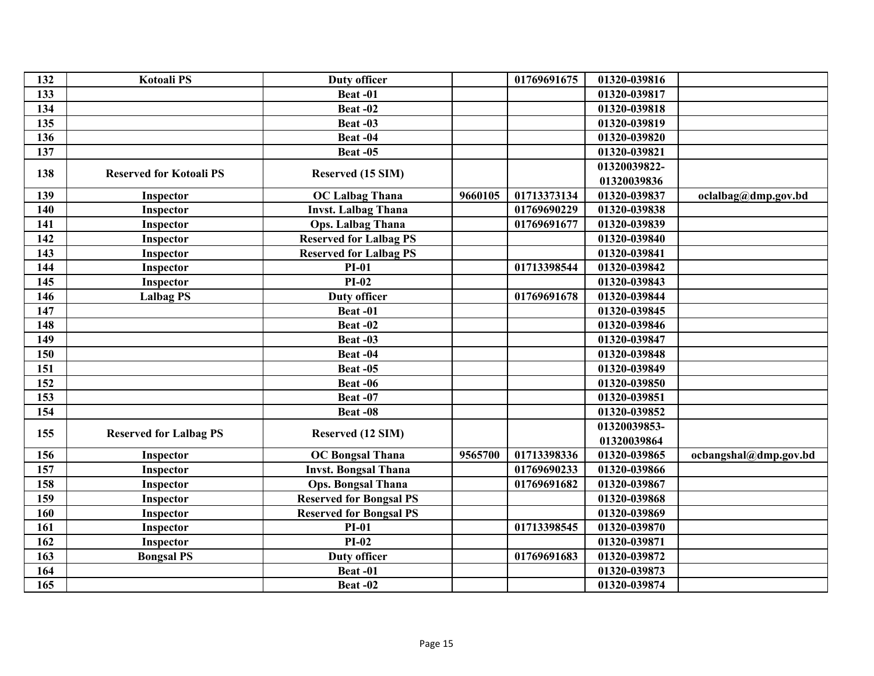| 132 | <b>Kotoali PS</b>              | <b>Duty officer</b>            |         | 01769691675 | 01320-039816 |                       |
|-----|--------------------------------|--------------------------------|---------|-------------|--------------|-----------------------|
| 133 |                                | Beat-01                        |         |             | 01320-039817 |                       |
| 134 |                                | Beat-02                        |         |             | 01320-039818 |                       |
| 135 |                                | Beat -03                       |         |             | 01320-039819 |                       |
| 136 |                                | Beat-04                        |         |             | 01320-039820 |                       |
| 137 |                                | <b>Beat -05</b>                |         |             | 01320-039821 |                       |
| 138 | <b>Reserved for Kotoali PS</b> |                                |         |             | 01320039822- |                       |
|     |                                | Reserved (15 SIM)              |         |             | 01320039836  |                       |
| 139 | Inspector                      | <b>OC Lalbag Thana</b>         | 9660105 | 01713373134 | 01320-039837 | oclalbag@dmp.gov.bd   |
| 140 | Inspector                      | <b>Invst. Lalbag Thana</b>     |         | 01769690229 | 01320-039838 |                       |
| 141 | Inspector                      | <b>Ops. Lalbag Thana</b>       |         | 01769691677 | 01320-039839 |                       |
| 142 | Inspector                      | <b>Reserved for Lalbag PS</b>  |         |             | 01320-039840 |                       |
| 143 | Inspector                      | <b>Reserved for Lalbag PS</b>  |         |             | 01320-039841 |                       |
| 144 | Inspector                      | <b>PI-01</b>                   |         | 01713398544 | 01320-039842 |                       |
| 145 | Inspector                      | $PI-02$                        |         |             | 01320-039843 |                       |
| 146 | <b>Lalbag PS</b>               | <b>Duty officer</b>            |         | 01769691678 | 01320-039844 |                       |
| 147 |                                | Beat-01                        |         |             | 01320-039845 |                       |
| 148 |                                | Beat-02                        |         |             | 01320-039846 |                       |
| 149 |                                | Beat-03                        |         |             | 01320-039847 |                       |
| 150 |                                | Beat-04                        |         |             | 01320-039848 |                       |
| 151 |                                | <b>Beat -05</b>                |         |             | 01320-039849 |                       |
| 152 |                                | Beat-06                        |         |             | 01320-039850 |                       |
| 153 |                                | Beat-07                        |         |             | 01320-039851 |                       |
| 154 |                                | Beat-08                        |         |             | 01320-039852 |                       |
|     |                                |                                |         |             | 01320039853- |                       |
| 155 | <b>Reserved for Lalbag PS</b>  | Reserved (12 SIM)              |         |             | 01320039864  |                       |
| 156 | Inspector                      | <b>OC Bongsal Thana</b>        | 9565700 | 01713398336 | 01320-039865 | ocbangshal@dmp.gov.bd |
| 157 | Inspector                      | <b>Invst. Bongsal Thana</b>    |         | 01769690233 | 01320-039866 |                       |
| 158 | Inspector                      | <b>Ops. Bongsal Thana</b>      |         | 01769691682 | 01320-039867 |                       |
| 159 | Inspector                      | <b>Reserved for Bongsal PS</b> |         |             | 01320-039868 |                       |
| 160 | Inspector                      | <b>Reserved for Bongsal PS</b> |         |             | 01320-039869 |                       |
| 161 | Inspector                      | <b>PI-01</b>                   |         | 01713398545 | 01320-039870 |                       |
| 162 | Inspector                      | $PI-02$                        |         |             | 01320-039871 |                       |
| 163 | <b>Bongsal PS</b>              | <b>Duty officer</b>            |         | 01769691683 | 01320-039872 |                       |
| 164 |                                | Beat-01                        |         |             | 01320-039873 |                       |
| 165 |                                | Beat-02                        |         |             | 01320-039874 |                       |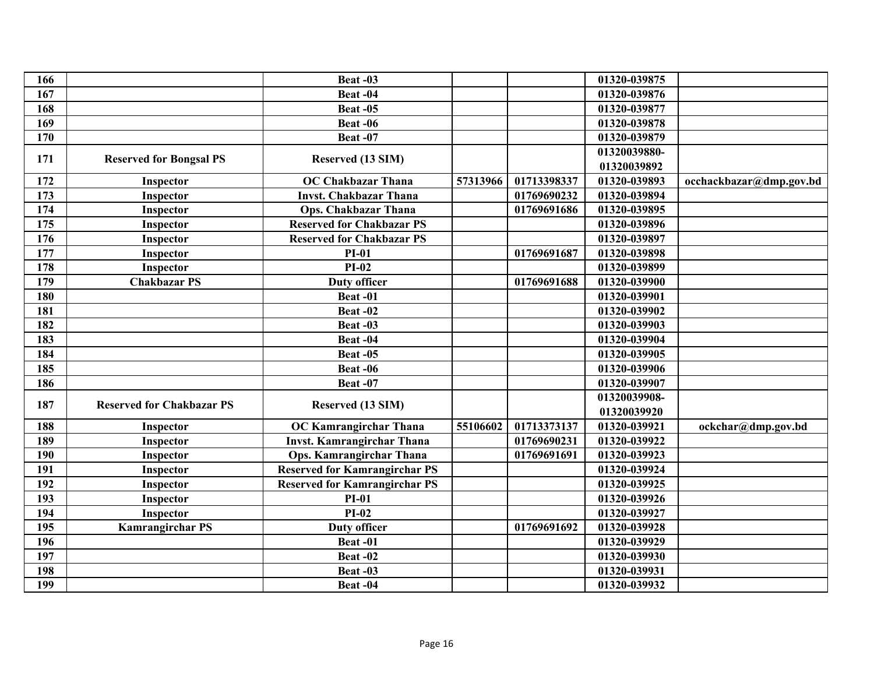| 166 |                                  | Beat-03                              |          |             | 01320-039875 |                         |
|-----|----------------------------------|--------------------------------------|----------|-------------|--------------|-------------------------|
| 167 |                                  | Beat-04                              |          |             | 01320-039876 |                         |
| 168 |                                  | Beat -05                             |          |             | 01320-039877 |                         |
| 169 |                                  | Beat -06                             |          |             | 01320-039878 |                         |
| 170 |                                  | Beat-07                              |          |             | 01320-039879 |                         |
|     |                                  |                                      |          |             | 01320039880- |                         |
| 171 | <b>Reserved for Bongsal PS</b>   | Reserved (13 SIM)                    |          |             | 01320039892  |                         |
| 172 | Inspector                        | <b>OC Chakbazar Thana</b>            | 57313966 | 01713398337 | 01320-039893 | occhackbazar@dmp.gov.bd |
| 173 | Inspector                        | <b>Invst. Chakbazar Thana</b>        |          | 01769690232 | 01320-039894 |                         |
| 174 | Inspector                        | <b>Ops. Chakbazar Thana</b>          |          | 01769691686 | 01320-039895 |                         |
| 175 | Inspector                        | <b>Reserved for Chakbazar PS</b>     |          |             | 01320-039896 |                         |
| 176 | Inspector                        | <b>Reserved for Chakbazar PS</b>     |          |             | 01320-039897 |                         |
| 177 | Inspector                        | $PI-01$                              |          | 01769691687 | 01320-039898 |                         |
| 178 | Inspector                        | $PI-02$                              |          |             | 01320-039899 |                         |
| 179 | <b>Chakbazar PS</b>              | <b>Duty officer</b>                  |          | 01769691688 | 01320-039900 |                         |
| 180 |                                  | Beat-01                              |          |             | 01320-039901 |                         |
| 181 |                                  | Beat-02                              |          |             | 01320-039902 |                         |
| 182 |                                  | Beat-03                              |          |             | 01320-039903 |                         |
| 183 |                                  | Beat-04                              |          |             | 01320-039904 |                         |
| 184 |                                  | Beat -05                             |          |             | 01320-039905 |                         |
| 185 |                                  | Beat -06                             |          |             | 01320-039906 |                         |
| 186 |                                  | <b>Beat -07</b>                      |          |             | 01320-039907 |                         |
|     |                                  |                                      |          |             | 01320039908- |                         |
| 187 | <b>Reserved for Chakbazar PS</b> | Reserved (13 SIM)                    |          |             | 01320039920  |                         |
| 188 | Inspector                        | <b>OC Kamrangirchar Thana</b>        | 55106602 | 01713373137 | 01320-039921 | ockchar@dmp.gov.bd      |
| 189 | Inspector                        | <b>Invst. Kamrangirchar Thana</b>    |          | 01769690231 | 01320-039922 |                         |
| 190 | Inspector                        | Ops. Kamrangirchar Thana             |          | 01769691691 | 01320-039923 |                         |
| 191 | Inspector                        | <b>Reserved for Kamrangirchar PS</b> |          |             | 01320-039924 |                         |
| 192 | Inspector                        | <b>Reserved for Kamrangirchar PS</b> |          |             | 01320-039925 |                         |
| 193 | Inspector                        | $PI-01$                              |          |             | 01320-039926 |                         |
| 194 | Inspector                        | $PI-02$                              |          |             | 01320-039927 |                         |
| 195 | <b>Kamrangirchar PS</b>          | <b>Duty officer</b>                  |          | 01769691692 | 01320-039928 |                         |
| 196 |                                  | Beat-01                              |          |             | 01320-039929 |                         |
| 197 |                                  | Beat -02                             |          |             | 01320-039930 |                         |
| 198 |                                  | Beat-03                              |          |             | 01320-039931 |                         |
| 199 |                                  | Beat-04                              |          |             | 01320-039932 |                         |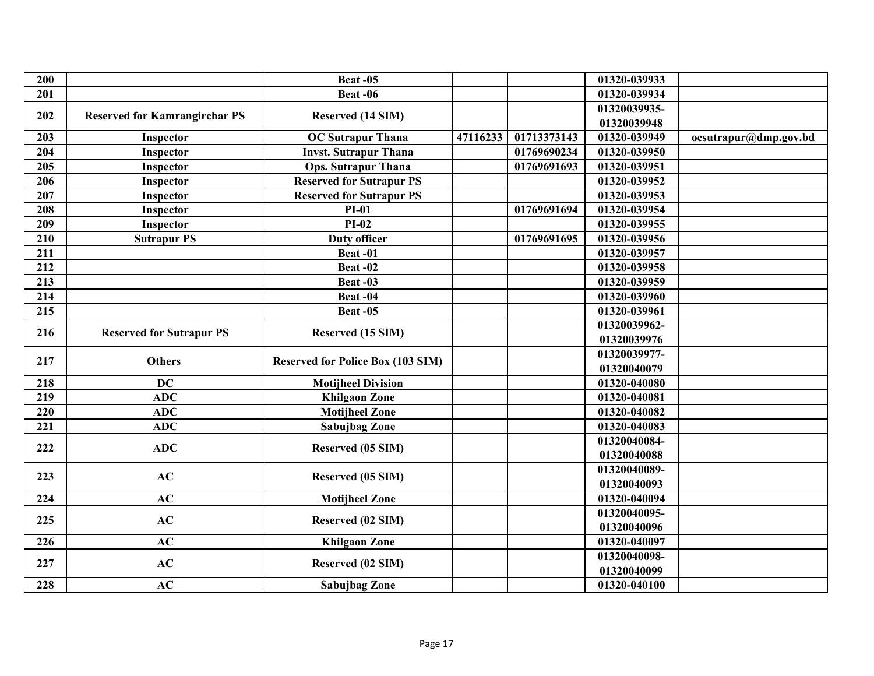| 200              |                                      | Beat-05                                  |                   |             | 01320-039933 |                       |  |
|------------------|--------------------------------------|------------------------------------------|-------------------|-------------|--------------|-----------------------|--|
| 201              |                                      | <b>Beat -06</b>                          |                   |             | 01320-039934 |                       |  |
|                  |                                      |                                          |                   |             | 01320039935- |                       |  |
| 202              | <b>Reserved for Kamrangirchar PS</b> | Reserved (14 SIM)                        |                   |             | 01320039948  |                       |  |
| 203              | Inspector                            | <b>OC</b> Sutrapur Thana                 | 47116233          | 01713373143 | 01320-039949 | ocsutrapur@dmp.gov.bd |  |
| 204              | Inspector                            | <b>Invst. Sutrapur Thana</b>             |                   | 01769690234 | 01320-039950 |                       |  |
| 205              | Inspector                            | <b>Ops. Sutrapur Thana</b>               |                   | 01769691693 | 01320-039951 |                       |  |
| 206              | Inspector                            | <b>Reserved for Sutrapur PS</b>          |                   |             | 01320-039952 |                       |  |
| 207              | Inspector                            | <b>Reserved for Sutrapur PS</b>          |                   |             | 01320-039953 |                       |  |
| 208              | Inspector                            | $PI-01$                                  |                   | 01769691694 | 01320-039954 |                       |  |
| 209              | Inspector                            | $PI-02$                                  |                   |             | 01320-039955 |                       |  |
| 210              | <b>Sutrapur PS</b>                   | <b>Duty officer</b>                      |                   | 01769691695 | 01320-039956 |                       |  |
| 211              |                                      | Beat-01                                  |                   |             | 01320-039957 |                       |  |
| $\frac{1}{212}$  |                                      | <b>Beat -02</b>                          |                   |             | 01320-039958 |                       |  |
| 213              |                                      | Beat-03                                  |                   |             | 01320-039959 |                       |  |
| 214              |                                      | Beat-04                                  |                   |             | 01320-039960 |                       |  |
| 215              |                                      | Beat-05                                  |                   |             | 01320-039961 |                       |  |
| 216              |                                      |                                          |                   |             | 01320039962- |                       |  |
|                  | <b>Reserved for Sutrapur PS</b>      |                                          | Reserved (15 SIM) |             |              | 01320039976           |  |
| 217              | <b>Others</b>                        | <b>Reserved for Police Box (103 SIM)</b> |                   |             | 01320039977- |                       |  |
|                  |                                      |                                          |                   |             | 01320040079  |                       |  |
| 218              | <b>DC</b>                            | <b>Motijheel Division</b>                |                   |             | 01320-040080 |                       |  |
| 219              | <b>ADC</b>                           | <b>Khilgaon Zone</b>                     |                   |             | 01320-040081 |                       |  |
| $\overline{220}$ | <b>ADC</b>                           | <b>Motijheel Zone</b>                    |                   |             | 01320-040082 |                       |  |
| 221              | <b>ADC</b>                           | Sabujbag Zone                            |                   |             | 01320-040083 |                       |  |
| 222              | <b>ADC</b>                           | Reserved (05 SIM)                        |                   |             | 01320040084- |                       |  |
|                  |                                      |                                          |                   |             | 01320040088  |                       |  |
| 223              | AC                                   | Reserved (05 SIM)                        |                   |             | 01320040089- |                       |  |
|                  |                                      |                                          |                   |             | 01320040093  |                       |  |
| 224              | AC                                   | <b>Motijheel Zone</b>                    |                   |             | 01320-040094 |                       |  |
| 225              | AC                                   | Reserved (02 SIM)                        |                   |             | 01320040095- |                       |  |
|                  |                                      |                                          |                   |             | 01320040096  |                       |  |
| 226              | AC                                   | <b>Khilgaon Zone</b>                     |                   |             | 01320-040097 |                       |  |
| 227              | AC                                   | Reserved (02 SIM)                        |                   |             | 01320040098- |                       |  |
|                  |                                      |                                          |                   |             | 01320040099  |                       |  |
| 228              | AC                                   | <b>Sabujbag Zone</b>                     |                   |             | 01320-040100 |                       |  |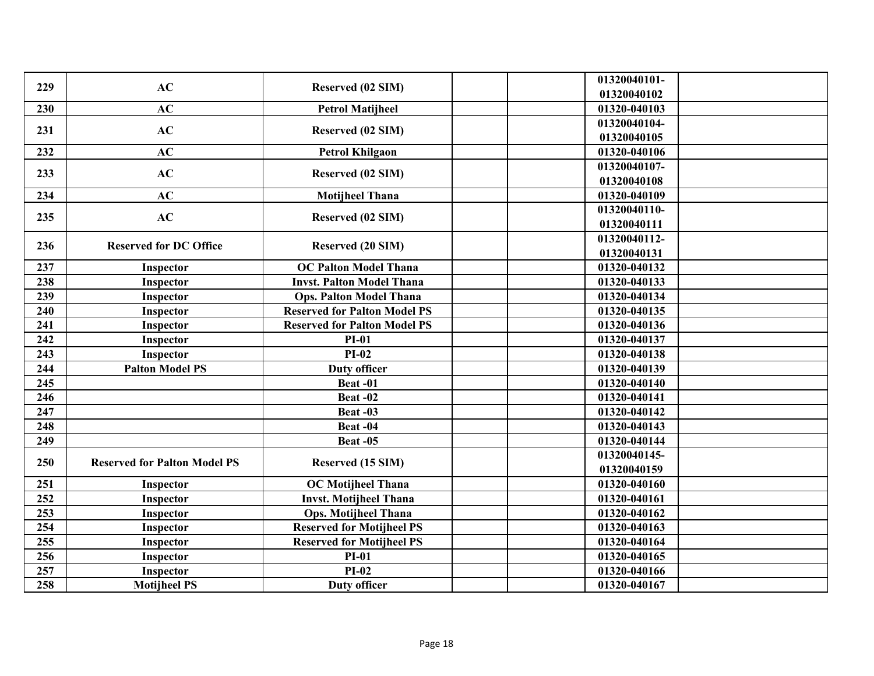| 229 | AC                                  | Reserved (02 SIM)                   | 01320040101-<br>01320040102 |
|-----|-------------------------------------|-------------------------------------|-----------------------------|
| 230 | AC                                  | <b>Petrol Matijheel</b>             | 01320-040103                |
|     |                                     |                                     | 01320040104-                |
| 231 | AC                                  | Reserved (02 SIM)                   | 01320040105                 |
| 232 | AC                                  | <b>Petrol Khilgaon</b>              | 01320-040106                |
| 233 | AC                                  | Reserved (02 SIM)                   | 01320040107-                |
|     |                                     |                                     | 01320040108                 |
| 234 | AC                                  | <b>Motijheel Thana</b>              | 01320-040109                |
| 235 | AC                                  | Reserved (02 SIM)                   | 01320040110-                |
|     |                                     |                                     | 01320040111                 |
| 236 | <b>Reserved for DC Office</b>       | <b>Reserved (20 SIM)</b>            | 01320040112-                |
|     |                                     |                                     | 01320040131                 |
| 237 | Inspector                           | <b>OC Palton Model Thana</b>        | 01320-040132                |
| 238 | Inspector                           | <b>Invst. Palton Model Thana</b>    | 01320-040133                |
| 239 | Inspector                           | <b>Ops. Palton Model Thana</b>      | 01320-040134                |
| 240 | Inspector                           | <b>Reserved for Palton Model PS</b> | 01320-040135                |
| 241 | Inspector                           | <b>Reserved for Palton Model PS</b> | 01320-040136                |
| 242 | Inspector                           | <b>PI-01</b>                        | 01320-040137                |
| 243 | Inspector                           | $PI-02$                             | 01320-040138                |
| 244 | <b>Palton Model PS</b>              | <b>Duty officer</b>                 | 01320-040139                |
| 245 |                                     | Beat-01                             | 01320-040140                |
| 246 |                                     | Beat-02                             | 01320-040141                |
| 247 |                                     | <b>Beat -03</b>                     | 01320-040142                |
| 248 |                                     | Beat-04                             | 01320-040143                |
| 249 |                                     | Beat-05                             | 01320-040144                |
| 250 | <b>Reserved for Palton Model PS</b> | Reserved (15 SIM)                   | 01320040145-                |
|     |                                     |                                     | 01320040159                 |
| 251 | Inspector                           | <b>OC</b> Motijheel Thana           | 01320-040160                |
| 252 | Inspector                           | <b>Invst. Motijheel Thana</b>       | 01320-040161                |
| 253 | Inspector                           | <b>Ops. Motijheel Thana</b>         | 01320-040162                |
| 254 | Inspector                           | <b>Reserved for Motijheel PS</b>    | 01320-040163                |
| 255 | Inspector                           | <b>Reserved for Motijheel PS</b>    | 01320-040164                |
| 256 | Inspector                           | <b>PI-01</b>                        | 01320-040165                |
| 257 | Inspector                           | $PI-02$                             | 01320-040166                |
| 258 | <b>Motijheel PS</b>                 | <b>Duty officer</b>                 | 01320-040167                |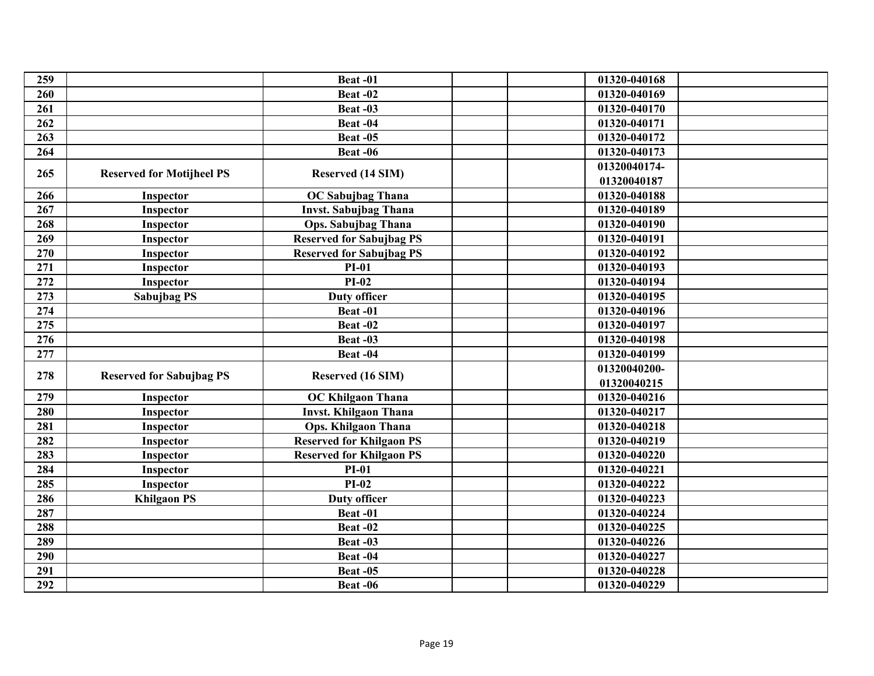| 259 |                                  | Beat-01                         | 01320-040168 |
|-----|----------------------------------|---------------------------------|--------------|
| 260 |                                  | Beat-02                         | 01320-040169 |
| 261 |                                  | Beat-03                         | 01320-040170 |
| 262 |                                  | Beat-04                         | 01320-040171 |
| 263 |                                  | Beat-05                         | 01320-040172 |
| 264 |                                  | Beat-06                         | 01320-040173 |
|     |                                  |                                 | 01320040174- |
| 265 | <b>Reserved for Motijheel PS</b> | Reserved (14 SIM)               | 01320040187  |
| 266 | Inspector                        | <b>OC Sabujbag Thana</b>        | 01320-040188 |
| 267 | Inspector                        | <b>Invst. Sabujbag Thana</b>    | 01320-040189 |
| 268 | Inspector                        | <b>Ops. Sabujbag Thana</b>      | 01320-040190 |
| 269 | Inspector                        | <b>Reserved for Sabujbag PS</b> | 01320-040191 |
| 270 | Inspector                        | <b>Reserved for Sabujbag PS</b> | 01320-040192 |
| 271 | Inspector                        | $PI-01$                         | 01320-040193 |
| 272 | Inspector                        | $PI-02$                         | 01320-040194 |
| 273 | Sabujbag PS                      | <b>Duty officer</b>             | 01320-040195 |
| 274 |                                  | Beat-01                         | 01320-040196 |
| 275 |                                  | Beat-02                         | 01320-040197 |
| 276 |                                  | Beat-03                         | 01320-040198 |
| 277 |                                  | Beat-04                         | 01320-040199 |
| 278 |                                  |                                 | 01320040200- |
|     | <b>Reserved for Sabujbag PS</b>  | Reserved (16 SIM)               | 01320040215  |
| 279 | Inspector                        | <b>OC Khilgaon Thana</b>        | 01320-040216 |
| 280 | Inspector                        | <b>Invst. Khilgaon Thana</b>    | 01320-040217 |
| 281 | Inspector                        | <b>Ops. Khilgaon Thana</b>      | 01320-040218 |
| 282 | Inspector                        | <b>Reserved for Khilgaon PS</b> | 01320-040219 |
| 283 | Inspector                        | <b>Reserved for Khilgaon PS</b> | 01320-040220 |
| 284 | Inspector                        | <b>PI-01</b>                    | 01320-040221 |
| 285 | Inspector                        | $PI-02$                         | 01320-040222 |
| 286 | <b>Khilgaon PS</b>               | <b>Duty officer</b>             | 01320-040223 |
| 287 |                                  | Beat-01                         | 01320-040224 |
| 288 |                                  | Beat-02                         | 01320-040225 |
| 289 |                                  | Beat-03                         | 01320-040226 |
| 290 |                                  | Beat-04                         | 01320-040227 |
| 291 |                                  | Beat-05                         | 01320-040228 |
| 292 |                                  | Beat -06                        | 01320-040229 |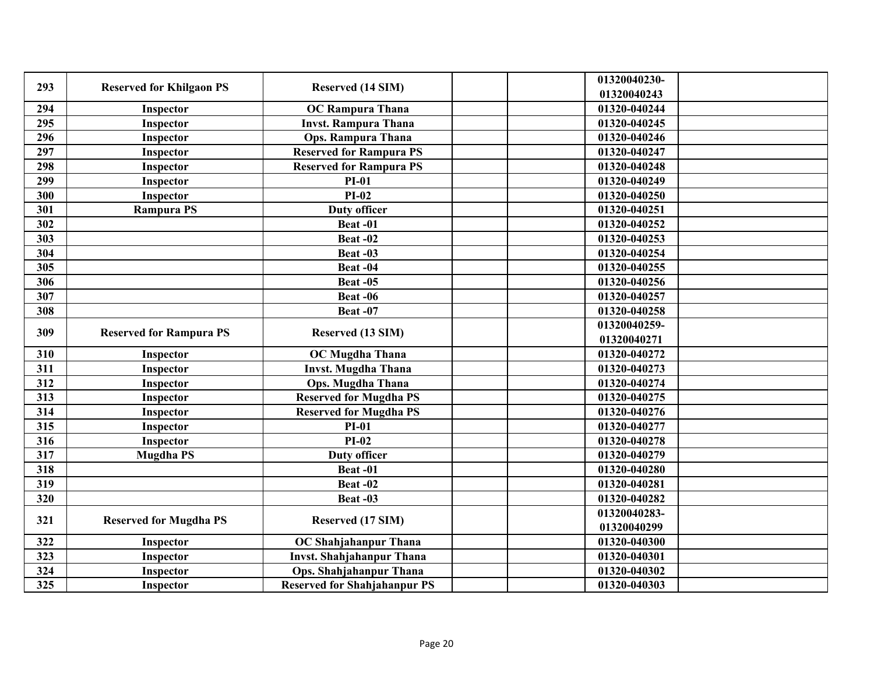| 293              | <b>Reserved for Khilgaon PS</b> | Reserved (14 SIM)                   | 01320040230-<br>01320040243 |
|------------------|---------------------------------|-------------------------------------|-----------------------------|
| 294              | <b>Inspector</b>                | <b>OC Rampura Thana</b>             | 01320-040244                |
| 295              | Inspector                       | <b>Invst. Rampura Thana</b>         | 01320-040245                |
| 296              | Inspector                       | <b>Ops. Rampura Thana</b>           | 01320-040246                |
| $\overline{297}$ | Inspector                       | <b>Reserved for Rampura PS</b>      | 01320-040247                |
| 298              | Inspector                       | <b>Reserved for Rampura PS</b>      | 01320-040248                |
| 299              | Inspector                       | $PI-01$                             | 01320-040249                |
| 300              | Inspector                       | $PI-02$                             | 01320-040250                |
| 301              | <b>Rampura PS</b>               | <b>Duty officer</b>                 | 01320-040251                |
| 302              |                                 | Beat-01                             | 01320-040252                |
| 303              |                                 | Beat-02                             | 01320-040253                |
| 304              |                                 | Beat-03                             | 01320-040254                |
| 305              |                                 | Beat-04                             | 01320-040255                |
| 306              |                                 | <b>Beat -05</b>                     | 01320-040256                |
| 307              |                                 | <b>Beat -06</b>                     | 01320-040257                |
| 308              |                                 | Beat-07                             | 01320-040258                |
| 309              | <b>Reserved for Rampura PS</b>  | Reserved (13 SIM)                   | 01320040259-<br>01320040271 |
| 310              | Inspector                       | <b>OC Mugdha Thana</b>              | 01320-040272                |
| 311              | Inspector                       | <b>Invst. Mugdha Thana</b>          | 01320-040273                |
| 312              | Inspector                       | <b>Ops. Mugdha Thana</b>            | 01320-040274                |
| 313              | <b>Inspector</b>                | <b>Reserved for Mugdha PS</b>       | 01320-040275                |
| 314              | Inspector                       | <b>Reserved for Mugdha PS</b>       | 01320-040276                |
| 315              | Inspector                       | $PI-01$                             | 01320-040277                |
| 316              | Inspector                       | $PI-02$                             | 01320-040278                |
| 317              | <b>Mugdha PS</b>                | <b>Duty officer</b>                 | 01320-040279                |
| 318              |                                 | Beat-01                             | 01320-040280                |
| 319              |                                 | <b>Beat -02</b>                     | 01320-040281                |
| 320              |                                 | Beat-03                             | 01320-040282                |
|                  |                                 |                                     | 01320040283-                |
| 321              | <b>Reserved for Mugdha PS</b>   | Reserved (17 SIM)                   | 01320040299                 |
| 322              | Inspector                       | OC Shahjahanpur Thana               | 01320-040300                |
| 323              | Inspector                       | <b>Invst. Shahjahanpur Thana</b>    | 01320-040301                |
| 324              | Inspector                       | Ops. Shahjahanpur Thana             | 01320-040302                |
| 325              | Inspector                       | <b>Reserved for Shahjahanpur PS</b> | 01320-040303                |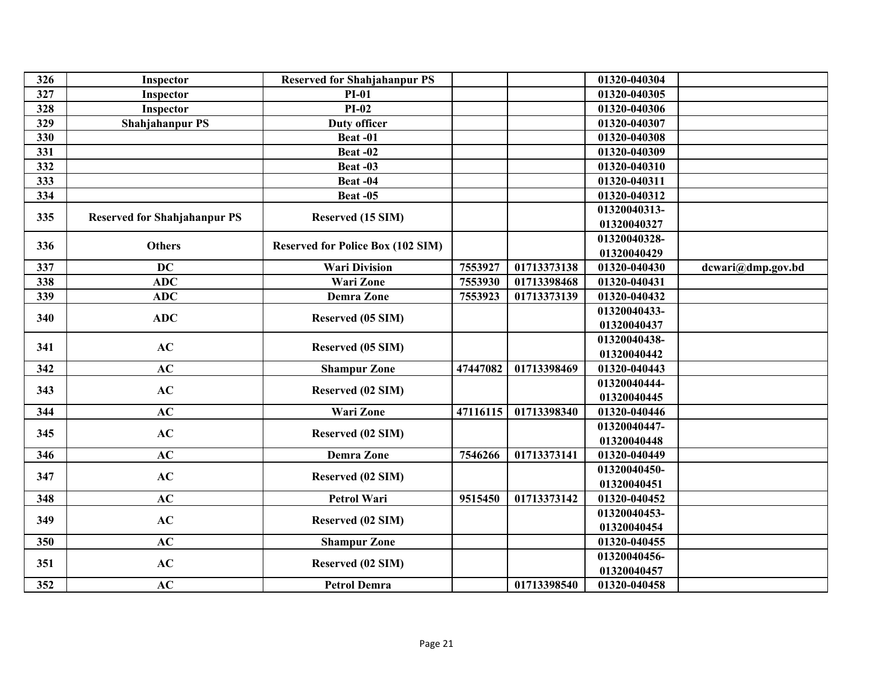| 326              | Inspector                           | <b>Reserved for Shahjahanpur PS</b>      |          |             | 01320-040304 |                   |
|------------------|-------------------------------------|------------------------------------------|----------|-------------|--------------|-------------------|
| 327              | Inspector                           | <b>PI-01</b>                             |          |             | 01320-040305 |                   |
| 328              | Inspector                           | $PI-02$                                  |          |             | 01320-040306 |                   |
| 329              | <b>Shahjahanpur PS</b>              | <b>Duty officer</b>                      |          |             | 01320-040307 |                   |
| 330              |                                     | Beat-01                                  |          |             | 01320-040308 |                   |
| 331              |                                     | Beat-02                                  |          |             | 01320-040309 |                   |
| $\overline{332}$ |                                     | Beat-03                                  |          |             | 01320-040310 |                   |
| 333              |                                     | Beat-04                                  |          |             | 01320-040311 |                   |
| 334              |                                     | <b>Beat -05</b>                          |          |             | 01320-040312 |                   |
| 335              |                                     |                                          |          |             | 01320040313- |                   |
|                  | <b>Reserved for Shahjahanpur PS</b> | Reserved (15 SIM)                        |          |             | 01320040327  |                   |
|                  |                                     |                                          |          |             | 01320040328- |                   |
| 336              | <b>Others</b>                       | <b>Reserved for Police Box (102 SIM)</b> |          |             | 01320040429  |                   |
| 337              | $\overline{DC}$                     | <b>Wari Division</b>                     | 7553927  | 01713373138 | 01320-040430 | dcwari@dmp.gov.bd |
| 338              | <b>ADC</b>                          | <b>Wari Zone</b>                         | 7553930  | 01713398468 | 01320-040431 |                   |
| 339              | ADC                                 | Demra Zone                               | 7553923  | 01713373139 | 01320-040432 |                   |
| 340              | ADC                                 |                                          |          |             | 01320040433- |                   |
|                  |                                     | Reserved (05 SIM)                        |          |             | 01320040437  |                   |
| 341              | AC                                  |                                          |          |             | 01320040438- |                   |
|                  |                                     | Reserved (05 SIM)                        |          |             | 01320040442  |                   |
| 342              | AC                                  | <b>Shampur Zone</b>                      | 47447082 | 01713398469 | 01320-040443 |                   |
| 343              | AC                                  |                                          |          |             | 01320040444- |                   |
|                  |                                     | Reserved (02 SIM)                        |          |             | 01320040445  |                   |
| 344              | AC                                  | <b>Wari Zone</b>                         | 47116115 | 01713398340 | 01320-040446 |                   |
|                  |                                     |                                          |          |             | 01320040447- |                   |
| 345              | AC                                  | Reserved (02 SIM)                        |          |             | 01320040448  |                   |
| 346              | AC                                  | <b>Demra Zone</b>                        | 7546266  | 01713373141 | 01320-040449 |                   |
| 347              | AC                                  |                                          |          |             | 01320040450- |                   |
|                  |                                     | Reserved (02 SIM)                        |          |             | 01320040451  |                   |
| 348              | AC                                  | <b>Petrol Wari</b>                       | 9515450  | 01713373142 | 01320-040452 |                   |
| 349              | AC                                  |                                          |          |             | 01320040453- |                   |
|                  |                                     | Reserved (02 SIM)                        |          |             | 01320040454  |                   |
| 350              | AC                                  | <b>Shampur Zone</b>                      |          |             | 01320-040455 |                   |
|                  |                                     |                                          |          |             | 01320040456- |                   |
| 351              | AC                                  | Reserved (02 SIM)                        |          |             | 01320040457  |                   |
| 352              | AC                                  | <b>Petrol Demra</b>                      |          | 01713398540 | 01320-040458 |                   |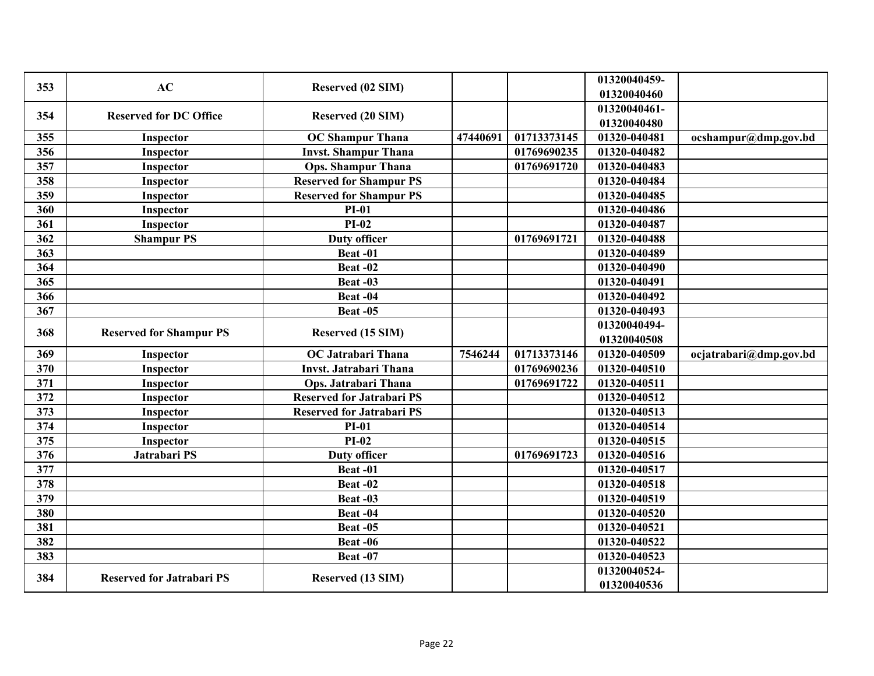| 353 | AC                                                  | Reserved (02 SIM)                |          |             | 01320040459- |                        |
|-----|-----------------------------------------------------|----------------------------------|----------|-------------|--------------|------------------------|
|     |                                                     |                                  |          |             | 01320040460  |                        |
| 354 | <b>Reserved for DC Office</b>                       | <b>Reserved (20 SIM)</b>         |          |             | 01320040461- |                        |
|     |                                                     |                                  |          |             | 01320040480  |                        |
| 355 | Inspector                                           | <b>OC Shampur Thana</b>          | 47440691 | 01713373145 | 01320-040481 | ocshampur@dmp.gov.bd   |
| 356 | Inspector                                           | <b>Invst. Shampur Thana</b>      |          | 01769690235 | 01320-040482 |                        |
| 357 | Inspector                                           | <b>Ops. Shampur Thana</b>        |          | 01769691720 | 01320-040483 |                        |
| 358 | Inspector                                           | <b>Reserved for Shampur PS</b>   |          |             | 01320-040484 |                        |
| 359 | Inspector                                           | <b>Reserved for Shampur PS</b>   |          |             | 01320-040485 |                        |
| 360 | Inspector                                           | $PI-01$                          |          |             | 01320-040486 |                        |
| 361 | Inspector                                           | $PI-02$                          |          |             | 01320-040487 |                        |
| 362 | <b>Shampur PS</b>                                   | <b>Duty officer</b>              |          | 01769691721 | 01320-040488 |                        |
| 363 |                                                     | Beat-01                          |          |             | 01320-040489 |                        |
| 364 |                                                     | <b>Beat -02</b>                  |          |             | 01320-040490 |                        |
| 365 |                                                     | Beat-03                          |          |             | 01320-040491 |                        |
| 366 |                                                     | Beat-04                          |          |             | 01320-040492 |                        |
| 367 |                                                     | Beat-05                          |          |             | 01320-040493 |                        |
|     |                                                     |                                  |          |             | 01320040494- |                        |
| 368 | <b>Reserved for Shampur PS</b><br>Reserved (15 SIM) |                                  |          | 01320040508 |              |                        |
| 369 | Inspector                                           | <b>OC Jatrabari Thana</b>        | 7546244  | 01713373146 | 01320-040509 | ocjatrabari@dmp.gov.bd |
| 370 | Inspector                                           | <b>Invst. Jatrabari Thana</b>    |          | 01769690236 | 01320-040510 |                        |
| 371 | Inspector                                           | Ops. Jatrabari Thana             |          | 01769691722 | 01320-040511 |                        |
| 372 | Inspector                                           | <b>Reserved for Jatrabari PS</b> |          |             | 01320-040512 |                        |
| 373 | Inspector                                           | <b>Reserved for Jatrabari PS</b> |          |             | 01320-040513 |                        |
| 374 | Inspector                                           | $PI-01$                          |          |             | 01320-040514 |                        |
| 375 | Inspector                                           | $PI-02$                          |          |             | 01320-040515 |                        |
| 376 | Jatrabari PS                                        | <b>Duty officer</b>              |          | 01769691723 | 01320-040516 |                        |
| 377 |                                                     | Beat-01                          |          |             | 01320-040517 |                        |
| 378 |                                                     | Beat-02                          |          |             | 01320-040518 |                        |
| 379 |                                                     | Beat-03                          |          |             | 01320-040519 |                        |
| 380 |                                                     | Beat-04                          |          |             | 01320-040520 |                        |
| 381 |                                                     | Beat-05                          |          |             | 01320-040521 |                        |
| 382 |                                                     | <b>Beat -06</b>                  |          |             | 01320-040522 |                        |
| 383 |                                                     | Beat-07                          |          |             | 01320-040523 |                        |
|     |                                                     |                                  |          |             | 01320040524- |                        |
| 384 | <b>Reserved for Jatrabari PS</b>                    | Reserved (13 SIM)                |          |             | 01320040536  |                        |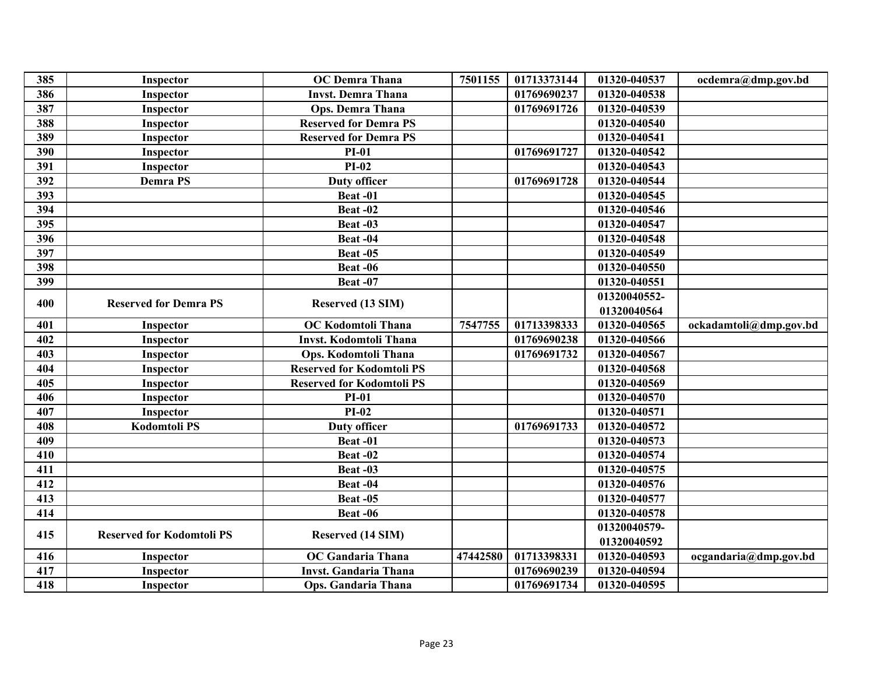| 385 | <b>Inspector</b>                 | <b>OC</b> Demra Thana            | 7501155  | 01713373144 | 01320-040537 | ocdemra@dmp.gov.bd     |
|-----|----------------------------------|----------------------------------|----------|-------------|--------------|------------------------|
| 386 | Inspector                        | <b>Invst. Demra Thana</b>        |          | 01769690237 | 01320-040538 |                        |
| 387 | Inspector                        | <b>Ops. Demra Thana</b>          |          | 01769691726 | 01320-040539 |                        |
| 388 | Inspector                        | <b>Reserved for Demra PS</b>     |          |             | 01320-040540 |                        |
| 389 | Inspector                        | <b>Reserved for Demra PS</b>     |          |             | 01320-040541 |                        |
| 390 | Inspector                        | $PI-01$                          |          | 01769691727 | 01320-040542 |                        |
| 391 | Inspector                        | $PI-02$                          |          |             | 01320-040543 |                        |
| 392 | <b>Demra PS</b>                  | <b>Duty officer</b>              |          | 01769691728 | 01320-040544 |                        |
| 393 |                                  | Beat-01                          |          |             | 01320-040545 |                        |
| 394 |                                  | Beat-02                          |          |             | 01320-040546 |                        |
| 395 |                                  | Beat -03                         |          |             | 01320-040547 |                        |
| 396 |                                  | Beat-04                          |          |             | 01320-040548 |                        |
| 397 |                                  | Beat-05                          |          |             | 01320-040549 |                        |
| 398 |                                  | Beat -06                         |          |             | 01320-040550 |                        |
| 399 |                                  | Beat-07                          |          |             | 01320-040551 |                        |
| 400 | <b>Reserved for Demra PS</b>     | Reserved (13 SIM)                |          |             | 01320040552- |                        |
|     |                                  |                                  |          |             | 01320040564  |                        |
| 401 | Inspector                        | OC Kodomtoli Thana               | 7547755  | 01713398333 | 01320-040565 | ockadamtoli@dmp.gov.bd |
| 402 | Inspector                        | Invst. Kodomtoli Thana           |          | 01769690238 | 01320-040566 |                        |
| 403 | Inspector                        | <b>Ops. Kodomtoli Thana</b>      |          | 01769691732 | 01320-040567 |                        |
| 404 | Inspector                        | <b>Reserved for Kodomtoli PS</b> |          |             | 01320-040568 |                        |
| 405 | Inspector                        | <b>Reserved for Kodomtoli PS</b> |          |             | 01320-040569 |                        |
| 406 | Inspector                        | $PI-01$                          |          |             | 01320-040570 |                        |
| 407 | Inspector                        | $PI-02$                          |          |             | 01320-040571 |                        |
| 408 | <b>Kodomtoli PS</b>              | <b>Duty officer</b>              |          | 01769691733 | 01320-040572 |                        |
| 409 |                                  | Beat-01                          |          |             | 01320-040573 |                        |
| 410 |                                  | Beat-02                          |          |             | 01320-040574 |                        |
| 411 |                                  | Beat-03                          |          |             | 01320-040575 |                        |
| 412 |                                  | Beat-04                          |          |             | 01320-040576 |                        |
| 413 |                                  | Beat -05                         |          |             | 01320-040577 |                        |
| 414 |                                  | Beat -06                         |          |             | 01320-040578 |                        |
| 415 | <b>Reserved for Kodomtoli PS</b> | Reserved (14 SIM)                |          |             | 01320040579- |                        |
|     |                                  |                                  |          |             | 01320040592  |                        |
| 416 | Inspector                        | <b>OC</b> Gandaria Thana         | 47442580 | 01713398331 | 01320-040593 | ocgandaria@dmp.gov.bd  |
| 417 | Inspector                        | <b>Invst. Gandaria Thana</b>     |          | 01769690239 | 01320-040594 |                        |
| 418 | Inspector                        | Ops. Gandaria Thana              |          | 01769691734 | 01320-040595 |                        |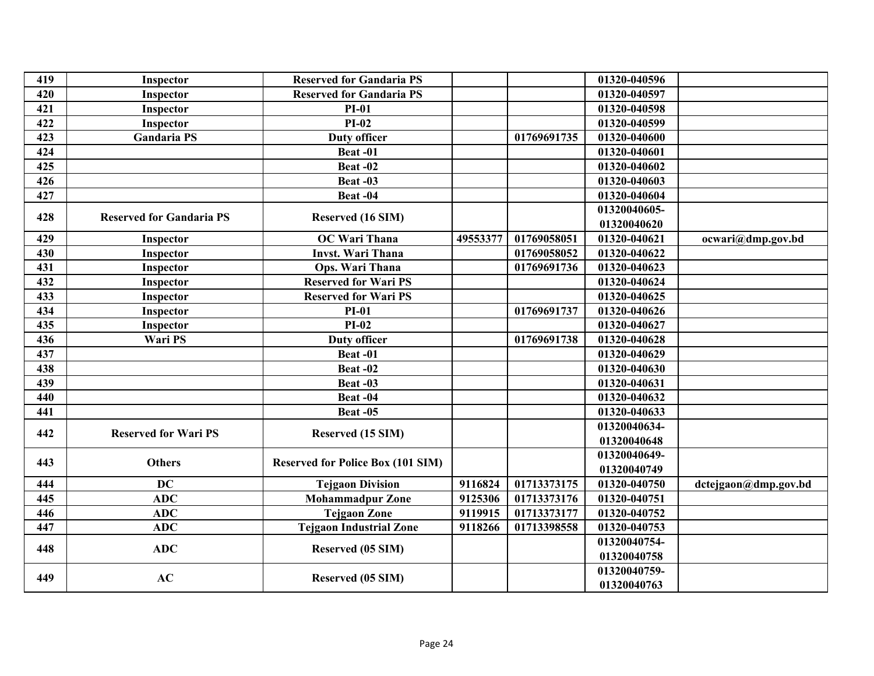| 419 | Inspector                       | <b>Reserved for Gandaria PS</b>          |          |             | 01320-040596 |                      |
|-----|---------------------------------|------------------------------------------|----------|-------------|--------------|----------------------|
| 420 | Inspector                       | <b>Reserved for Gandaria PS</b>          |          |             | 01320-040597 |                      |
| 421 | Inspector                       | $PI-01$                                  |          |             | 01320-040598 |                      |
| 422 | Inspector                       | $PI-02$                                  |          |             | 01320-040599 |                      |
| 423 | <b>Gandaria PS</b>              | <b>Duty officer</b>                      |          | 01769691735 | 01320-040600 |                      |
| 424 |                                 | Beat-01                                  |          |             | 01320-040601 |                      |
| 425 |                                 | Beat-02                                  |          |             | 01320-040602 |                      |
| 426 |                                 | Beat -03                                 |          |             | 01320-040603 |                      |
| 427 |                                 | Beat-04                                  |          |             | 01320-040604 |                      |
| 428 | <b>Reserved for Gandaria PS</b> |                                          |          |             | 01320040605- |                      |
|     |                                 | Reserved (16 SIM)                        |          |             | 01320040620  |                      |
| 429 | Inspector                       | <b>OC Wari Thana</b>                     | 49553377 | 01769058051 | 01320-040621 | ocwari@dmp.gov.bd    |
| 430 | Inspector                       | <b>Invst. Wari Thana</b>                 |          | 01769058052 | 01320-040622 |                      |
| 431 | Inspector                       | Ops. Wari Thana                          |          | 01769691736 | 01320-040623 |                      |
| 432 | Inspector                       | <b>Reserved for Wari PS</b>              |          |             | 01320-040624 |                      |
| 433 | <b>Inspector</b>                | <b>Reserved for Wari PS</b>              |          |             | 01320-040625 |                      |
| 434 | Inspector                       | $PI-01$                                  |          | 01769691737 | 01320-040626 |                      |
| 435 | Inspector                       | $PI-02$                                  |          |             | 01320-040627 |                      |
| 436 | Wari PS                         | <b>Duty officer</b>                      |          | 01769691738 | 01320-040628 |                      |
| 437 |                                 | Beat-01                                  |          |             | 01320-040629 |                      |
| 438 |                                 | Beat-02                                  |          |             | 01320-040630 |                      |
| 439 |                                 | Beat-03                                  |          |             | 01320-040631 |                      |
| 440 |                                 | Beat-04                                  |          |             | 01320-040632 |                      |
| 441 |                                 | Beat-05                                  |          |             | 01320-040633 |                      |
| 442 | <b>Reserved for Wari PS</b>     |                                          |          |             | 01320040634- |                      |
|     |                                 | Reserved (15 SIM)                        |          |             | 01320040648  |                      |
| 443 | <b>Others</b>                   |                                          |          |             | 01320040649- |                      |
|     |                                 | <b>Reserved for Police Box (101 SIM)</b> |          |             | 01320040749  |                      |
| 444 | <b>DC</b>                       | <b>Tejgaon Division</b>                  | 9116824  | 01713373175 | 01320-040750 | dctejgaon@dmp.gov.bd |
| 445 | <b>ADC</b>                      | <b>Mohammadpur Zone</b>                  | 9125306  | 01713373176 | 01320-040751 |                      |
| 446 | <b>ADC</b>                      | <b>Tejgaon Zone</b>                      | 9119915  | 01713373177 | 01320-040752 |                      |
| 447 | <b>ADC</b>                      | <b>Tejgaon Industrial Zone</b>           | 9118266  | 01713398558 | 01320-040753 |                      |
|     |                                 |                                          |          |             | 01320040754- |                      |
| 448 | <b>ADC</b>                      | Reserved (05 SIM)                        |          |             | 01320040758  |                      |
| 449 | AC                              |                                          |          |             | 01320040759- |                      |
|     |                                 | Reserved (05 SIM)                        |          |             | 01320040763  |                      |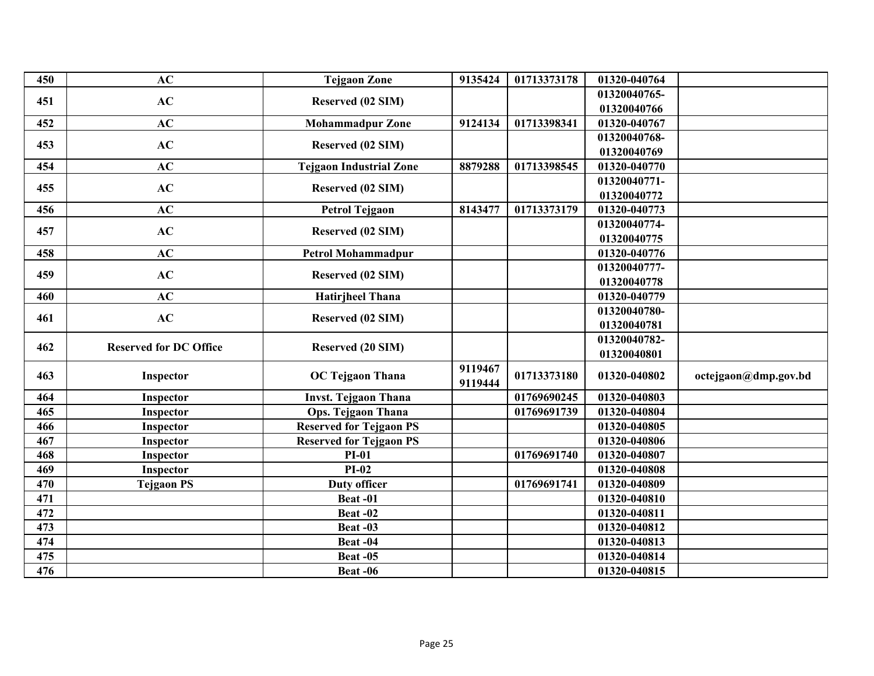| 450 | AC                            | <b>Tejgaon Zone</b>            | 9135424 | 01713373178 | 01320-040764 |                      |
|-----|-------------------------------|--------------------------------|---------|-------------|--------------|----------------------|
| 451 | AC                            | Reserved (02 SIM)              |         |             | 01320040765- |                      |
|     |                               |                                |         |             | 01320040766  |                      |
| 452 | AC                            | <b>Mohammadpur Zone</b>        | 9124134 | 01713398341 | 01320-040767 |                      |
| 453 | AC                            | Reserved (02 SIM)              |         |             | 01320040768- |                      |
|     |                               |                                |         |             | 01320040769  |                      |
| 454 | AC                            | <b>Tejgaon Industrial Zone</b> | 8879288 | 01713398545 | 01320-040770 |                      |
| 455 | AC                            | Reserved (02 SIM)              |         |             | 01320040771- |                      |
|     |                               |                                |         |             | 01320040772  |                      |
| 456 | AC                            | <b>Petrol Tejgaon</b>          | 8143477 | 01713373179 | 01320-040773 |                      |
| 457 | AC                            | <b>Reserved (02 SIM)</b>       |         |             | 01320040774- |                      |
|     |                               |                                |         |             | 01320040775  |                      |
| 458 | AC                            | <b>Petrol Mohammadpur</b>      |         |             | 01320-040776 |                      |
| 459 | AC                            | Reserved (02 SIM)              |         |             | 01320040777- |                      |
|     |                               |                                |         |             | 01320040778  |                      |
| 460 | AC                            | <b>Hatirjheel Thana</b>        |         |             | 01320-040779 |                      |
| 461 | AC                            | Reserved (02 SIM)              |         |             | 01320040780- |                      |
|     |                               |                                |         |             | 01320040781  |                      |
| 462 | <b>Reserved for DC Office</b> | <b>Reserved (20 SIM)</b>       |         |             | 01320040782- |                      |
|     |                               |                                |         |             | 01320040801  |                      |
| 463 | Inspector                     | <b>OC Tejgaon Thana</b>        | 9119467 | 01713373180 | 01320-040802 | octejgaon@dmp.gov.bd |
|     |                               |                                | 9119444 |             |              |                      |
| 464 | Inspector                     | <b>Invst. Tejgaon Thana</b>    |         | 01769690245 | 01320-040803 |                      |
| 465 | Inspector                     | <b>Ops. Tejgaon Thana</b>      |         | 01769691739 | 01320-040804 |                      |
| 466 | Inspector                     | <b>Reserved for Tejgaon PS</b> |         |             | 01320-040805 |                      |
| 467 | Inspector                     | <b>Reserved for Tejgaon PS</b> |         |             | 01320-040806 |                      |
| 468 | Inspector                     | $PI-01$                        |         | 01769691740 | 01320-040807 |                      |
| 469 | Inspector                     | $PI-02$                        |         |             | 01320-040808 |                      |
| 470 | <b>Tejgaon PS</b>             | <b>Duty officer</b>            |         | 01769691741 | 01320-040809 |                      |
| 471 |                               | Beat-01                        |         |             | 01320-040810 |                      |
| 472 |                               | Beat-02                        |         |             | 01320-040811 |                      |
| 473 |                               | Beat -03                       |         |             | 01320-040812 |                      |
| 474 |                               | Beat-04                        |         |             | 01320-040813 |                      |
| 475 |                               | Beat-05                        |         |             | 01320-040814 |                      |
| 476 |                               | Beat -06                       |         |             | 01320-040815 |                      |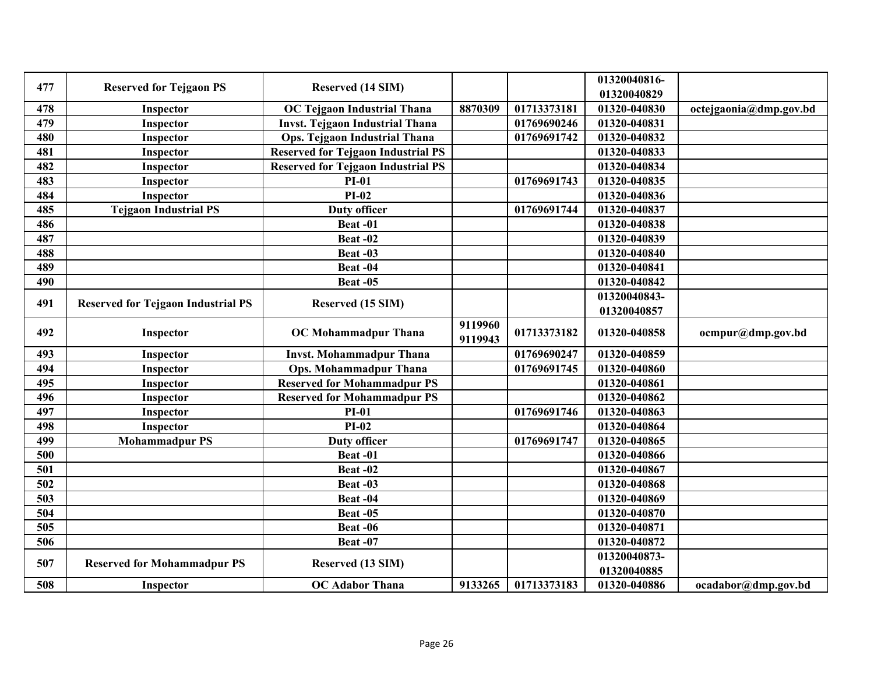| 477 | <b>Reserved for Tejgaon PS</b>            | <b>Reserved (14 SIM)</b>                  |                    |             | 01320040816-<br>01320040829 |                        |
|-----|-------------------------------------------|-------------------------------------------|--------------------|-------------|-----------------------------|------------------------|
| 478 | Inspector                                 | <b>OC Tejgaon Industrial Thana</b>        | 8870309            | 01713373181 | 01320-040830                | octejgaonia@dmp.gov.bd |
| 479 | Inspector                                 | <b>Invst. Tejgaon Industrial Thana</b>    |                    | 01769690246 | 01320-040831                |                        |
| 480 | Inspector                                 | Ops. Tejgaon Industrial Thana             |                    | 01769691742 | 01320-040832                |                        |
| 481 | Inspector                                 | <b>Reserved for Tejgaon Industrial PS</b> |                    |             | 01320-040833                |                        |
| 482 | Inspector                                 | <b>Reserved for Tejgaon Industrial PS</b> |                    |             | 01320-040834                |                        |
| 483 | Inspector                                 | <b>PI-01</b>                              |                    | 01769691743 | 01320-040835                |                        |
| 484 | Inspector                                 | $PI-02$                                   |                    |             | 01320-040836                |                        |
| 485 | <b>Tejgaon Industrial PS</b>              | <b>Duty officer</b>                       |                    | 01769691744 | 01320-040837                |                        |
| 486 |                                           | Beat-01                                   |                    |             | 01320-040838                |                        |
| 487 |                                           | Beat-02                                   |                    |             | 01320-040839                |                        |
| 488 |                                           | Beat-03                                   |                    |             | 01320-040840                |                        |
| 489 |                                           | Beat-04                                   |                    |             | 01320-040841                |                        |
| 490 |                                           | Beat $-0\overline{5}$                     |                    |             | 01320-040842                |                        |
| 491 | <b>Reserved for Tejgaon Industrial PS</b> | Reserved (15 SIM)                         |                    |             | 01320040843-                |                        |
|     |                                           |                                           |                    |             | 01320040857                 |                        |
| 492 | Inspector                                 | <b>OC</b> Mohammadpur Thana               | 9119960<br>9119943 | 01713373182 | 01320-040858                | ocmpur@dmp.gov.bd      |
| 493 | Inspector                                 | <b>Invst. Mohammadpur Thana</b>           |                    | 01769690247 | 01320-040859                |                        |
| 494 | Inspector                                 | <b>Ops. Mohammadpur Thana</b>             |                    | 01769691745 | 01320-040860                |                        |
| 495 | Inspector                                 | <b>Reserved for Mohammadpur PS</b>        |                    |             | 01320-040861                |                        |
| 496 | Inspector                                 | <b>Reserved for Mohammadpur PS</b>        |                    |             | 01320-040862                |                        |
| 497 | Inspector                                 | $PI-01$                                   |                    | 01769691746 | 01320-040863                |                        |
| 498 | Inspector                                 | $PI-02$                                   |                    |             | 01320-040864                |                        |
| 499 | <b>Mohammadpur PS</b>                     | <b>Duty officer</b>                       |                    | 01769691747 | 01320-040865                |                        |
| 500 |                                           | Beat-01                                   |                    |             | 01320-040866                |                        |
| 501 |                                           | Beat-02                                   |                    |             | 01320-040867                |                        |
| 502 |                                           | Beat-03                                   |                    |             | 01320-040868                |                        |
| 503 |                                           | Beat-04                                   |                    |             | 01320-040869                |                        |
| 504 |                                           | Beat-05                                   |                    |             | 01320-040870                |                        |
| 505 |                                           | Beat-06                                   |                    |             | 01320-040871                |                        |
| 506 |                                           | <b>Beat -07</b>                           |                    |             | 01320-040872                |                        |
| 507 | <b>Reserved for Mohammadpur PS</b>        | Reserved (13 SIM)                         |                    |             | 01320040873-<br>01320040885 |                        |
| 508 | Inspector                                 | <b>OC</b> Adabor Thana                    | 9133265            | 01713373183 | 01320-040886                | ocadabor@dmp.gov.bd    |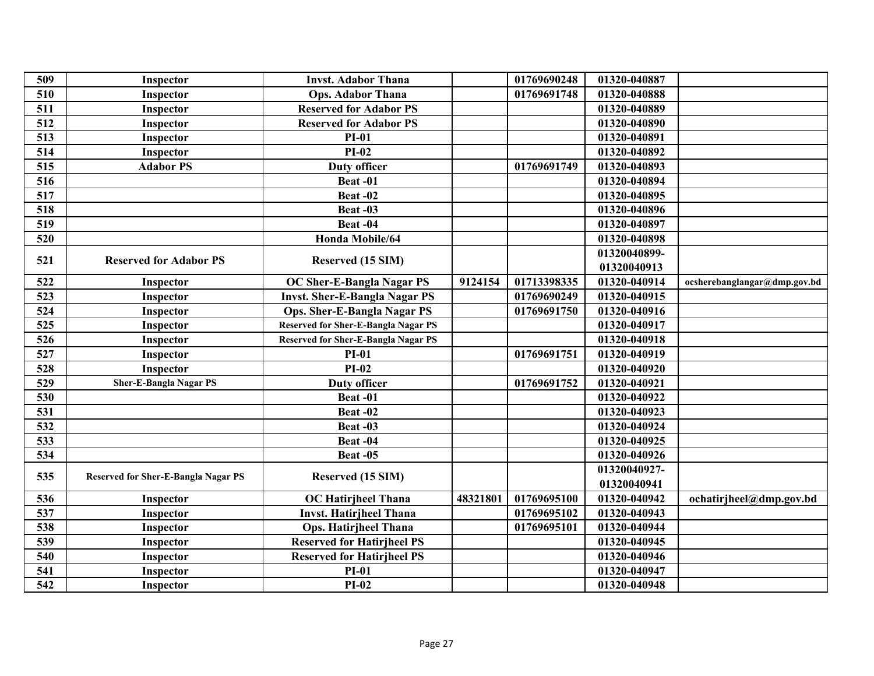| 509 | Inspector                                  | <b>Invst. Adabor Thana</b>                 |          | 01769690248 | 01320-040887 |                              |
|-----|--------------------------------------------|--------------------------------------------|----------|-------------|--------------|------------------------------|
| 510 | Inspector                                  | <b>Ops. Adabor Thana</b>                   |          | 01769691748 | 01320-040888 |                              |
| 511 | Inspector                                  | <b>Reserved for Adabor PS</b>              |          |             | 01320-040889 |                              |
| 512 | Inspector                                  | <b>Reserved for Adabor PS</b>              |          |             | 01320-040890 |                              |
| 513 | Inspector                                  | <b>PI-01</b>                               |          |             | 01320-040891 |                              |
| 514 | Inspector                                  | $PI-02$                                    |          |             | 01320-040892 |                              |
| 515 | <b>Adabor PS</b>                           | <b>Duty officer</b>                        |          | 01769691749 | 01320-040893 |                              |
| 516 |                                            | Beat-01                                    |          |             | 01320-040894 |                              |
| 517 |                                            | Beat-02                                    |          |             | 01320-040895 |                              |
| 518 |                                            | Beat-03                                    |          |             | 01320-040896 |                              |
| 519 |                                            | Beat-04                                    |          |             | 01320-040897 |                              |
| 520 |                                            | Honda Mobile/64                            |          |             | 01320-040898 |                              |
| 521 | <b>Reserved for Adabor PS</b>              |                                            |          |             | 01320040899- |                              |
|     |                                            | Reserved (15 SIM)                          |          |             | 01320040913  |                              |
| 522 | Inspector                                  | OC Sher-E-Bangla Nagar PS                  | 9124154  | 01713398335 | 01320-040914 | ocsherebanglangar@dmp.gov.bd |
| 523 | Inspector                                  | <b>Invst. Sher-E-Bangla Nagar PS</b>       |          | 01769690249 | 01320-040915 |                              |
| 524 | Inspector                                  | <b>Ops. Sher-E-Bangla Nagar PS</b>         |          | 01769691750 | 01320-040916 |                              |
| 525 | Inspector                                  | <b>Reserved for Sher-E-Bangla Nagar PS</b> |          |             | 01320-040917 |                              |
| 526 | Inspector                                  | <b>Reserved for Sher-E-Bangla Nagar PS</b> |          |             | 01320-040918 |                              |
| 527 | Inspector                                  | <b>PI-01</b>                               |          | 01769691751 | 01320-040919 |                              |
| 528 | Inspector                                  | <b>PI-02</b>                               |          |             | 01320-040920 |                              |
| 529 | <b>Sher-E-Bangla Nagar PS</b>              | <b>Duty officer</b>                        |          | 01769691752 | 01320-040921 |                              |
| 530 |                                            | Beat-01                                    |          |             | 01320-040922 |                              |
| 531 |                                            | <b>Beat -02</b>                            |          |             | 01320-040923 |                              |
| 532 |                                            | Beat -03                                   |          |             | 01320-040924 |                              |
| 533 |                                            | Beat-04                                    |          |             | 01320-040925 |                              |
| 534 |                                            | Beat-05                                    |          |             | 01320-040926 |                              |
|     |                                            |                                            |          |             | 01320040927- |                              |
| 535 | <b>Reserved for Sher-E-Bangla Nagar PS</b> | Reserved (15 SIM)                          |          |             | 01320040941  |                              |
| 536 | Inspector                                  | <b>OC</b> Hatirjheel Thana                 | 48321801 | 01769695100 | 01320-040942 | ochatirjheel@dmp.gov.bd      |
| 537 | Inspector                                  | <b>Invst. Hatirjheel Thana</b>             |          | 01769695102 | 01320-040943 |                              |
| 538 | Inspector                                  | <b>Ops. Hatirjheel Thana</b>               |          | 01769695101 | 01320-040944 |                              |
| 539 | Inspector                                  | <b>Reserved for Hatirjheel PS</b>          |          |             | 01320-040945 |                              |
| 540 | Inspector                                  | <b>Reserved for Hatirjheel PS</b>          |          |             | 01320-040946 |                              |
| 541 | Inspector                                  | <b>PI-01</b>                               |          |             | 01320-040947 |                              |
| 542 | Inspector                                  | $PI-02$                                    |          |             | 01320-040948 |                              |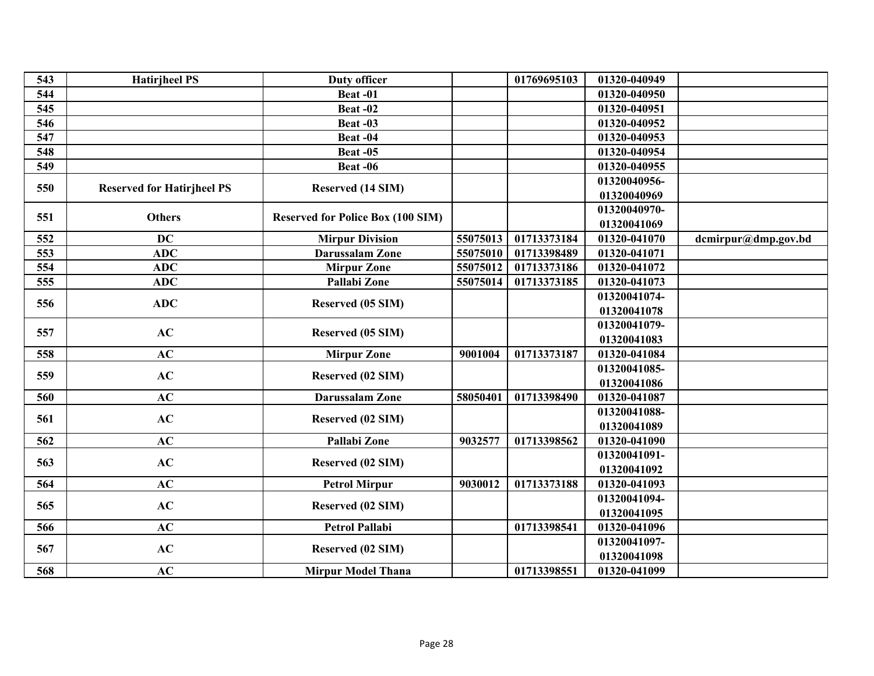|                                          | <b>Duty officer</b>                      | 01769695103 | 01320-040949 |                     |
|------------------------------------------|------------------------------------------|-------------|--------------|---------------------|
| 544                                      | Beat-01                                  |             | 01320-040950 |                     |
| 545                                      | Beat-02                                  |             | 01320-040951 |                     |
| 546                                      | Beat-03                                  |             | 01320-040952 |                     |
| 547                                      | Beat-04                                  |             | 01320-040953 |                     |
| 548                                      | Beat-05                                  |             | 01320-040954 |                     |
| 549                                      | Beat-06                                  |             | 01320-040955 |                     |
|                                          |                                          |             | 01320040956- |                     |
| 550<br><b>Reserved for Hatirjheel PS</b> | Reserved (14 SIM)                        |             | 01320040969  |                     |
|                                          |                                          |             | 01320040970- |                     |
| <b>Others</b><br>551                     | <b>Reserved for Police Box (100 SIM)</b> |             | 01320041069  |                     |
| 552<br><b>DC</b>                         | 55075013<br><b>Mirpur Division</b>       | 01713373184 | 01320-041070 | dcmirpur@dmp.gov.bd |
| 553<br><b>ADC</b>                        | <b>Darussalam Zone</b><br>55075010       | 01713398489 | 01320-041071 |                     |
| 554<br><b>ADC</b>                        | 55075012<br><b>Mirpur Zone</b>           | 01713373186 | 01320-041072 |                     |
| <b>ADC</b><br>555                        | Pallabi Zone<br>55075014                 | 01713373185 | 01320-041073 |                     |
|                                          |                                          |             | 01320041074- |                     |
| <b>ADC</b><br>556                        | Reserved (05 SIM)                        |             | 01320041078  |                     |
|                                          |                                          |             | 01320041079- |                     |
| AC<br>557                                | Reserved (05 SIM)                        |             | 01320041083  |                     |
| AC<br>558                                | 9001004<br><b>Mirpur Zone</b>            | 01713373187 | 01320-041084 |                     |
|                                          |                                          |             | 01320041085- |                     |
| AC<br>559                                | Reserved (02 SIM)                        |             | 01320041086  |                     |
| AC<br>560                                | <b>Darussalam Zone</b><br>58050401       | 01713398490 | 01320-041087 |                     |
|                                          |                                          |             | 01320041088- |                     |
| AC<br>561                                | Reserved (02 SIM)                        |             | 01320041089  |                     |
| AC<br>562                                | Pallabi Zone<br>9032577                  | 01713398562 | 01320-041090 |                     |
|                                          |                                          |             | 01320041091- |                     |
| AC<br>563                                | Reserved (02 SIM)                        |             | 01320041092  |                     |
| AC<br>564                                | 9030012<br><b>Petrol Mirpur</b>          | 01713373188 | 01320-041093 |                     |
|                                          |                                          |             | 01320041094- |                     |
| AC<br>565                                | Reserved (02 SIM)                        |             | 01320041095  |                     |
| AC<br>566                                | <b>Petrol Pallabi</b>                    | 01713398541 | 01320-041096 |                     |
|                                          |                                          |             | 01320041097- |                     |
| AC<br>567                                | Reserved (02 SIM)                        |             | 01320041098  |                     |
| 568<br>AC                                | <b>Mirpur Model Thana</b>                | 01713398551 | 01320-041099 |                     |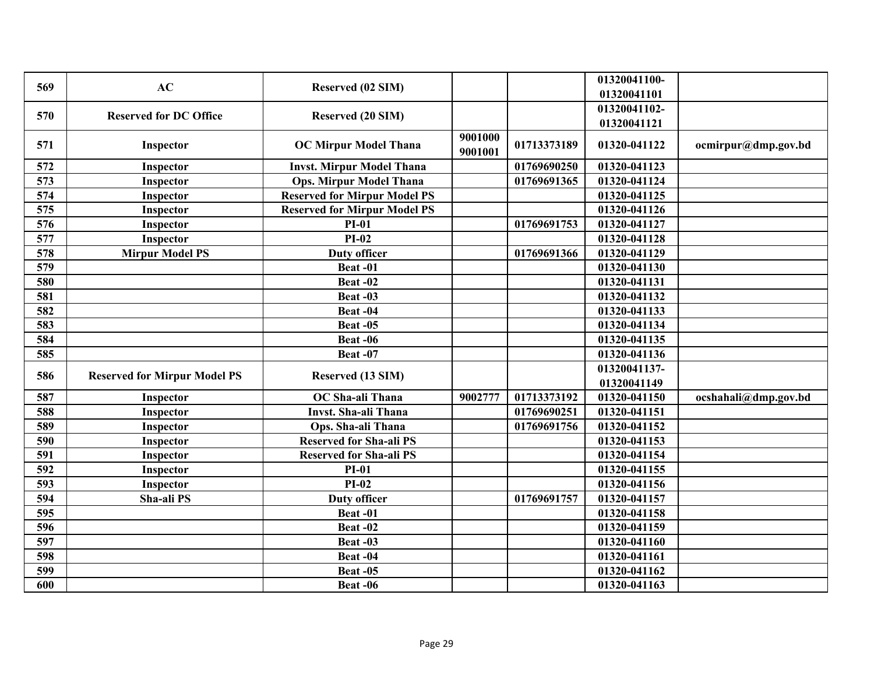| 569 | AC                                  | Reserved (02 SIM)                   |                    |             | 01320041100-                |                      |
|-----|-------------------------------------|-------------------------------------|--------------------|-------------|-----------------------------|----------------------|
|     |                                     |                                     |                    |             | 01320041101                 |                      |
| 570 | <b>Reserved for DC Office</b>       | <b>Reserved (20 SIM)</b>            |                    |             | 01320041102-                |                      |
|     |                                     |                                     |                    |             | 01320041121                 |                      |
| 571 | Inspector                           | <b>OC Mirpur Model Thana</b>        | 9001000<br>9001001 | 01713373189 | 01320-041122                | ocmirpur@dmp.gov.bd  |
| 572 | Inspector                           | <b>Invst. Mirpur Model Thana</b>    |                    | 01769690250 | 01320-041123                |                      |
| 573 | Inspector                           | <b>Ops. Mirpur Model Thana</b>      |                    | 01769691365 | $\overline{01}320 - 041124$ |                      |
| 574 | Inspector                           | <b>Reserved for Mirpur Model PS</b> |                    |             | 01320-041125                |                      |
| 575 | Inspector                           | <b>Reserved for Mirpur Model PS</b> |                    |             | 01320-041126                |                      |
| 576 | Inspector                           | <b>PI-01</b>                        |                    | 01769691753 | 01320-041127                |                      |
| 577 | Inspector                           | $PI-02$                             |                    |             | 01320-041128                |                      |
| 578 | <b>Mirpur Model PS</b>              | <b>Duty officer</b>                 |                    | 01769691366 | 01320-041129                |                      |
| 579 |                                     | Beat-01                             |                    |             | 01320-041130                |                      |
| 580 |                                     | <b>Beat -02</b>                     |                    |             | 01320-041131                |                      |
| 581 |                                     | Beat -03                            |                    |             | 01320-041132                |                      |
| 582 |                                     | Beat-04                             |                    |             | 01320-041133                |                      |
| 583 |                                     | Beat-05                             |                    |             | 01320-041134                |                      |
| 584 |                                     | Beat -06                            |                    |             | 01320-041135                |                      |
| 585 |                                     | <b>Beat -07</b>                     |                    |             | 01320-041136                |                      |
|     |                                     |                                     |                    |             | 01320041137-                |                      |
| 586 | <b>Reserved for Mirpur Model PS</b> | Reserved (13 SIM)                   |                    |             | 01320041149                 |                      |
| 587 | Inspector                           | OC Sha-ali Thana                    | 9002777            | 01713373192 | 01320-041150                | ocshahali@dmp.gov.bd |
| 588 | Inspector                           | <b>Invst. Sha-ali Thana</b>         |                    | 01769690251 | 01320-041151                |                      |
| 589 | Inspector                           | Ops. Sha-ali Thana                  |                    | 01769691756 | 01320-041152                |                      |
| 590 | Inspector                           | <b>Reserved for Sha-ali PS</b>      |                    |             | 01320-041153                |                      |
| 591 | Inspector                           | <b>Reserved for Sha-ali PS</b>      |                    |             | 01320-041154                |                      |
| 592 | Inspector                           | $PI-01$                             |                    |             | 01320-041155                |                      |
| 593 | Inspector                           | $PI-02$                             |                    |             | 01320-041156                |                      |
| 594 | Sha-ali PS                          | <b>Duty officer</b>                 |                    | 01769691757 | 01320-041157                |                      |
| 595 |                                     | Beat-01                             |                    |             | 01320-041158                |                      |
| 596 |                                     | Beat-02                             |                    |             | 01320-041159                |                      |
| 597 |                                     | Beat -03                            |                    |             | 01320-041160                |                      |
| 598 |                                     | Beat-04                             |                    |             | 01320-041161                |                      |
| 599 |                                     | Beat-05                             |                    |             | 01320-041162                |                      |
| 600 |                                     | Beat -06                            |                    |             | 01320-041163                |                      |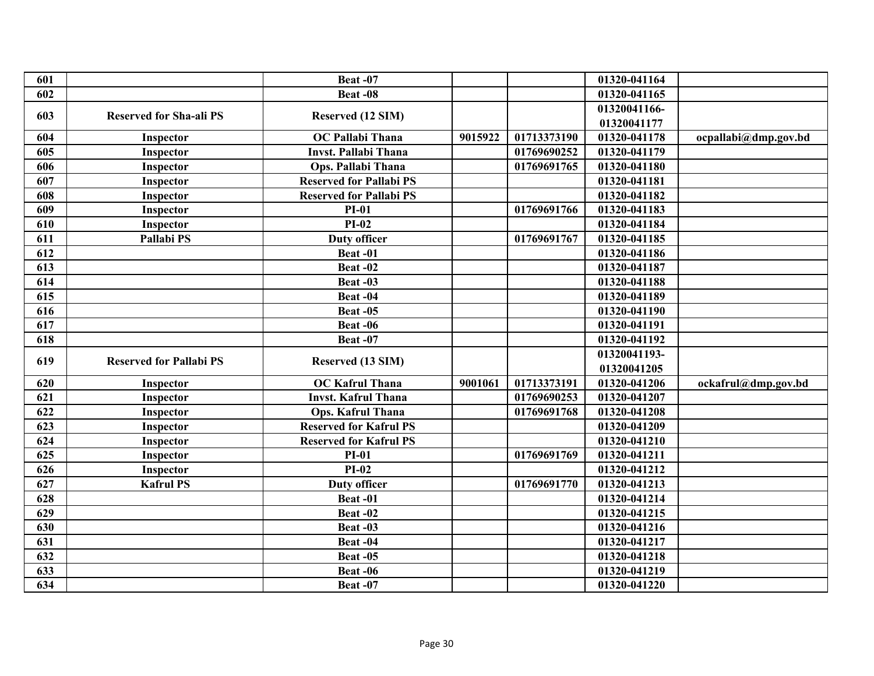| 601 |                                | Beat-07                        |         |             | 01320-041164 |                      |
|-----|--------------------------------|--------------------------------|---------|-------------|--------------|----------------------|
| 602 |                                | Beat -08                       |         |             | 01320-041165 |                      |
|     |                                |                                |         |             | 01320041166- |                      |
| 603 | <b>Reserved for Sha-ali PS</b> | Reserved (12 SIM)              |         |             | 01320041177  |                      |
| 604 | Inspector                      | <b>OC Pallabi Thana</b>        | 9015922 | 01713373190 | 01320-041178 | ocpallabi@dmp.gov.bd |
| 605 | Inspector                      | <b>Invst. Pallabi Thana</b>    |         | 01769690252 | 01320-041179 |                      |
| 606 | Inspector                      | Ops. Pallabi Thana             |         | 01769691765 | 01320-041180 |                      |
| 607 | Inspector                      | <b>Reserved for Pallabi PS</b> |         |             | 01320-041181 |                      |
| 608 | Inspector                      | <b>Reserved for Pallabi PS</b> |         |             | 01320-041182 |                      |
| 609 | Inspector                      | $PI-01$                        |         | 01769691766 | 01320-041183 |                      |
| 610 | Inspector                      | $PI-02$                        |         |             | 01320-041184 |                      |
| 611 | Pallabi PS                     | <b>Duty officer</b>            |         | 01769691767 | 01320-041185 |                      |
| 612 |                                | Beat-01                        |         |             | 01320-041186 |                      |
| 613 |                                | Beat-02                        |         |             | 01320-041187 |                      |
| 614 |                                | Beat-03                        |         |             | 01320-041188 |                      |
| 615 |                                | Beat-04                        |         |             | 01320-041189 |                      |
| 616 |                                | Beat-05                        |         |             | 01320-041190 |                      |
| 617 |                                | Beat -06                       |         |             | 01320-041191 |                      |
| 618 |                                | Beat-07                        |         |             | 01320-041192 |                      |
| 619 | <b>Reserved for Pallabi PS</b> |                                |         |             | 01320041193- |                      |
|     |                                | Reserved (13 SIM)              |         |             | 01320041205  |                      |
| 620 | Inspector                      | <b>OC Kafrul Thana</b>         | 9001061 | 01713373191 | 01320-041206 | ockafrul@dmp.gov.bd  |
| 621 | Inspector                      | <b>Invst. Kafrul Thana</b>     |         | 01769690253 | 01320-041207 |                      |
| 622 | Inspector                      | Ops. Kafrul Thana              |         | 01769691768 | 01320-041208 |                      |
| 623 | Inspector                      | <b>Reserved for Kafrul PS</b>  |         |             | 01320-041209 |                      |
| 624 | Inspector                      | <b>Reserved for Kafrul PS</b>  |         |             | 01320-041210 |                      |
| 625 | Inspector                      | <b>PI-01</b>                   |         | 01769691769 | 01320-041211 |                      |
| 626 | Inspector                      | $PI-02$                        |         |             | 01320-041212 |                      |
| 627 | <b>Kafrul PS</b>               | <b>Duty officer</b>            |         | 01769691770 | 01320-041213 |                      |
| 628 |                                | Beat-01                        |         |             | 01320-041214 |                      |
| 629 |                                | Beat-02                        |         |             | 01320-041215 |                      |
| 630 |                                | Beat -03                       |         |             | 01320-041216 |                      |
| 631 |                                | Beat-04                        |         |             | 01320-041217 |                      |
| 632 |                                | Beat -05                       |         |             | 01320-041218 |                      |
| 633 |                                | Beat -06                       |         |             | 01320-041219 |                      |
| 634 |                                | Beat-07                        |         |             | 01320-041220 |                      |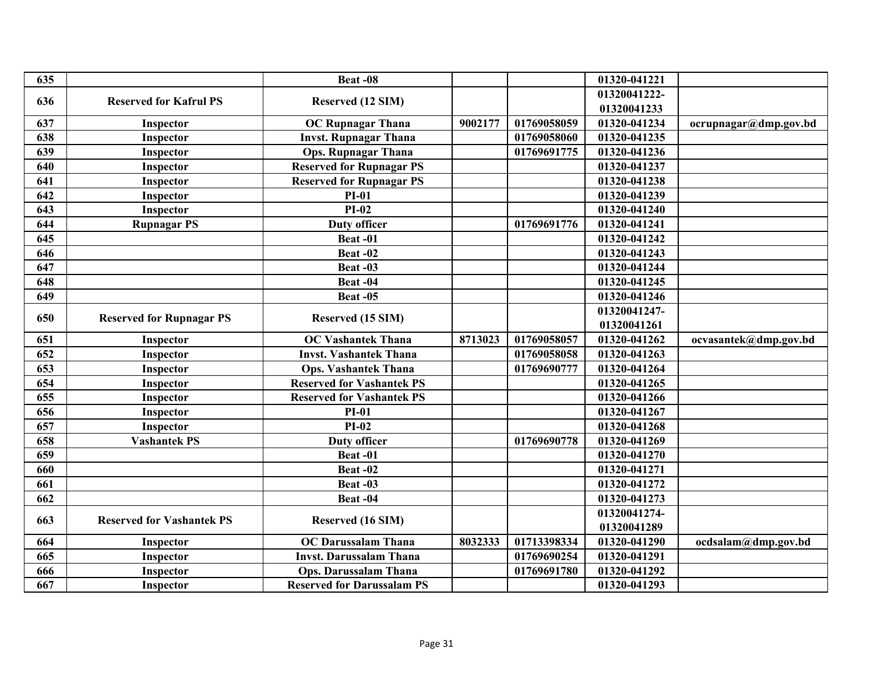| 635 |                                  | Beat-08                           |         |             | 01320-041221 |                       |
|-----|----------------------------------|-----------------------------------|---------|-------------|--------------|-----------------------|
| 636 | <b>Reserved for Kafrul PS</b>    |                                   |         |             | 01320041222- |                       |
|     |                                  | Reserved (12 SIM)                 |         |             | 01320041233  |                       |
| 637 | Inspector                        | <b>OC Rupnagar Thana</b>          | 9002177 | 01769058059 | 01320-041234 | ocrupnagar@dmp.gov.bd |
| 638 | Inspector                        | <b>Invst. Rupnagar Thana</b>      |         | 01769058060 | 01320-041235 |                       |
| 639 | Inspector                        | <b>Ops. Rupnagar Thana</b>        |         | 01769691775 | 01320-041236 |                       |
| 640 | Inspector                        | <b>Reserved for Rupnagar PS</b>   |         |             | 01320-041237 |                       |
| 641 | Inspector                        | <b>Reserved for Rupnagar PS</b>   |         |             | 01320-041238 |                       |
| 642 | Inspector                        | <b>PI-01</b>                      |         |             | 01320-041239 |                       |
| 643 | Inspector                        | $PI-02$                           |         |             | 01320-041240 |                       |
| 644 | <b>Rupnagar PS</b>               | <b>Duty officer</b>               |         | 01769691776 | 01320-041241 |                       |
| 645 |                                  | Beat-01                           |         |             | 01320-041242 |                       |
| 646 |                                  | <b>Beat -02</b>                   |         |             | 01320-041243 |                       |
| 647 |                                  | Beat-03                           |         |             | 01320-041244 |                       |
| 648 |                                  | Beat-04                           |         |             | 01320-041245 |                       |
| 649 |                                  | Beat-05                           |         |             | 01320-041246 |                       |
| 650 |                                  |                                   |         |             | 01320041247- |                       |
|     | <b>Reserved for Rupnagar PS</b>  | Reserved (15 SIM)                 |         |             | 01320041261  |                       |
| 651 | Inspector                        | <b>OC Vashantek Thana</b>         | 8713023 | 01769058057 | 01320-041262 | ocvasantek@dmp.gov.bd |
| 652 | Inspector                        | <b>Invst. Vashantek Thana</b>     |         | 01769058058 | 01320-041263 |                       |
| 653 | Inspector                        | <b>Ops. Vashantek Thana</b>       |         | 01769690777 | 01320-041264 |                       |
| 654 | Inspector                        | <b>Reserved for Vashantek PS</b>  |         |             | 01320-041265 |                       |
| 655 | Inspector                        | <b>Reserved for Vashantek PS</b>  |         |             | 01320-041266 |                       |
| 656 | Inspector                        | <b>PI-01</b>                      |         |             | 01320-041267 |                       |
| 657 | Inspector                        | $PI-02$                           |         |             | 01320-041268 |                       |
| 658 | <b>Vashantek PS</b>              | <b>Duty officer</b>               |         | 01769690778 | 01320-041269 |                       |
| 659 |                                  | Beat-01                           |         |             | 01320-041270 |                       |
| 660 |                                  | Beat-02                           |         |             | 01320-041271 |                       |
| 661 |                                  | Beat-03                           |         |             | 01320-041272 |                       |
| 662 |                                  | Beat-04                           |         |             | 01320-041273 |                       |
| 663 | <b>Reserved for Vashantek PS</b> | Reserved (16 SIM)                 |         |             | 01320041274- |                       |
|     |                                  |                                   |         |             | 01320041289  |                       |
| 664 | Inspector                        | <b>OC Darussalam Thana</b>        | 8032333 | 01713398334 | 01320-041290 | ocdsalam@dmp.gov.bd   |
| 665 | Inspector                        | <b>Invst. Darussalam Thana</b>    |         | 01769690254 | 01320-041291 |                       |
| 666 | Inspector                        | <b>Ops. Darussalam Thana</b>      |         | 01769691780 | 01320-041292 |                       |
| 667 | Inspector                        | <b>Reserved for Darussalam PS</b> |         |             | 01320-041293 |                       |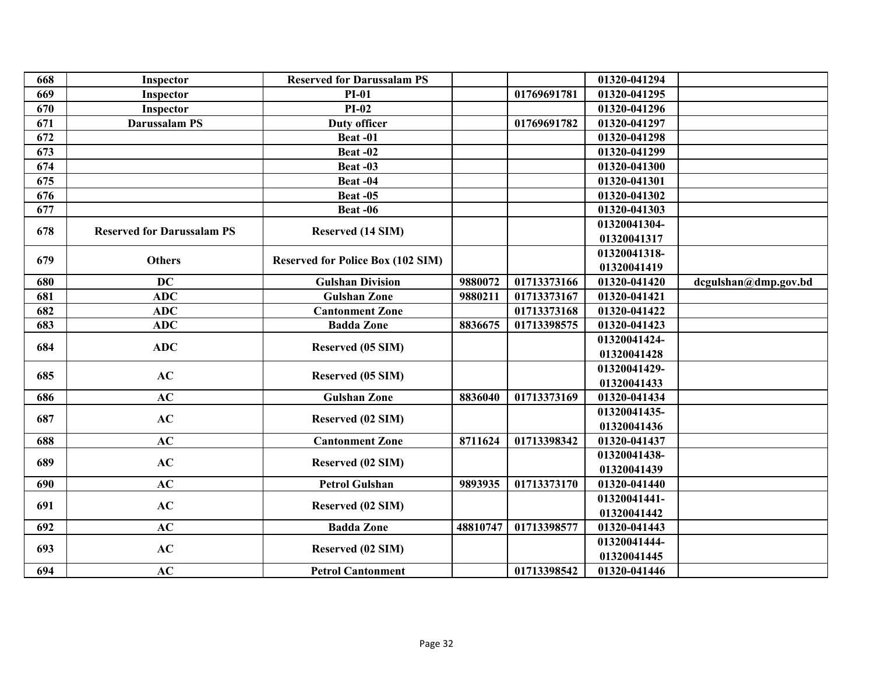| 668 | Inspector                         | <b>Reserved for Darussalam PS</b>        |          |             | 01320-041294 |                      |
|-----|-----------------------------------|------------------------------------------|----------|-------------|--------------|----------------------|
| 669 | Inspector                         | <b>PI-01</b>                             |          | 01769691781 | 01320-041295 |                      |
| 670 | Inspector                         | $PI-02$                                  |          |             | 01320-041296 |                      |
| 671 | <b>Darussalam PS</b>              | <b>Duty officer</b>                      |          | 01769691782 | 01320-041297 |                      |
| 672 |                                   | Beat-01                                  |          |             | 01320-041298 |                      |
| 673 |                                   | Beat-02                                  |          |             | 01320-041299 |                      |
| 674 |                                   | Beat-03                                  |          |             | 01320-041300 |                      |
| 675 |                                   | Beat-04                                  |          |             | 01320-041301 |                      |
| 676 |                                   | Beat-05                                  |          |             | 01320-041302 |                      |
| 677 |                                   | Beat -06                                 |          |             | 01320-041303 |                      |
|     |                                   |                                          |          |             | 01320041304- |                      |
| 678 | <b>Reserved for Darussalam PS</b> | Reserved (14 SIM)                        |          |             | 01320041317  |                      |
|     |                                   |                                          |          |             | 01320041318- |                      |
| 679 | <b>Others</b>                     | <b>Reserved for Police Box (102 SIM)</b> |          |             | 01320041419  |                      |
| 680 | <b>DC</b>                         | <b>Gulshan Division</b>                  | 9880072  | 01713373166 | 01320-041420 | dcgulshan@dmp.gov.bd |
| 681 | <b>ADC</b>                        | <b>Gulshan Zone</b>                      | 9880211  | 01713373167 | 01320-041421 |                      |
| 682 | <b>ADC</b>                        | <b>Cantonment Zone</b>                   |          | 01713373168 | 01320-041422 |                      |
| 683 | <b>ADC</b>                        | <b>Badda Zone</b>                        | 8836675  | 01713398575 | 01320-041423 |                      |
|     | <b>ADC</b>                        |                                          |          |             | 01320041424- |                      |
| 684 |                                   | Reserved (05 SIM)                        |          |             | 01320041428  |                      |
| 685 | AC                                |                                          |          |             | 01320041429- |                      |
|     |                                   | Reserved (05 SIM)                        |          |             | 01320041433  |                      |
| 686 | AC                                | <b>Gulshan Zone</b>                      | 8836040  | 01713373169 | 01320-041434 |                      |
| 687 | AC                                | Reserved (02 SIM)                        |          |             | 01320041435- |                      |
|     |                                   |                                          |          |             | 01320041436  |                      |
| 688 | AC                                | <b>Cantonment Zone</b>                   | 8711624  | 01713398342 | 01320-041437 |                      |
| 689 | AC                                | Reserved (02 SIM)                        |          |             | 01320041438- |                      |
|     |                                   |                                          |          |             | 01320041439  |                      |
| 690 | AC                                | <b>Petrol Gulshan</b>                    | 9893935  | 01713373170 | 01320-041440 |                      |
| 691 | AC                                |                                          |          |             | 01320041441- |                      |
|     |                                   | Reserved (02 SIM)                        |          |             | 01320041442  |                      |
| 692 | AC                                | <b>Badda Zone</b>                        | 48810747 | 01713398577 | 01320-041443 |                      |
| 693 | AC                                | Reserved (02 SIM)                        |          |             | 01320041444- |                      |
|     |                                   |                                          |          |             | 01320041445  |                      |
| 694 | AC                                | <b>Petrol Cantonment</b>                 |          | 01713398542 | 01320-041446 |                      |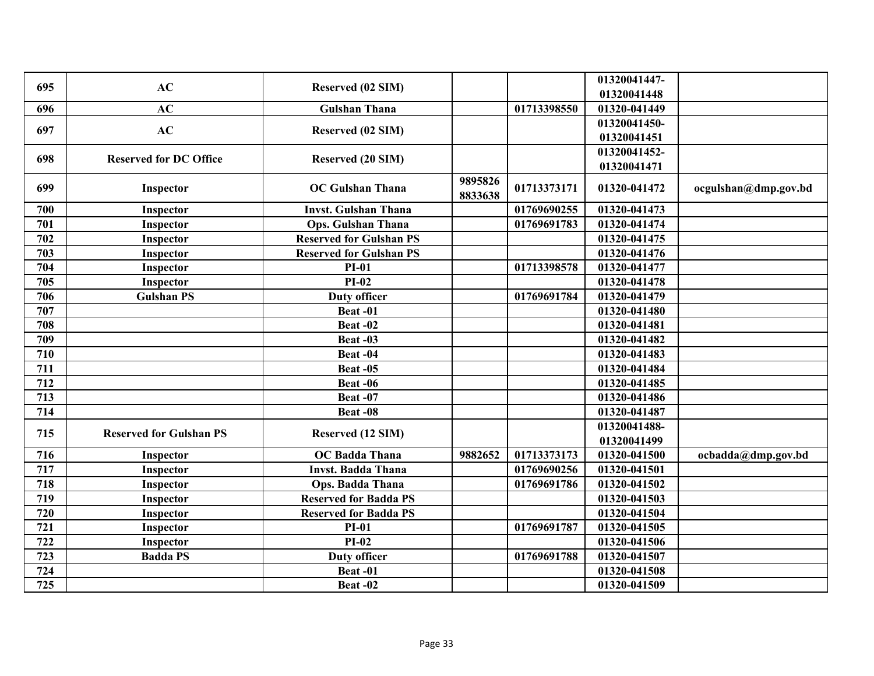| 695 | AC                             | Reserved (02 SIM)              |                    |             | 01320041447- |                      |
|-----|--------------------------------|--------------------------------|--------------------|-------------|--------------|----------------------|
|     |                                |                                |                    |             | 01320041448  |                      |
| 696 | AC                             | <b>Gulshan Thana</b>           |                    | 01713398550 | 01320-041449 |                      |
| 697 | AC                             | Reserved (02 SIM)              |                    |             | 01320041450- |                      |
|     |                                |                                |                    |             | 01320041451  |                      |
| 698 | <b>Reserved for DC Office</b>  | Reserved (20 SIM)              |                    |             | 01320041452- |                      |
|     |                                |                                |                    |             | 01320041471  |                      |
| 699 | Inspector                      | <b>OC Gulshan Thana</b>        | 9895826<br>8833638 | 01713373171 | 01320-041472 | ocgulshan@dmp.gov.bd |
| 700 | Inspector                      | <b>Invst. Gulshan Thana</b>    |                    | 01769690255 | 01320-041473 |                      |
| 701 | Inspector                      | <b>Ops. Gulshan Thana</b>      |                    | 01769691783 | 01320-041474 |                      |
| 702 | Inspector                      | <b>Reserved for Gulshan PS</b> |                    |             | 01320-041475 |                      |
| 703 | Inspector                      | <b>Reserved for Gulshan PS</b> |                    |             | 01320-041476 |                      |
| 704 | Inspector                      | <b>PI-01</b>                   |                    | 01713398578 | 01320-041477 |                      |
| 705 | Inspector                      | $PI-02$                        |                    |             | 01320-041478 |                      |
| 706 | <b>Gulshan PS</b>              | <b>Duty officer</b>            |                    | 01769691784 | 01320-041479 |                      |
| 707 |                                | Beat-01                        |                    |             | 01320-041480 |                      |
| 708 |                                | Beat-02                        |                    |             | 01320-041481 |                      |
| 709 |                                | Beat -03                       |                    |             | 01320-041482 |                      |
| 710 |                                | Beat-04                        |                    |             | 01320-041483 |                      |
| 711 |                                | Beat-05                        |                    |             | 01320-041484 |                      |
| 712 |                                | Beat -06                       |                    |             | 01320-041485 |                      |
| 713 |                                | Beat-07                        |                    |             | 01320-041486 |                      |
| 714 |                                | Beat-08                        |                    |             | 01320-041487 |                      |
| 715 | <b>Reserved for Gulshan PS</b> |                                |                    |             | 01320041488- |                      |
|     |                                | Reserved (12 SIM)              |                    |             | 01320041499  |                      |
| 716 | Inspector                      | <b>OC</b> Badda Thana          | 9882652            | 01713373173 | 01320-041500 | ocbadda@dmp.gov.bd   |
| 717 | Inspector                      | <b>Invst. Badda Thana</b>      |                    | 01769690256 | 01320-041501 |                      |
| 718 | Inspector                      | Ops. Badda Thana               |                    | 01769691786 | 01320-041502 |                      |
| 719 | Inspector                      | <b>Reserved for Badda PS</b>   |                    |             | 01320-041503 |                      |
| 720 | Inspector                      | <b>Reserved for Badda PS</b>   |                    |             | 01320-041504 |                      |
| 721 | Inspector                      | <b>PI-01</b>                   |                    | 01769691787 | 01320-041505 |                      |
| 722 | Inspector                      | $PI-02$                        |                    |             | 01320-041506 |                      |
| 723 | <b>Badda PS</b>                | <b>Duty officer</b>            |                    | 01769691788 | 01320-041507 |                      |
| 724 |                                | Beat-01                        |                    |             | 01320-041508 |                      |
| 725 |                                | Beat -02                       |                    |             | 01320-041509 |                      |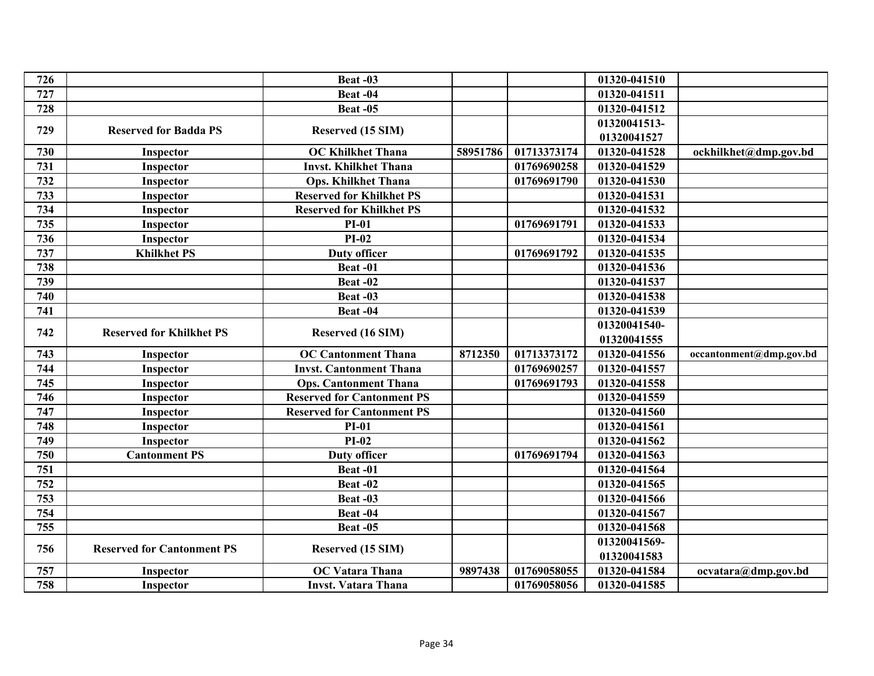| 726 |                                   | Beat-03                           |          |             | 01320-041510 |                         |
|-----|-----------------------------------|-----------------------------------|----------|-------------|--------------|-------------------------|
| 727 |                                   | Beat-04                           |          |             | 01320-041511 |                         |
| 728 |                                   | <b>Beat -05</b>                   |          |             | 01320-041512 |                         |
| 729 | <b>Reserved for Badda PS</b>      |                                   |          |             | 01320041513- |                         |
|     |                                   | Reserved (15 SIM)                 |          |             | 01320041527  |                         |
| 730 | Inspector                         | <b>OC Khilkhet Thana</b>          | 58951786 | 01713373174 | 01320-041528 | ockhilkhet@dmp.gov.bd   |
| 731 | Inspector                         | <b>Invst. Khilkhet Thana</b>      |          | 01769690258 | 01320-041529 |                         |
| 732 | Inspector                         | <b>Ops. Khilkhet Thana</b>        |          | 01769691790 | 01320-041530 |                         |
| 733 | Inspector                         | <b>Reserved for Khilkhet PS</b>   |          |             | 01320-041531 |                         |
| 734 | Inspector                         | <b>Reserved for Khilkhet PS</b>   |          |             | 01320-041532 |                         |
| 735 | Inspector                         | $PI-01$                           |          | 01769691791 | 01320-041533 |                         |
| 736 | Inspector                         | $PI-02$                           |          |             | 01320-041534 |                         |
| 737 | <b>Khilkhet PS</b>                | <b>Duty officer</b>               |          | 01769691792 | 01320-041535 |                         |
| 738 |                                   | Beat-01                           |          |             | 01320-041536 |                         |
| 739 |                                   | Beat-02                           |          |             | 01320-041537 |                         |
| 740 |                                   | Beat-03                           |          |             | 01320-041538 |                         |
| 741 |                                   | Beat-04                           |          |             | 01320-041539 |                         |
| 742 | <b>Reserved for Khilkhet PS</b>   | Reserved (16 SIM)                 |          |             | 01320041540- |                         |
|     |                                   |                                   |          |             | 01320041555  |                         |
| 743 | Inspector                         | <b>OC Cantonment Thana</b>        | 8712350  | 01713373172 | 01320-041556 | occantonment@dmp.gov.bd |
| 744 | Inspector                         | <b>Invst. Cantonment Thana</b>    |          | 01769690257 | 01320-041557 |                         |
| 745 | Inspector                         | <b>Ops. Cantonment Thana</b>      |          | 01769691793 | 01320-041558 |                         |
| 746 | Inspector                         | <b>Reserved for Cantonment PS</b> |          |             | 01320-041559 |                         |
| 747 | Inspector                         | <b>Reserved for Cantonment PS</b> |          |             | 01320-041560 |                         |
| 748 | Inspector                         | <b>PI-01</b>                      |          |             | 01320-041561 |                         |
| 749 | Inspector                         | $PI-02$                           |          |             | 01320-041562 |                         |
| 750 | <b>Cantonment PS</b>              | <b>Duty officer</b>               |          | 01769691794 | 01320-041563 |                         |
| 751 |                                   | Beat-01                           |          |             | 01320-041564 |                         |
| 752 |                                   | Beat-02                           |          |             | 01320-041565 |                         |
| 753 |                                   | Beat-03                           |          |             | 01320-041566 |                         |
| 754 |                                   | Beat-04                           |          |             | 01320-041567 |                         |
| 755 |                                   | Beat -05                          |          |             | 01320-041568 |                         |
| 756 | <b>Reserved for Cantonment PS</b> | Reserved (15 SIM)                 |          |             | 01320041569- |                         |
|     |                                   |                                   |          |             | 01320041583  |                         |
| 757 | Inspector                         | <b>OC Vatara Thana</b>            | 9897438  | 01769058055 | 01320-041584 | ocvatara@dmp.gov.bd     |
| 758 | Inspector                         | <b>Invst. Vatara Thana</b>        |          | 01769058056 | 01320-041585 |                         |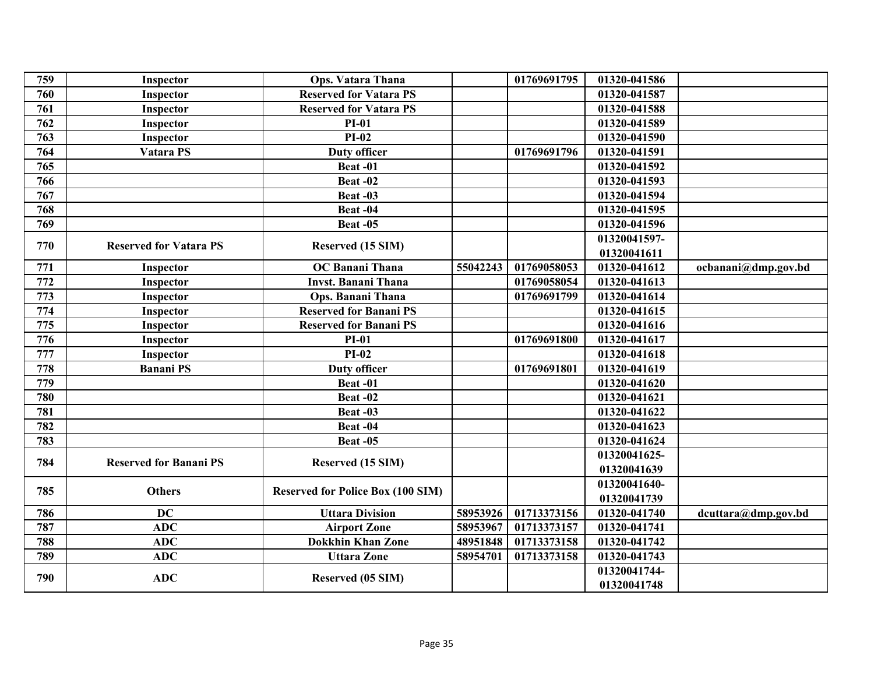| 759 | Inspector                     | <b>Ops. Vatara Thana</b>                 |          | 01769691795 | 01320-041586 |                     |
|-----|-------------------------------|------------------------------------------|----------|-------------|--------------|---------------------|
| 760 | Inspector                     | <b>Reserved for Vatara PS</b>            |          |             | 01320-041587 |                     |
| 761 | Inspector                     | <b>Reserved for Vatara PS</b>            |          |             | 01320-041588 |                     |
| 762 | Inspector                     | $PI-01$                                  |          |             | 01320-041589 |                     |
| 763 | Inspector                     | $PI-02$                                  |          |             | 01320-041590 |                     |
| 764 | Vatara PS                     | <b>Duty officer</b>                      |          | 01769691796 | 01320-041591 |                     |
| 765 |                               | Beat-01                                  |          |             | 01320-041592 |                     |
| 766 |                               | Beat-02                                  |          |             | 01320-041593 |                     |
| 767 |                               | Beat-03                                  |          |             | 01320-041594 |                     |
| 768 |                               | Beat-04                                  |          |             | 01320-041595 |                     |
| 769 |                               | Beat -05                                 |          |             | 01320-041596 |                     |
|     |                               |                                          |          |             | 01320041597- |                     |
| 770 | <b>Reserved for Vatara PS</b> | Reserved (15 SIM)                        |          |             | 01320041611  |                     |
| 771 | Inspector                     | <b>OC Banani Thana</b>                   | 55042243 | 01769058053 | 01320-041612 | ocbanani@dmp.gov.bd |
| 772 | Inspector                     | <b>Invst. Banani Thana</b>               |          | 01769058054 | 01320-041613 |                     |
| 773 | Inspector                     | Ops. Banani Thana                        |          | 01769691799 | 01320-041614 |                     |
| 774 | Inspector                     | <b>Reserved for Banani PS</b>            |          |             | 01320-041615 |                     |
| 775 | Inspector                     | <b>Reserved for Banani PS</b>            |          |             | 01320-041616 |                     |
| 776 | Inspector                     | $PI-01$                                  |          | 01769691800 | 01320-041617 |                     |
| 777 | Inspector                     | $PI-02$                                  |          |             | 01320-041618 |                     |
| 778 | <b>Banani PS</b>              | <b>Duty officer</b>                      |          | 01769691801 | 01320-041619 |                     |
| 779 |                               | Beat-01                                  |          |             | 01320-041620 |                     |
| 780 |                               | Beat-02                                  |          |             | 01320-041621 |                     |
| 781 |                               | Beat-03                                  |          |             | 01320-041622 |                     |
| 782 |                               | Beat-04                                  |          |             | 01320-041623 |                     |
| 783 |                               | <b>Beat -05</b>                          |          |             | 01320-041624 |                     |
| 784 | <b>Reserved for Banani PS</b> |                                          |          |             | 01320041625- |                     |
|     |                               | Reserved (15 SIM)                        |          |             | 01320041639  |                     |
| 785 | <b>Others</b>                 |                                          |          |             | 01320041640- |                     |
|     |                               | <b>Reserved for Police Box (100 SIM)</b> |          |             | 01320041739  |                     |
| 786 | <b>DC</b>                     | <b>Uttara Division</b>                   | 58953926 | 01713373156 | 01320-041740 | dcuttara@dmp.gov.bd |
| 787 | <b>ADC</b>                    | <b>Airport Zone</b>                      | 58953967 | 01713373157 | 01320-041741 |                     |
| 788 | <b>ADC</b>                    | <b>Dokkhin Khan Zone</b>                 | 48951848 | 01713373158 | 01320-041742 |                     |
| 789 | <b>ADC</b>                    | <b>Uttara Zone</b>                       | 58954701 | 01713373158 | 01320-041743 |                     |
| 790 | <b>ADC</b>                    |                                          |          |             | 01320041744- |                     |
|     |                               | Reserved (05 SIM)                        |          |             | 01320041748  |                     |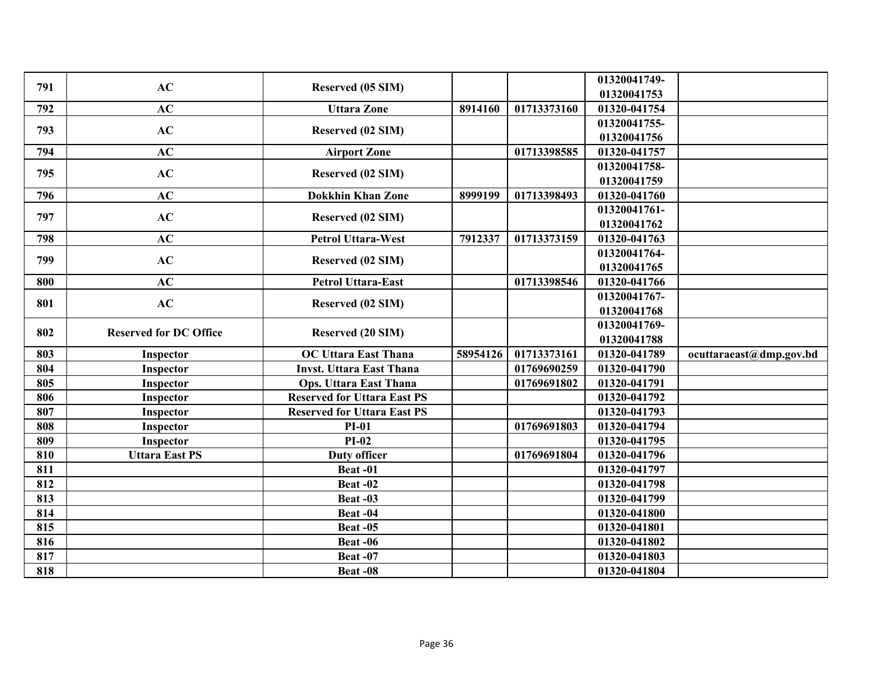| 791 | AC                            | Reserved (05 SIM)                  |          |             | 01320041749- |                         |
|-----|-------------------------------|------------------------------------|----------|-------------|--------------|-------------------------|
|     |                               |                                    |          |             | 01320041753  |                         |
| 792 | AC                            | <b>Uttara Zone</b>                 | 8914160  | 01713373160 | 01320-041754 |                         |
| 793 | AC                            | Reserved (02 SIM)                  |          |             | 01320041755- |                         |
|     |                               |                                    |          |             | 01320041756  |                         |
| 794 | AC                            | <b>Airport Zone</b>                |          | 01713398585 | 01320-041757 |                         |
| 795 | AC                            | Reserved (02 SIM)                  |          |             | 01320041758- |                         |
|     |                               |                                    |          |             | 01320041759  |                         |
| 796 | AC                            | <b>Dokkhin Khan Zone</b>           | 8999199  | 01713398493 | 01320-041760 |                         |
| 797 | AC                            | Reserved (02 SIM)                  |          |             | 01320041761- |                         |
|     |                               |                                    |          |             | 01320041762  |                         |
| 798 | AC                            | <b>Petrol Uttara-West</b>          | 7912337  | 01713373159 | 01320-041763 |                         |
| 799 | AC                            | <b>Reserved (02 SIM)</b>           |          |             | 01320041764- |                         |
|     |                               |                                    |          |             | 01320041765  |                         |
| 800 | AC                            | <b>Petrol Uttara-East</b>          |          | 01713398546 | 01320-041766 |                         |
|     | AC                            |                                    |          |             | 01320041767- |                         |
| 801 |                               | Reserved (02 SIM)                  |          |             | 01320041768  |                         |
| 802 | <b>Reserved for DC Office</b> |                                    |          |             | 01320041769- |                         |
|     |                               | Reserved (20 SIM)                  |          |             | 01320041788  |                         |
| 803 | Inspector                     | <b>OC Uttara East Thana</b>        | 58954126 | 01713373161 | 01320-041789 | ocuttaraeast@dmp.gov.bd |
| 804 | Inspector                     | <b>Invst. Uttara East Thana</b>    |          | 01769690259 | 01320-041790 |                         |
| 805 | Inspector                     | <b>Ops. Uttara East Thana</b>      |          | 01769691802 | 01320-041791 |                         |
| 806 | Inspector                     | <b>Reserved for Uttara East PS</b> |          |             | 01320-041792 |                         |
| 807 | Inspector                     | <b>Reserved for Uttara East PS</b> |          |             | 01320-041793 |                         |
| 808 | Inspector                     | <b>PI-01</b>                       |          | 01769691803 | 01320-041794 |                         |
| 809 | Inspector                     | $PI-02$                            |          |             | 01320-041795 |                         |
| 810 | <b>Uttara East PS</b>         | <b>Duty officer</b>                |          | 01769691804 | 01320-041796 |                         |
| 811 |                               | Beat-01                            |          |             | 01320-041797 |                         |
| 812 |                               | Beat-02                            |          |             | 01320-041798 |                         |
| 813 |                               | Beat-03                            |          |             | 01320-041799 |                         |
| 814 |                               | Beat-04                            |          |             | 01320-041800 |                         |
| 815 |                               | <b>Beat -05</b>                    |          |             | 01320-041801 |                         |
| 816 |                               | Beat -06                           |          |             | 01320-041802 |                         |
| 817 |                               | Beat-07                            |          |             | 01320-041803 |                         |
| 818 |                               | Beat -08                           |          |             | 01320-041804 |                         |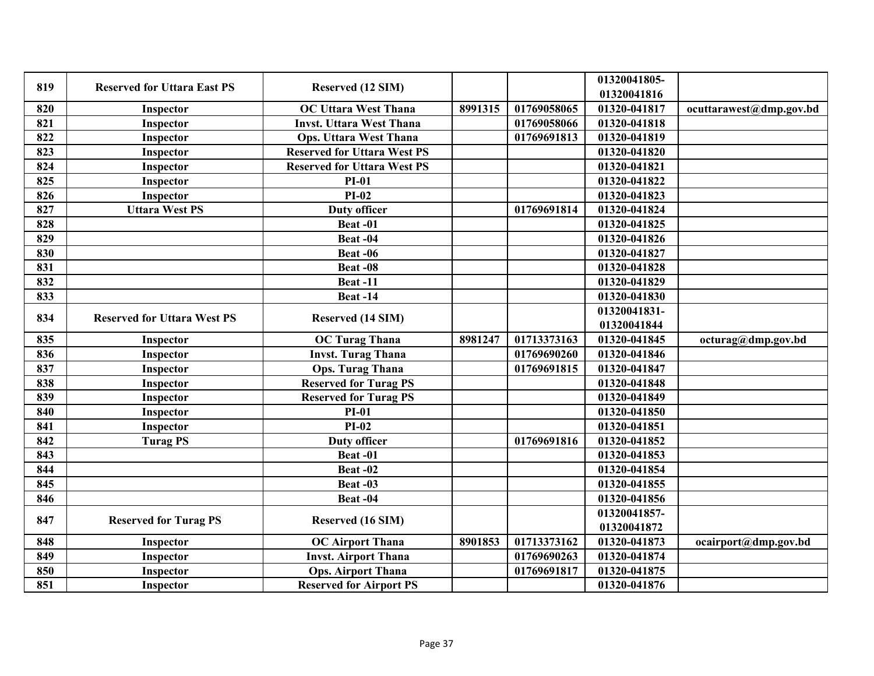| 819 | <b>Reserved for Uttara East PS</b> | Reserved (12 SIM)                  |         |             | 01320041805- |                         |
|-----|------------------------------------|------------------------------------|---------|-------------|--------------|-------------------------|
|     |                                    |                                    |         |             | 01320041816  |                         |
| 820 | Inspector                          | <b>OC Uttara West Thana</b>        | 8991315 | 01769058065 | 01320-041817 | ocuttarawest@dmp.gov.bd |
| 821 | Inspector                          | <b>Invst. Uttara West Thana</b>    |         | 01769058066 | 01320-041818 |                         |
| 822 | Inspector                          | <b>Ops. Uttara West Thana</b>      |         | 01769691813 | 01320-041819 |                         |
| 823 | Inspector                          | <b>Reserved for Uttara West PS</b> |         |             | 01320-041820 |                         |
| 824 | Inspector                          | <b>Reserved for Uttara West PS</b> |         |             | 01320-041821 |                         |
| 825 | Inspector                          | <b>PI-01</b>                       |         |             | 01320-041822 |                         |
| 826 | Inspector                          | $PI-02$                            |         |             | 01320-041823 |                         |
| 827 | <b>Uttara West PS</b>              | <b>Duty officer</b>                |         | 01769691814 | 01320-041824 |                         |
| 828 |                                    | Beat-01                            |         |             | 01320-041825 |                         |
| 829 |                                    | Beat-04                            |         |             | 01320-041826 |                         |
| 830 |                                    | <b>Beat -06</b>                    |         |             | 01320-041827 |                         |
| 831 |                                    | Beat-08                            |         |             | 01320-041828 |                         |
| 832 |                                    | <b>Beat-11</b>                     |         |             | 01320-041829 |                         |
| 833 |                                    | <b>Beat -14</b>                    |         |             | 01320-041830 |                         |
| 834 |                                    |                                    |         |             | 01320041831- |                         |
|     | <b>Reserved for Uttara West PS</b> | Reserved (14 SIM)                  |         |             | 01320041844  |                         |
| 835 | Inspector                          | <b>OC Turag Thana</b>              | 8981247 | 01713373163 | 01320-041845 | octurag@dmp.gov.bd      |
| 836 | Inspector                          | <b>Invst. Turag Thana</b>          |         | 01769690260 | 01320-041846 |                         |
| 837 | Inspector                          | <b>Ops. Turag Thana</b>            |         | 01769691815 | 01320-041847 |                         |
| 838 | Inspector                          | <b>Reserved for Turag PS</b>       |         |             | 01320-041848 |                         |
| 839 | Inspector                          | <b>Reserved for Turag PS</b>       |         |             | 01320-041849 |                         |
| 840 | Inspector                          | $PI-01$                            |         |             | 01320-041850 |                         |
| 841 | Inspector                          | $PI-02$                            |         |             | 01320-041851 |                         |
| 842 | <b>Turag PS</b>                    | <b>Duty officer</b>                |         | 01769691816 | 01320-041852 |                         |
| 843 |                                    | Beat-01                            |         |             | 01320-041853 |                         |
| 844 |                                    | Beat-02                            |         |             | 01320-041854 |                         |
| 845 |                                    | Beat -03                           |         |             | 01320-041855 |                         |
| 846 |                                    | Beat-04                            |         |             | 01320-041856 |                         |
| 847 |                                    |                                    |         |             | 01320041857- |                         |
|     | <b>Reserved for Turag PS</b>       | Reserved (16 SIM)                  |         |             | 01320041872  |                         |
| 848 | Inspector                          | <b>OC Airport Thana</b>            | 8901853 | 01713373162 | 01320-041873 | ocairport@dmp.gov.bd    |
| 849 | Inspector                          | <b>Invst. Airport Thana</b>        |         | 01769690263 | 01320-041874 |                         |
| 850 | Inspector                          | <b>Ops. Airport Thana</b>          |         | 01769691817 | 01320-041875 |                         |
| 851 | Inspector                          | <b>Reserved for Airport PS</b>     |         |             | 01320-041876 |                         |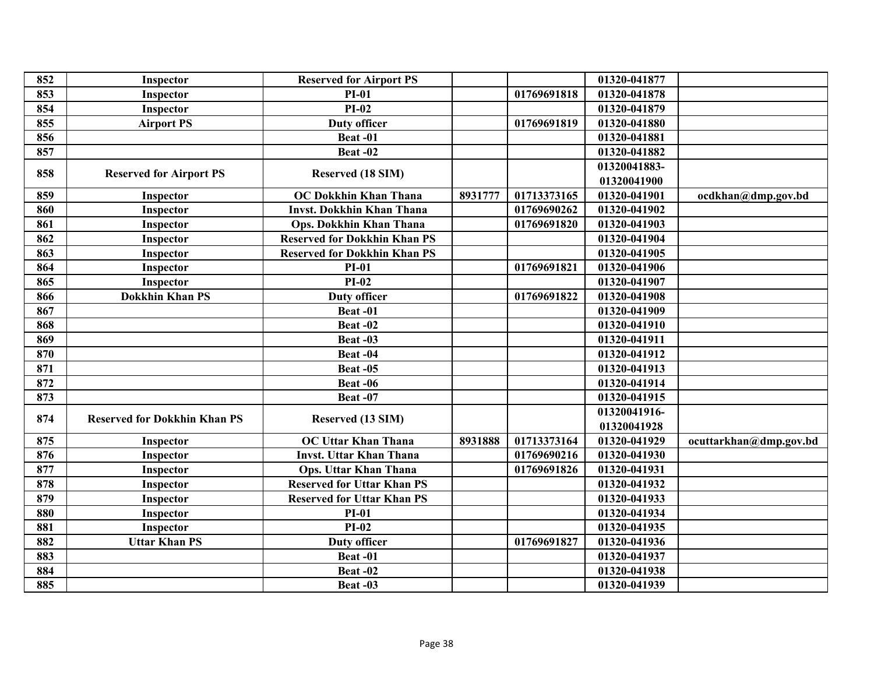| 852 | Inspector                           | <b>Reserved for Airport PS</b>      |         |             | 01320-041877 |                        |
|-----|-------------------------------------|-------------------------------------|---------|-------------|--------------|------------------------|
| 853 | Inspector                           | <b>PI-01</b>                        |         | 01769691818 | 01320-041878 |                        |
| 854 | Inspector                           | $PI-02$                             |         |             | 01320-041879 |                        |
| 855 | <b>Airport PS</b>                   | <b>Duty officer</b>                 |         | 01769691819 | 01320-041880 |                        |
| 856 |                                     | Beat-01                             |         |             | 01320-041881 |                        |
| 857 |                                     | Beat-02                             |         |             | 01320-041882 |                        |
|     |                                     |                                     |         |             | 01320041883- |                        |
| 858 | <b>Reserved for Airport PS</b>      | Reserved (18 SIM)                   |         |             | 01320041900  |                        |
| 859 | Inspector                           | <b>OC Dokkhin Khan Thana</b>        | 8931777 | 01713373165 | 01320-041901 | ocdkhan@dmp.gov.bd     |
| 860 | Inspector                           | <b>Invst. Dokkhin Khan Thana</b>    |         | 01769690262 | 01320-041902 |                        |
| 861 | Inspector                           | <b>Ops. Dokkhin Khan Thana</b>      |         | 01769691820 | 01320-041903 |                        |
| 862 | Inspector                           | <b>Reserved for Dokkhin Khan PS</b> |         |             | 01320-041904 |                        |
| 863 | Inspector                           | <b>Reserved for Dokkhin Khan PS</b> |         |             | 01320-041905 |                        |
| 864 | Inspector                           | $PI-01$                             |         | 01769691821 | 01320-041906 |                        |
| 865 | Inspector                           | $PI-02$                             |         |             | 01320-041907 |                        |
| 866 | <b>Dokkhin Khan PS</b>              | <b>Duty officer</b>                 |         | 01769691822 | 01320-041908 |                        |
| 867 |                                     | Beat-01                             |         |             | 01320-041909 |                        |
| 868 |                                     | Beat-02                             |         |             | 01320-041910 |                        |
| 869 |                                     | Beat-03                             |         |             | 01320-041911 |                        |
| 870 |                                     | Beat-04                             |         |             | 01320-041912 |                        |
| 871 |                                     | Beat-05                             |         |             | 01320-041913 |                        |
| 872 |                                     | Beat -06                            |         |             | 01320-041914 |                        |
| 873 |                                     | Beat-07                             |         |             | 01320-041915 |                        |
| 874 | <b>Reserved for Dokkhin Khan PS</b> |                                     |         |             | 01320041916- |                        |
|     |                                     | Reserved (13 SIM)                   |         |             | 01320041928  |                        |
| 875 | Inspector                           | <b>OC Uttar Khan Thana</b>          | 8931888 | 01713373164 | 01320-041929 | ocuttarkhan@dmp.gov.bd |
| 876 | Inspector                           | <b>Invst. Uttar Khan Thana</b>      |         | 01769690216 | 01320-041930 |                        |
| 877 | Inspector                           | <b>Ops. Uttar Khan Thana</b>        |         | 01769691826 | 01320-041931 |                        |
| 878 | Inspector                           | <b>Reserved for Uttar Khan PS</b>   |         |             | 01320-041932 |                        |
| 879 | Inspector                           | <b>Reserved for Uttar Khan PS</b>   |         |             | 01320-041933 |                        |
| 880 | Inspector                           | $PI-01$                             |         |             | 01320-041934 |                        |
| 881 | Inspector                           | $PI-02$                             |         |             | 01320-041935 |                        |
| 882 | <b>Uttar Khan PS</b>                | <b>Duty officer</b>                 |         | 01769691827 | 01320-041936 |                        |
| 883 |                                     | Beat-01                             |         |             | 01320-041937 |                        |
| 884 |                                     | Beat-02                             |         |             | 01320-041938 |                        |
| 885 |                                     | Beat -03                            |         |             | 01320-041939 |                        |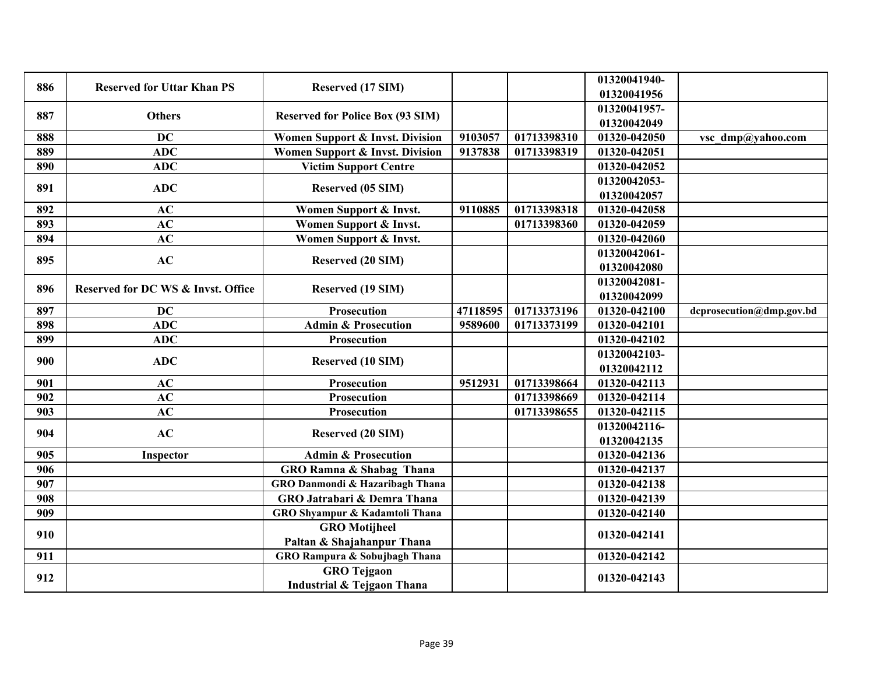| 886 | <b>Reserved for Uttar Khan PS</b>  | Reserved (17 SIM)                       |          |             | 01320041940-<br>01320041956 |                          |
|-----|------------------------------------|-----------------------------------------|----------|-------------|-----------------------------|--------------------------|
| 887 | <b>Others</b>                      | <b>Reserved for Police Box (93 SIM)</b> |          |             | 01320041957-                |                          |
|     |                                    |                                         |          |             | 01320042049                 |                          |
| 888 | <b>DC</b>                          | Women Support & Invst. Division         | 9103057  | 01713398310 | 01320-042050                | vsc dmp@yahoo.com        |
| 889 | <b>ADC</b>                         | Women Support & Invst. Division         | 9137838  | 01713398319 | 01320-042051                |                          |
| 890 | <b>ADC</b>                         | <b>Victim Support Centre</b>            |          |             | 01320-042052                |                          |
| 891 | <b>ADC</b>                         | Reserved (05 SIM)                       |          |             | 01320042053-<br>01320042057 |                          |
| 892 | AC                                 | Women Support & Invst.                  | 9110885  | 01713398318 | 01320-042058                |                          |
| 893 | AC                                 | Women Support & Invst.                  |          | 01713398360 | 01320-042059                |                          |
| 894 | AC                                 | Women Support & Invst.                  |          |             | 01320-042060                |                          |
|     |                                    |                                         |          |             | 01320042061-                |                          |
| 895 | AC                                 | Reserved (20 SIM)                       |          |             | 01320042080                 |                          |
|     |                                    |                                         |          |             | 01320042081-                |                          |
| 896 | Reserved for DC WS & Invst. Office | Reserved (19 SIM)                       |          |             | 01320042099                 |                          |
| 897 | <b>DC</b>                          | Prosecution                             | 47118595 | 01713373196 | 01320-042100                | dcprosecution@dmp.gov.bd |
| 898 | <b>ADC</b>                         | <b>Admin &amp; Prosecution</b>          | 9589600  | 01713373199 | 01320-042101                |                          |
| 899 | <b>ADC</b>                         | Prosecution                             |          |             | 01320-042102                |                          |
| 900 | <b>ADC</b>                         |                                         |          |             | 01320042103-                |                          |
|     |                                    | <b>Reserved (10 SIM)</b>                |          |             | 01320042112                 |                          |
| 901 | AC                                 | <b>Prosecution</b>                      | 9512931  | 01713398664 | 01320-042113                |                          |
| 902 | AC                                 | <b>Prosecution</b>                      |          | 01713398669 | 01320-042114                |                          |
| 903 | AC                                 | Prosecution                             |          | 01713398655 | 01320-042115                |                          |
| 904 | AC                                 | Reserved (20 SIM)                       |          |             | 01320042116-                |                          |
|     |                                    |                                         |          |             | 01320042135                 |                          |
| 905 | Inspector                          | <b>Admin &amp; Prosecution</b>          |          |             | 01320-042136                |                          |
| 906 |                                    | GRO Ramna & Shabag Thana                |          |             | 01320-042137                |                          |
| 907 |                                    | GRO Danmondi & Hazaribagh Thana         |          |             | 01320-042138                |                          |
| 908 |                                    | GRO Jatrabari & Demra Thana             |          |             | 01320-042139                |                          |
| 909 |                                    | GRO Shyampur & Kadamtoli Thana          |          |             | 01320-042140                |                          |
| 910 |                                    | <b>GRO</b> Motijheel                    |          |             | 01320-042141                |                          |
|     |                                    | Paltan & Shajahanpur Thana              |          |             |                             |                          |
| 911 |                                    | GRO Rampura & Sobujbagh Thana           |          |             | 01320-042142                |                          |
| 912 |                                    | <b>GRO</b> Tejgaon                      |          |             | 01320-042143                |                          |
|     |                                    | <b>Industrial &amp; Tejgaon Thana</b>   |          |             |                             |                          |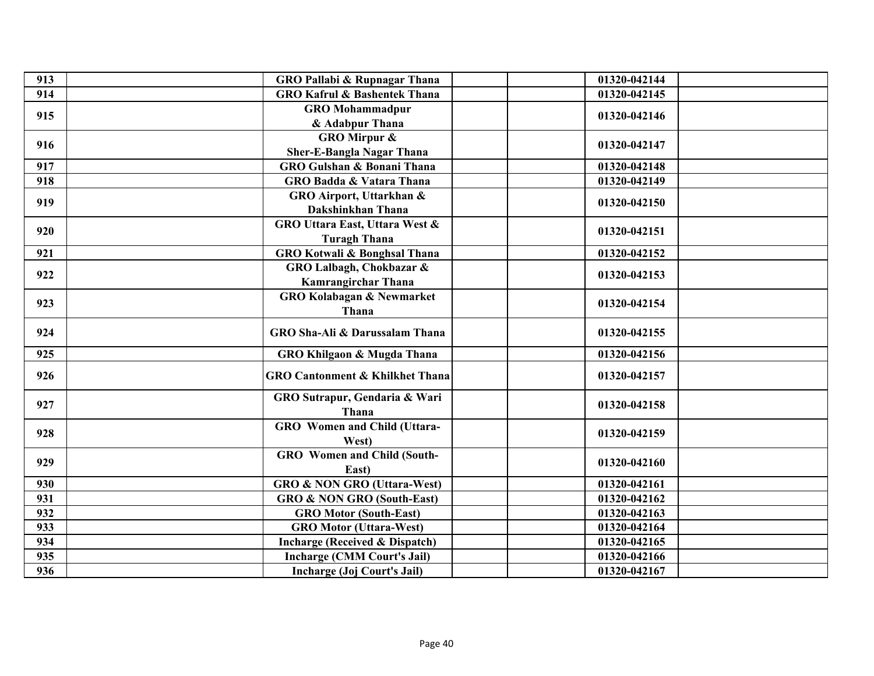| 913 | <b>GRO Pallabi &amp; Rupnagar Thana</b>    | 01320-042144 |
|-----|--------------------------------------------|--------------|
| 914 | <b>GRO Kafrul &amp; Bashentek Thana</b>    | 01320-042145 |
| 915 | <b>GRO</b> Mohammadpur                     | 01320-042146 |
|     | & Adabpur Thana                            |              |
| 916 | <b>GRO Mirpur &amp;</b>                    | 01320-042147 |
|     | <b>Sher-E-Bangla Nagar Thana</b>           |              |
| 917 | <b>GRO Gulshan &amp; Bonani Thana</b>      | 01320-042148 |
| 918 | <b>GRO Badda &amp; Vatara Thana</b>        | 01320-042149 |
| 919 | GRO Airport, Uttarkhan &                   | 01320-042150 |
|     | Dakshinkhan Thana                          |              |
| 920 | GRO Uttara East, Uttara West &             | 01320-042151 |
|     | <b>Turagh Thana</b>                        |              |
| 921 | GRO Kotwali & Bonghsal Thana               | 01320-042152 |
| 922 | GRO Lalbagh, Chokbazar &                   | 01320-042153 |
|     | Kamrangirchar Thana                        |              |
| 923 | <b>GRO Kolabagan &amp; Newmarket</b>       | 01320-042154 |
|     | Thana                                      |              |
| 924 | GRO Sha-Ali & Darussalam Thana             | 01320-042155 |
| 925 | GRO Khilgaon & Mugda Thana                 | 01320-042156 |
|     |                                            |              |
| 926 | <b>GRO Cantonment &amp; Khilkhet Thana</b> | 01320-042157 |
|     | GRO Sutrapur, Gendaria & Wari              |              |
| 927 | Thana                                      | 01320-042158 |
|     | GRO Women and Child (Uttara-               |              |
| 928 | West)                                      | 01320-042159 |
|     | <b>GRO</b> Women and Child (South-         |              |
| 929 | East)                                      | 01320-042160 |
| 930 | <b>GRO &amp; NON GRO (Uttara-West)</b>     | 01320-042161 |
| 931 | <b>GRO &amp; NON GRO (South-East)</b>      | 01320-042162 |
| 932 | <b>GRO Motor (South-East)</b>              | 01320-042163 |
| 933 | <b>GRO Motor (Uttara-West)</b>             | 01320-042164 |
| 934 | <b>Incharge (Received &amp; Dispatch)</b>  | 01320-042165 |
| 935 | <b>Incharge (CMM Court's Jail)</b>         | 01320-042166 |
| 936 | Incharge (Joj Court's Jail)                | 01320-042167 |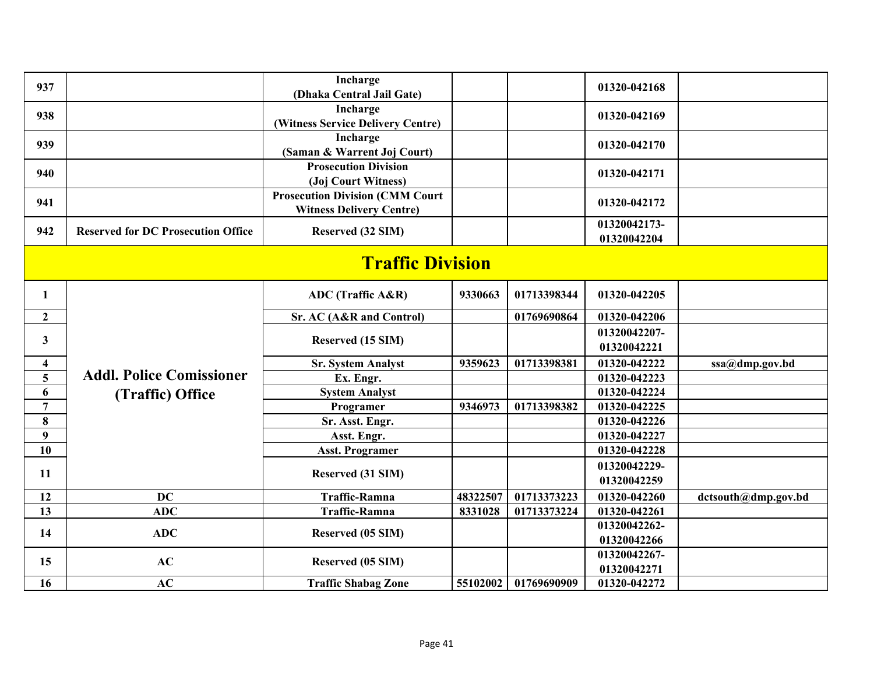| 937              |                                           | Incharge<br>(Dhaka Central Jail Gate)                                     |          |             | 01320-042168                |                     |  |  |
|------------------|-------------------------------------------|---------------------------------------------------------------------------|----------|-------------|-----------------------------|---------------------|--|--|
| 938              |                                           | Incharge<br>(Witness Service Delivery Centre)                             |          |             | 01320-042169                |                     |  |  |
| 939              |                                           | Incharge<br>(Saman & Warrent Joj Court)                                   |          |             | 01320-042170                |                     |  |  |
| 940              |                                           | <b>Prosecution Division</b><br>(Joj Court Witness)                        |          |             | 01320-042171                |                     |  |  |
| 941              |                                           | <b>Prosecution Division (CMM Court</b><br><b>Witness Delivery Centre)</b> |          |             | 01320-042172                |                     |  |  |
| 942              | <b>Reserved for DC Prosecution Office</b> | Reserved (32 SIM)                                                         |          |             | 01320042173-<br>01320042204 |                     |  |  |
|                  | <b>Traffic Division</b>                   |                                                                           |          |             |                             |                     |  |  |
| 1                |                                           | ADC (Traffic A&R)                                                         | 9330663  | 01713398344 | 01320-042205                |                     |  |  |
| $\mathbf{2}$     |                                           | Sr. AC (A&R and Control)                                                  |          | 01769690864 | 01320-042206                |                     |  |  |
| $\mathbf{3}$     |                                           | Reserved (15 SIM)                                                         |          |             | 01320042207-<br>01320042221 |                     |  |  |
| 4                |                                           | <b>Sr. System Analyst</b>                                                 | 9359623  | 01713398381 | 01320-042222                | ssa@dmp.gov.bd      |  |  |
| 5 <sup>5</sup>   | <b>Addl. Police Comissioner</b>           | Ex. Engr.                                                                 |          |             | 01320-042223                |                     |  |  |
| 6                | (Traffic) Office                          | <b>System Analyst</b>                                                     |          |             | 01320-042224                |                     |  |  |
| $\overline{7}$   |                                           | Programer                                                                 | 9346973  | 01713398382 | 01320-042225                |                     |  |  |
| 8                |                                           | Sr. Asst. Engr.                                                           |          |             | 01320-042226                |                     |  |  |
| $\boldsymbol{9}$ |                                           | Asst. Engr.                                                               |          |             | 01320-042227                |                     |  |  |
| 10               |                                           | <b>Asst. Programer</b>                                                    |          |             | 01320-042228                |                     |  |  |
|                  |                                           |                                                                           |          |             | 01320042229-                |                     |  |  |
| 11               |                                           | Reserved (31 SIM)                                                         |          |             | 01320042259                 |                     |  |  |
| 12               | <b>DC</b>                                 | <b>Traffic-Ramna</b>                                                      | 48322507 | 01713373223 | 01320-042260                | dctsouth@dmp.gov.bd |  |  |
| 13               | <b>ADC</b>                                | <b>Traffic-Ramna</b>                                                      | 8331028  | 01713373224 | 01320-042261                |                     |  |  |
| 14               | <b>ADC</b>                                | Reserved (05 SIM)                                                         |          |             | 01320042262-                |                     |  |  |
|                  |                                           |                                                                           |          |             | 01320042266                 |                     |  |  |
| 15               | AC                                        | Reserved (05 SIM)                                                         |          |             | 01320042267-                |                     |  |  |
|                  |                                           |                                                                           |          |             | 01320042271                 |                     |  |  |
| 16               | AC                                        | <b>Traffic Shabag Zone</b>                                                | 55102002 | 01769690909 | 01320-042272                |                     |  |  |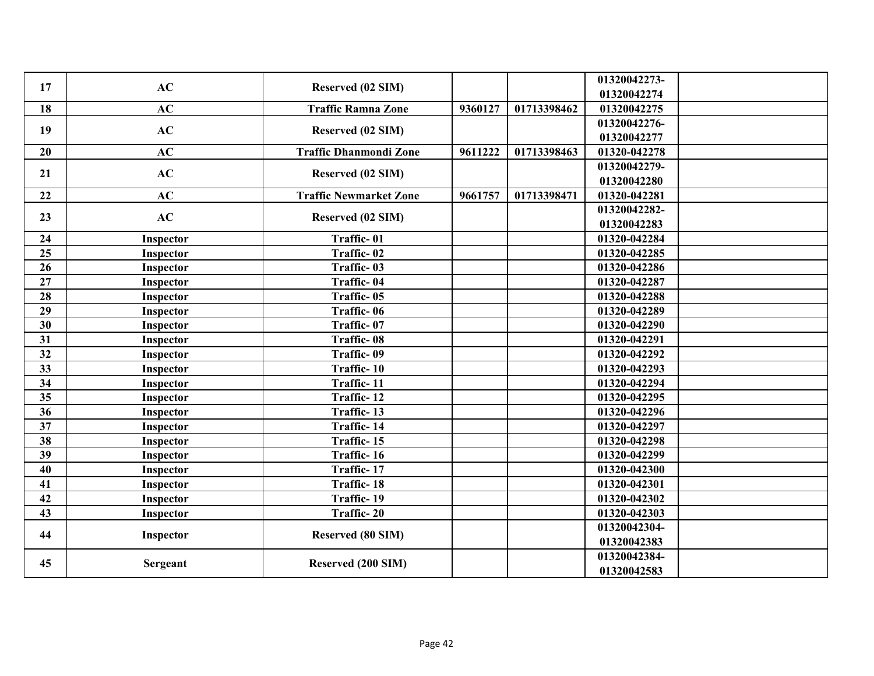| 17 | AC        | Reserved (02 SIM)             |         |             | 01320042273- |  |
|----|-----------|-------------------------------|---------|-------------|--------------|--|
|    |           |                               |         |             | 01320042274  |  |
| 18 | AC        | <b>Traffic Ramna Zone</b>     | 9360127 | 01713398462 | 01320042275  |  |
| 19 | AC        | Reserved (02 SIM)             |         |             | 01320042276- |  |
|    |           |                               |         |             | 01320042277  |  |
| 20 | AC        | <b>Traffic Dhanmondi Zone</b> | 9611222 | 01713398463 | 01320-042278 |  |
| 21 | AC        | Reserved (02 SIM)             |         |             | 01320042279- |  |
|    |           |                               |         |             | 01320042280  |  |
| 22 | AC        | <b>Traffic Newmarket Zone</b> | 9661757 | 01713398471 | 01320-042281 |  |
|    | AC        |                               |         |             | 01320042282- |  |
| 23 |           | Reserved (02 SIM)             |         |             | 01320042283  |  |
| 24 | Inspector | Traffic-01                    |         |             | 01320-042284 |  |
| 25 | Inspector | Traffic-02                    |         |             | 01320-042285 |  |
| 26 | Inspector | Traffic-03                    |         |             | 01320-042286 |  |
| 27 | Inspector | Traffic-04                    |         |             | 01320-042287 |  |
| 28 | Inspector | Traffic-05                    |         |             | 01320-042288 |  |
| 29 | Inspector | Traffic-06                    |         |             | 01320-042289 |  |
| 30 | Inspector | Traffic-07                    |         |             | 01320-042290 |  |
| 31 | Inspector | Traffic-08                    |         |             | 01320-042291 |  |
| 32 | Inspector | Traffic-09                    |         |             | 01320-042292 |  |
| 33 | Inspector | Traffic-10                    |         |             | 01320-042293 |  |
| 34 | Inspector | Traffic-11                    |         |             | 01320-042294 |  |
| 35 | Inspector | Traffic-12                    |         |             | 01320-042295 |  |
| 36 | Inspector | Traffic-13                    |         |             | 01320-042296 |  |
| 37 | Inspector | Traffic-14                    |         |             | 01320-042297 |  |
| 38 | Inspector | Traffic-15                    |         |             | 01320-042298 |  |
| 39 | Inspector | Traffic-16                    |         |             | 01320-042299 |  |
| 40 | Inspector | Traffic-17                    |         |             | 01320-042300 |  |
| 41 | Inspector | Traffic-18                    |         |             | 01320-042301 |  |
| 42 | Inspector | Traffic-19                    |         |             | 01320-042302 |  |
| 43 | Inspector | Traffic-20                    |         |             | 01320-042303 |  |
|    |           |                               |         |             | 01320042304- |  |
| 44 | Inspector | Reserved (80 SIM)             |         |             | 01320042383  |  |
|    |           |                               |         |             | 01320042384- |  |
| 45 | Sergeant  | Reserved (200 SIM)            |         |             | 01320042583  |  |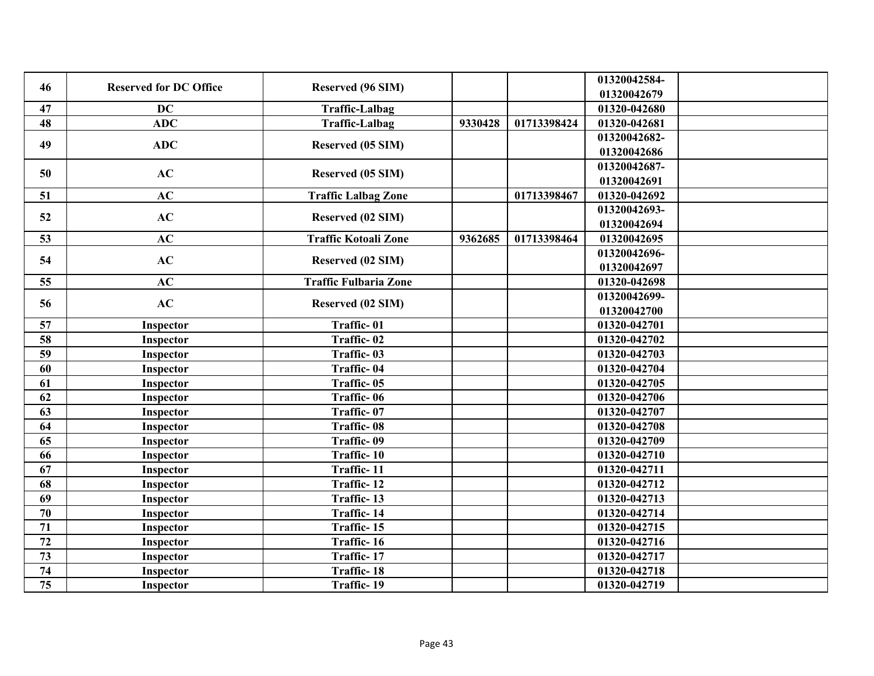| 46              | <b>Reserved for DC Office</b> | Reserved (96 SIM)            |         |             | 01320042584-<br>01320042679 |  |
|-----------------|-------------------------------|------------------------------|---------|-------------|-----------------------------|--|
| 47              | <b>DC</b>                     | <b>Traffic-Lalbag</b>        |         |             | 01320-042680                |  |
| 48              | <b>ADC</b>                    | <b>Traffic-Lalbag</b>        | 9330428 | 01713398424 | 01320-042681                |  |
|                 |                               |                              |         |             | 01320042682-                |  |
| 49              | <b>ADC</b>                    | Reserved (05 SIM)            |         |             | 01320042686                 |  |
|                 |                               |                              |         |             | 01320042687-                |  |
| 50              | AC                            | Reserved (05 SIM)            |         |             | 01320042691                 |  |
| 51              | AC                            | <b>Traffic Lalbag Zone</b>   |         | 01713398467 | 01320-042692                |  |
|                 |                               |                              |         |             | 01320042693-                |  |
| 52              | AC                            | Reserved (02 SIM)            |         |             | 01320042694                 |  |
| 53              | AC                            | <b>Traffic Kotoali Zone</b>  | 9362685 | 01713398464 | 01320042695                 |  |
| 54              | AC                            | Reserved (02 SIM)            |         |             | 01320042696-                |  |
|                 |                               |                              |         |             | 01320042697                 |  |
| 55              | AC                            | <b>Traffic Fulbaria Zone</b> |         |             | 01320-042698                |  |
| 56              | AC                            | Reserved (02 SIM)            |         |             | 01320042699-                |  |
|                 |                               |                              |         |             | 01320042700                 |  |
| 57              | Inspector                     | Traffic-01                   |         |             | 01320-042701                |  |
| 58              | Inspector                     | Traffic-02                   |         |             | 01320-042702                |  |
| 59              | Inspector                     | Traffic-03                   |         |             | 01320-042703                |  |
| 60              | Inspector                     | Traffic-04                   |         |             | 01320-042704                |  |
| 61              | Inspector                     | Traffic-05                   |         |             | 01320-042705                |  |
| 62              | Inspector                     | Traffic-06                   |         |             | 01320-042706                |  |
| 63              | Inspector                     | Traffic-07                   |         |             | 01320-042707                |  |
| 64              | Inspector                     | Traffic-08                   |         |             | 01320-042708                |  |
| 65              | Inspector                     | Traffic-09                   |         |             | 01320-042709                |  |
| 66              | Inspector                     | Traffic-10                   |         |             | 01320-042710                |  |
| 67              | Inspector                     | Traffic-11                   |         |             | 01320-042711                |  |
| 68              | Inspector                     | Traffic-12                   |         |             | 01320-042712                |  |
| 69              | Inspector                     | Traffic-13                   |         |             | 01320-042713                |  |
| 70              | Inspector                     | Traffic-14                   |         |             | 01320-042714                |  |
| 71              | Inspector                     | Traffic-15                   |         |             | 01320-042715                |  |
| 72              | Inspector                     | Traffic-16                   |         |             | 01320-042716                |  |
| 73              | Inspector                     | Traffic-17                   |         |             | 01320-042717                |  |
| 74              | Inspector                     | Traffic-18                   |         |             | 01320-042718                |  |
| $\overline{75}$ | Inspector                     | Traffic-19                   |         |             | 01320-042719                |  |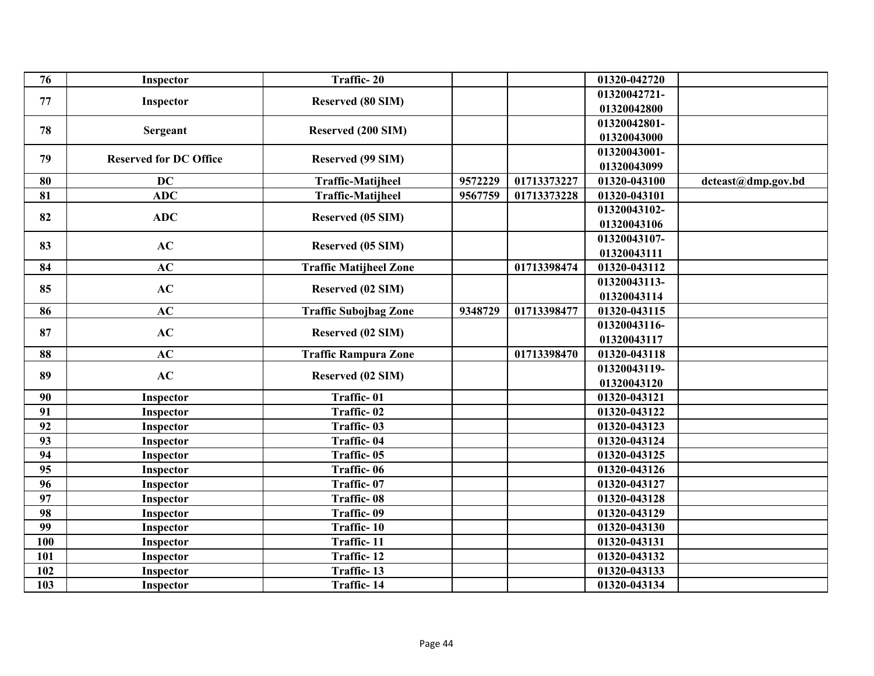| 76  | Inspector                     | Traffic-20                    |         |             | 01320-042720 |                    |
|-----|-------------------------------|-------------------------------|---------|-------------|--------------|--------------------|
| 77  | Inspector                     | Reserved (80 SIM)             |         |             | 01320042721- |                    |
|     |                               |                               |         |             | 01320042800  |                    |
| 78  | Sergeant                      | Reserved (200 SIM)            |         |             | 01320042801- |                    |
|     |                               |                               |         |             | 01320043000  |                    |
| 79  | <b>Reserved for DC Office</b> | Reserved (99 SIM)             |         |             | 01320043001- |                    |
|     |                               |                               |         |             | 01320043099  |                    |
| 80  | <b>DC</b>                     | <b>Traffic-Matijheel</b>      | 9572229 | 01713373227 | 01320-043100 | dcteast@dmp.gov.bd |
| 81  | <b>ADC</b>                    | <b>Traffic-Matijheel</b>      | 9567759 | 01713373228 | 01320-043101 |                    |
| 82  | <b>ADC</b>                    | Reserved (05 SIM)             |         |             | 01320043102- |                    |
|     |                               |                               |         |             | 01320043106  |                    |
| 83  | AC                            | Reserved (05 SIM)             |         |             | 01320043107- |                    |
|     |                               |                               |         |             | 01320043111  |                    |
| 84  | AC                            | <b>Traffic Matijheel Zone</b> |         | 01713398474 | 01320-043112 |                    |
| 85  | AC                            | Reserved (02 SIM)             |         |             | 01320043113- |                    |
|     |                               |                               |         |             | 01320043114  |                    |
| 86  | AC                            | <b>Traffic Subojbag Zone</b>  | 9348729 | 01713398477 | 01320-043115 |                    |
| 87  | AC                            | Reserved (02 SIM)             |         |             | 01320043116- |                    |
|     |                               |                               |         |             | 01320043117  |                    |
| 88  | AC                            | <b>Traffic Rampura Zone</b>   |         | 01713398470 | 01320-043118 |                    |
| 89  | AC                            | Reserved (02 SIM)             |         |             | 01320043119- |                    |
|     |                               |                               |         |             | 01320043120  |                    |
| 90  | Inspector                     | Traffic-01                    |         |             | 01320-043121 |                    |
| 91  | Inspector                     | Traffic-02                    |         |             | 01320-043122 |                    |
| 92  | Inspector                     | Traffic-03                    |         |             | 01320-043123 |                    |
| 93  | Inspector                     | Traffic-04                    |         |             | 01320-043124 |                    |
| 94  | Inspector                     | Traffic-05                    |         |             | 01320-043125 |                    |
| 95  | Inspector                     | Traffic-06                    |         |             | 01320-043126 |                    |
| 96  | Inspector                     | Traffic-07                    |         |             | 01320-043127 |                    |
| 97  | Inspector                     | Traffic-08                    |         |             | 01320-043128 |                    |
| 98  | Inspector                     | Traffic-09                    |         |             | 01320-043129 |                    |
| 99  | Inspector                     | Traffic-10                    |         |             | 01320-043130 |                    |
| 100 | Inspector                     | Traffic-11                    |         |             | 01320-043131 |                    |
| 101 | Inspector                     | Traffic-12                    |         |             | 01320-043132 |                    |
| 102 | Inspector                     | Traffic-13                    |         |             | 01320-043133 |                    |
| 103 | Inspector                     | Traffic-14                    |         |             | 01320-043134 |                    |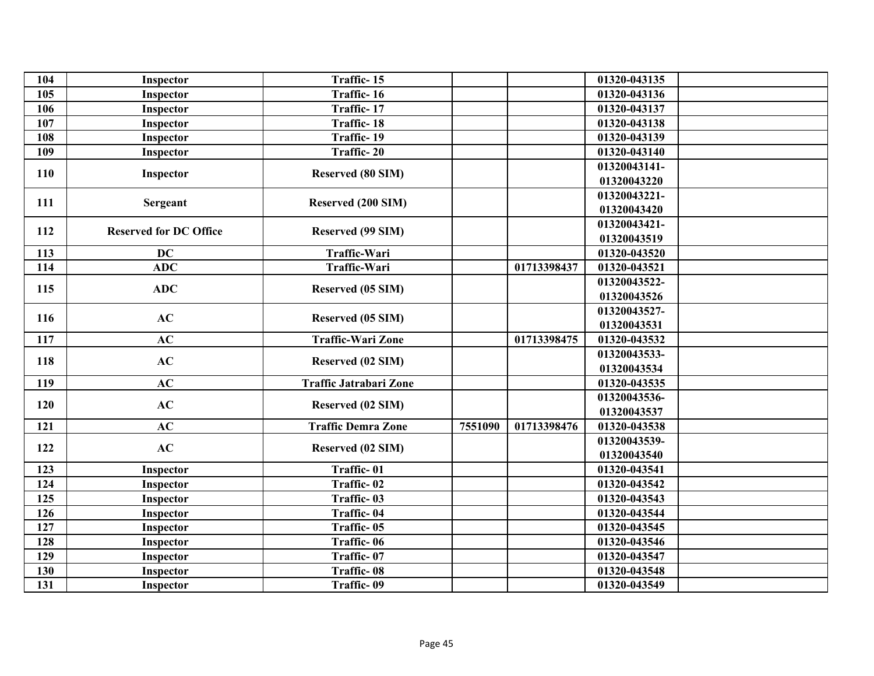| 104 | Inspector                     | Traffic-15                    |         |             | 01320-043135 |  |
|-----|-------------------------------|-------------------------------|---------|-------------|--------------|--|
| 105 | Inspector                     | Traffic-16                    |         |             | 01320-043136 |  |
| 106 | Inspector                     | Traffic-17                    |         |             | 01320-043137 |  |
| 107 | Inspector                     | Traffic-18                    |         |             | 01320-043138 |  |
| 108 | Inspector                     | Traffic-19                    |         |             | 01320-043139 |  |
| 109 | Inspector                     | Traffic-20                    |         |             | 01320-043140 |  |
| 110 |                               | <b>Reserved (80 SIM)</b>      |         |             | 01320043141- |  |
|     | Inspector                     |                               |         |             | 01320043220  |  |
| 111 |                               | Reserved (200 SIM)            |         |             | 01320043221- |  |
|     | Sergeant                      |                               |         |             | 01320043420  |  |
| 112 | <b>Reserved for DC Office</b> | Reserved (99 SIM)             |         |             | 01320043421- |  |
|     |                               |                               |         |             | 01320043519  |  |
| 113 | <b>DC</b>                     | Traffic-Wari                  |         |             | 01320-043520 |  |
| 114 | <b>ADC</b>                    | Traffic-Wari                  |         | 01713398437 | 01320-043521 |  |
| 115 | <b>ADC</b>                    | Reserved (05 SIM)             |         |             | 01320043522- |  |
|     |                               |                               |         |             | 01320043526  |  |
| 116 | AC                            | Reserved (05 SIM)             |         |             | 01320043527- |  |
|     |                               |                               |         |             | 01320043531  |  |
| 117 | AC                            | <b>Traffic-Wari Zone</b>      |         | 01713398475 | 01320-043532 |  |
| 118 | AC                            | Reserved (02 SIM)             |         |             | 01320043533- |  |
|     |                               |                               |         |             | 01320043534  |  |
| 119 | AC                            | <b>Traffic Jatrabari Zone</b> |         |             | 01320-043535 |  |
| 120 | AC                            | Reserved (02 SIM)             |         |             | 01320043536- |  |
|     |                               |                               |         |             | 01320043537  |  |
| 121 | AC                            | <b>Traffic Demra Zone</b>     | 7551090 | 01713398476 | 01320-043538 |  |
| 122 | AC                            | Reserved (02 SIM)             |         |             | 01320043539- |  |
|     |                               |                               |         |             | 01320043540  |  |
| 123 | Inspector                     | Traffic-01                    |         |             | 01320-043541 |  |
| 124 | Inspector                     | Traffic-02                    |         |             | 01320-043542 |  |
| 125 | Inspector                     | Traffic-03                    |         |             | 01320-043543 |  |
| 126 | Inspector                     | Traffic-04                    |         |             | 01320-043544 |  |
| 127 | Inspector                     | Traffic-05                    |         |             | 01320-043545 |  |
| 128 | Inspector                     | Traffic-06                    |         |             | 01320-043546 |  |
| 129 | Inspector                     | Traffic-07                    |         |             | 01320-043547 |  |
| 130 | Inspector                     | Traffic-08                    |         |             | 01320-043548 |  |
| 131 | Inspector                     | Traffic-09                    |         |             | 01320-043549 |  |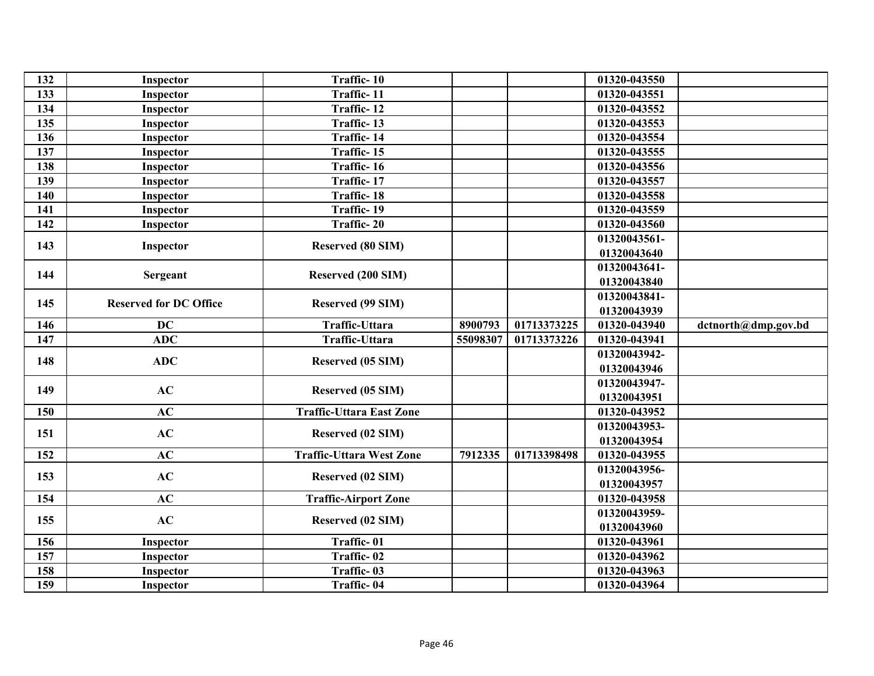| 132 | Inspector                     | Traffic-10                      |          |             | 01320-043550               |                     |
|-----|-------------------------------|---------------------------------|----------|-------------|----------------------------|---------------------|
| 133 | Inspector                     | Traffic-11                      |          |             | 01320-043551               |                     |
| 134 | Inspector                     | Traffic-12                      |          |             | 01320-043552               |                     |
| 135 | Inspector                     | Traffic-13                      |          |             | 01320-043553               |                     |
| 136 | Inspector                     | Traffic-14                      |          |             | 01320-043554               |                     |
| 137 | Inspector                     | Traffic-15                      |          |             | 01320-043555               |                     |
| 138 | Inspector                     | Traffic-16                      |          |             | 01320-043556               |                     |
| 139 | Inspector                     | Traffic-17                      |          |             | 01320-043557               |                     |
| 140 | Inspector                     | Traffic-18                      |          |             | 01320-043558               |                     |
| 141 | Inspector                     | Traffic-19                      |          |             | 01320-043559               |                     |
| 142 | Inspector                     | Traffic-20                      |          |             | 01320-043560               |                     |
| 143 |                               | <b>Reserved (80 SIM)</b>        |          |             | 01320043561-               |                     |
|     | Inspector                     |                                 |          |             | 01320043640                |                     |
| 144 | Sergeant                      | Reserved (200 SIM)              |          |             | $\overline{01}320043641$ - |                     |
|     |                               |                                 |          |             | 01320043840                |                     |
| 145 | <b>Reserved for DC Office</b> | Reserved (99 SIM)               |          |             | 01320043841-               |                     |
|     |                               |                                 |          |             | 01320043939                |                     |
| 146 | <b>DC</b>                     | Traffic-Uttara                  | 8900793  | 01713373225 | 01320-043940               | dctnorth@dmp.gov.bd |
| 147 | <b>ADC</b>                    | Traffic-Uttara                  | 55098307 | 01713373226 | 01320-043941               |                     |
| 148 | <b>ADC</b>                    | Reserved (05 SIM)               |          |             | 01320043942-               |                     |
|     |                               |                                 |          |             | 01320043946                |                     |
| 149 | AC                            | Reserved (05 SIM)               |          |             | 01320043947-               |                     |
|     |                               |                                 |          |             | 01320043951                |                     |
| 150 | AC                            | <b>Traffic-Uttara East Zone</b> |          |             | 01320-043952               |                     |
| 151 | AC                            | Reserved (02 SIM)               |          |             | 01320043953-               |                     |
|     |                               |                                 |          |             | 01320043954                |                     |
| 152 | AC                            | <b>Traffic-Uttara West Zone</b> | 7912335  | 01713398498 | 01320-043955               |                     |
| 153 | AC                            | Reserved (02 SIM)               |          |             | 01320043956-               |                     |
|     |                               |                                 |          |             | 01320043957                |                     |
| 154 | AC                            | <b>Traffic-Airport Zone</b>     |          |             | 01320-043958               |                     |
| 155 | AC                            | Reserved (02 SIM)               |          |             | 01320043959-               |                     |
|     |                               |                                 |          |             | 01320043960                |                     |
| 156 | Inspector                     | Traffic-01                      |          |             | 01320-043961               |                     |
| 157 | Inspector                     | Traffic-02                      |          |             | 01320-043962               |                     |
| 158 | Inspector                     | Traffic-03                      |          |             | 01320-043963               |                     |
| 159 | Inspector                     | Traffic-04                      |          |             | 01320-043964               |                     |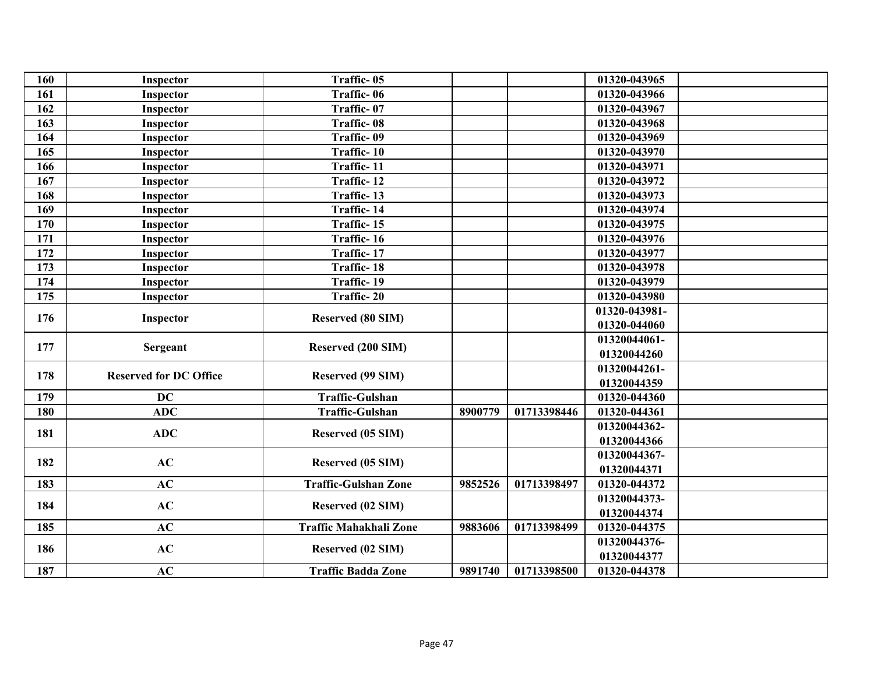| 160 | Inspector                     | Traffic-05                  |         |             | 01320-043965  |  |
|-----|-------------------------------|-----------------------------|---------|-------------|---------------|--|
| 161 | Inspector                     | Traffic-06                  |         |             | 01320-043966  |  |
| 162 | Inspector                     | Traffic-07                  |         |             | 01320-043967  |  |
| 163 | Inspector                     | Traffic-08                  |         |             | 01320-043968  |  |
| 164 | Inspector                     | Traffic-09                  |         |             | 01320-043969  |  |
| 165 | Inspector                     | Traffic-10                  |         |             | 01320-043970  |  |
| 166 | Inspector                     | Traffic-11                  |         |             | 01320-043971  |  |
| 167 | Inspector                     | Traffic-12                  |         |             | 01320-043972  |  |
| 168 | Inspector                     | Traffic-13                  |         |             | 01320-043973  |  |
| 169 | Inspector                     | Traffic-14                  |         |             | 01320-043974  |  |
| 170 | Inspector                     | Traffic-15                  |         |             | 01320-043975  |  |
| 171 | Inspector                     | Traffic-16                  |         |             | 01320-043976  |  |
| 172 | Inspector                     | Traffic-17                  |         |             | 01320-043977  |  |
| 173 | Inspector                     | <b>Traffic-18</b>           |         |             | 01320-043978  |  |
| 174 | Inspector                     | Traffic-19                  |         |             | 01320-043979  |  |
| 175 | Inspector                     | Traffic-20                  |         |             | 01320-043980  |  |
| 176 |                               |                             |         |             | 01320-043981- |  |
|     | Inspector                     | <b>Reserved (80 SIM)</b>    |         |             | 01320-044060  |  |
| 177 |                               |                             |         |             | 01320044061-  |  |
|     | Sergeant                      | Reserved (200 SIM)          |         |             | 01320044260   |  |
| 178 | <b>Reserved for DC Office</b> |                             |         |             | 01320044261-  |  |
|     |                               | Reserved (99 SIM)           |         |             | 01320044359   |  |
| 179 | <b>DC</b>                     | <b>Traffic-Gulshan</b>      |         |             | 01320-044360  |  |
| 180 | ADC                           | Traffic-Gulshan             | 8900779 | 01713398446 | 01320-044361  |  |
| 181 | <b>ADC</b>                    | Reserved (05 SIM)           |         |             | 01320044362-  |  |
|     |                               |                             |         |             | 01320044366   |  |
| 182 | AC                            |                             |         |             | 01320044367-  |  |
|     |                               | Reserved (05 SIM)           |         |             | 01320044371   |  |
| 183 | AC                            | <b>Traffic-Gulshan Zone</b> | 9852526 | 01713398497 | 01320-044372  |  |
| 184 | AC                            |                             |         |             | 01320044373-  |  |
|     |                               | Reserved (02 SIM)           |         |             | 01320044374   |  |
| 185 | AC                            | Traffic Mahakhali Zone      | 9883606 | 01713398499 | 01320-044375  |  |
| 186 | AC                            |                             |         |             | 01320044376-  |  |
|     |                               | Reserved (02 SIM)           |         |             | 01320044377   |  |
| 187 | AC                            | <b>Traffic Badda Zone</b>   | 9891740 | 01713398500 | 01320-044378  |  |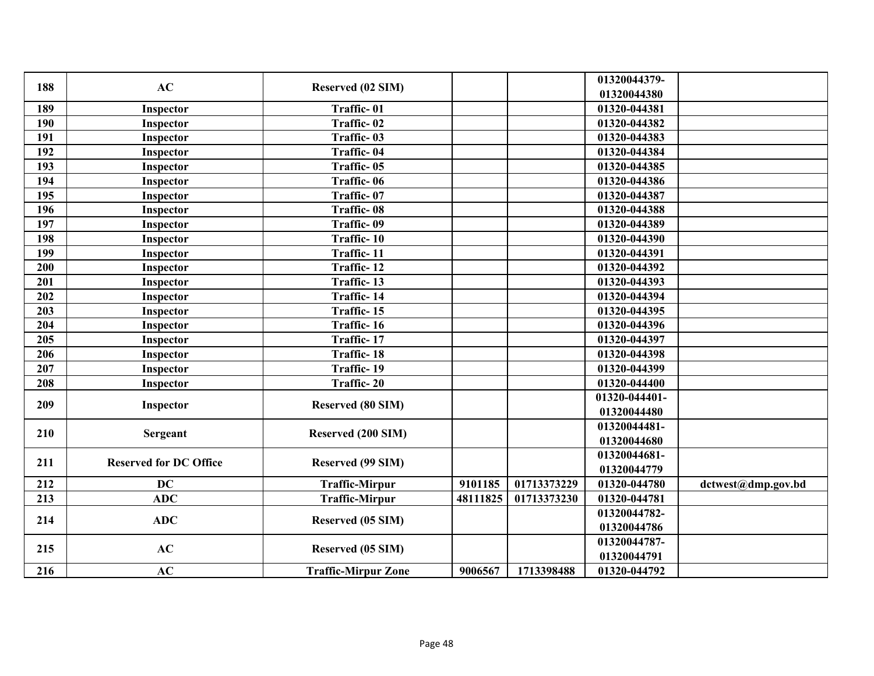| 188 | AC                            | Reserved (02 SIM)          |          |             | 01320044379-<br>01320044380 |                    |
|-----|-------------------------------|----------------------------|----------|-------------|-----------------------------|--------------------|
| 189 | Inspector                     | Traffic-01                 |          |             | 01320-044381                |                    |
| 190 | Inspector                     | Traffic-02                 |          |             | 01320-044382                |                    |
| 191 | Inspector                     | Traffic-03                 |          |             | 01320-044383                |                    |
| 192 | Inspector                     | Traffic-04                 |          |             | 01320-044384                |                    |
| 193 | Inspector                     | Traffic-05                 |          |             | 01320-044385                |                    |
| 194 | Inspector                     | Traffic-06                 |          |             | 01320-044386                |                    |
| 195 | Inspector                     | Traffic-07                 |          |             | 01320-044387                |                    |
| 196 | Inspector                     | Traffic-08                 |          |             | 01320-044388                |                    |
| 197 | Inspector                     | Traffic-09                 |          |             | 01320-044389                |                    |
| 198 | Inspector                     | Traffic-10                 |          |             | 01320-044390                |                    |
| 199 | Inspector                     | Traffic-11                 |          |             | 01320-044391                |                    |
| 200 | Inspector                     | Traffic-12                 |          |             | 01320-044392                |                    |
| 201 | Inspector                     | Traffic-13                 |          |             | 01320-044393                |                    |
| 202 | Inspector                     | Traffic-14                 |          |             | 01320-044394                |                    |
| 203 | Inspector                     | Traffic-15                 |          |             | 01320-044395                |                    |
| 204 | Inspector                     | Traffic-16                 |          |             | 01320-044396                |                    |
| 205 | Inspector                     | Traffic-17                 |          |             | 01320-044397                |                    |
| 206 | Inspector                     | <b>Traffic-18</b>          |          |             | 01320-044398                |                    |
| 207 | Inspector                     | Traffic-19                 |          |             | 01320-044399                |                    |
| 208 | Inspector                     | Traffic-20                 |          |             | 01320-044400                |                    |
|     |                               |                            |          |             | 01320-044401-               |                    |
| 209 | Inspector                     | Reserved (80 SIM)          |          |             | 01320044480                 |                    |
|     |                               |                            |          |             | 01320044481-                |                    |
| 210 | Sergeant                      | Reserved (200 SIM)         |          |             | 01320044680                 |                    |
|     |                               |                            |          |             | 01320044681-                |                    |
| 211 | <b>Reserved for DC Office</b> | Reserved (99 SIM)          |          |             | 01320044779                 |                    |
| 212 | <b>DC</b>                     | <b>Traffic-Mirpur</b>      | 9101185  | 01713373229 | 01320-044780                | dctwest@dmp.gov.bd |
| 213 | <b>ADC</b>                    | <b>Traffic-Mirpur</b>      | 48111825 | 01713373230 | 01320-044781                |                    |
| 214 | <b>ADC</b>                    |                            |          |             | 01320044782-                |                    |
|     |                               | <b>Reserved (05 SIM)</b>   |          |             | 01320044786                 |                    |
| 215 | AC                            | Reserved (05 SIM)          |          |             | 01320044787-                |                    |
|     |                               |                            |          |             | 01320044791                 |                    |
| 216 | AC                            | <b>Traffic-Mirpur Zone</b> | 9006567  | 1713398488  | 01320-044792                |                    |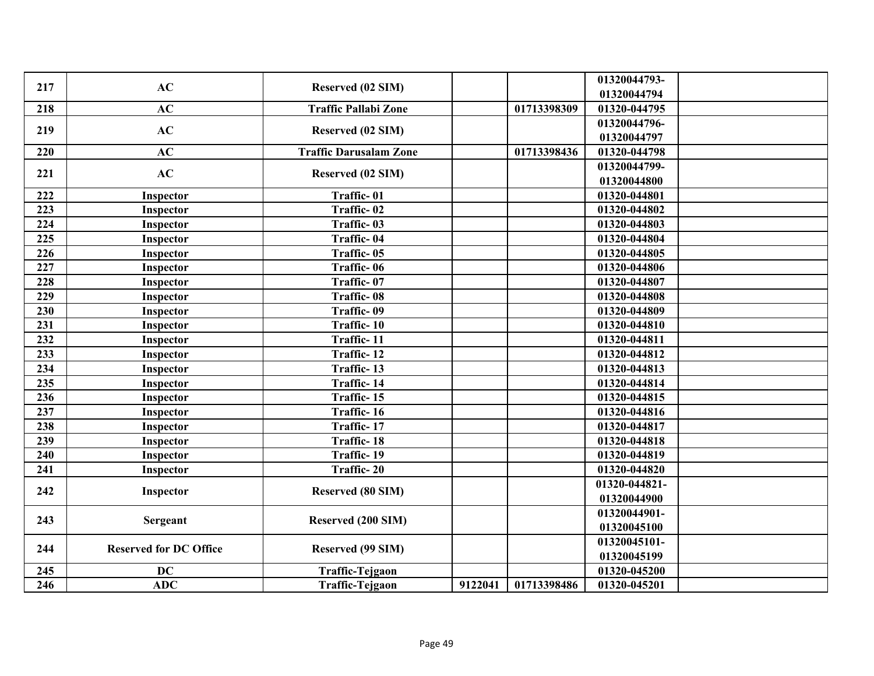| 217 | AC                            | <b>Reserved (02 SIM)</b>      |         |             | 01320044793-  |  |
|-----|-------------------------------|-------------------------------|---------|-------------|---------------|--|
|     |                               |                               |         |             | 01320044794   |  |
| 218 | AC                            | <b>Traffic Pallabi Zone</b>   |         | 01713398309 | 01320-044795  |  |
| 219 | AC                            | Reserved (02 SIM)             |         |             | 01320044796-  |  |
|     |                               |                               |         |             | 01320044797   |  |
| 220 | AC                            | <b>Traffic Darusalam Zone</b> |         | 01713398436 | 01320-044798  |  |
| 221 | AC                            | <b>Reserved (02 SIM)</b>      |         |             | 01320044799-  |  |
|     |                               |                               |         |             | 01320044800   |  |
| 222 | Inspector                     | Traffic-01                    |         |             | 01320-044801  |  |
| 223 | Inspector                     | Traffic-02                    |         |             | 01320-044802  |  |
| 224 | Inspector                     | Traffic-03                    |         |             | 01320-044803  |  |
| 225 | Inspector                     | Traffic-04                    |         |             | 01320-044804  |  |
| 226 | Inspector                     | Traffic-05                    |         |             | 01320-044805  |  |
| 227 | Inspector                     | Traffic-06                    |         |             | 01320-044806  |  |
| 228 | Inspector                     | Traffic-07                    |         |             | 01320-044807  |  |
| 229 | Inspector                     | Traffic-08                    |         |             | 01320-044808  |  |
| 230 | Inspector                     | Traffic-09                    |         |             | 01320-044809  |  |
| 231 | Inspector                     | Traffic-10                    |         |             | 01320-044810  |  |
| 232 | Inspector                     | Traffic-11                    |         |             | 01320-044811  |  |
| 233 | Inspector                     | Traffic-12                    |         |             | 01320-044812  |  |
| 234 | Inspector                     | Traffic-13                    |         |             | 01320-044813  |  |
| 235 | Inspector                     | Traffic-14                    |         |             | 01320-044814  |  |
| 236 | Inspector                     | Traffic-15                    |         |             | 01320-044815  |  |
| 237 | Inspector                     | Traffic-16                    |         |             | 01320-044816  |  |
| 238 | Inspector                     | Traffic-17                    |         |             | 01320-044817  |  |
| 239 | Inspector                     | <b>Traffic-18</b>             |         |             | 01320-044818  |  |
| 240 | Inspector                     | Traffic-19                    |         |             | 01320-044819  |  |
| 241 | Inspector                     | Traffic-20                    |         |             | 01320-044820  |  |
|     |                               |                               |         |             | 01320-044821- |  |
| 242 | Inspector                     | <b>Reserved (80 SIM)</b>      |         |             | 01320044900   |  |
|     |                               |                               |         |             | 01320044901-  |  |
| 243 | <b>Sergeant</b>               | Reserved (200 SIM)            |         |             | 01320045100   |  |
|     |                               |                               |         |             | 01320045101-  |  |
| 244 | <b>Reserved for DC Office</b> | Reserved (99 SIM)             |         |             | 01320045199   |  |
| 245 | <b>DC</b>                     | <b>Traffic-Tejgaon</b>        |         |             | 01320-045200  |  |
| 246 | <b>ADC</b>                    | <b>Traffic-Tejgaon</b>        | 9122041 | 01713398486 | 01320-045201  |  |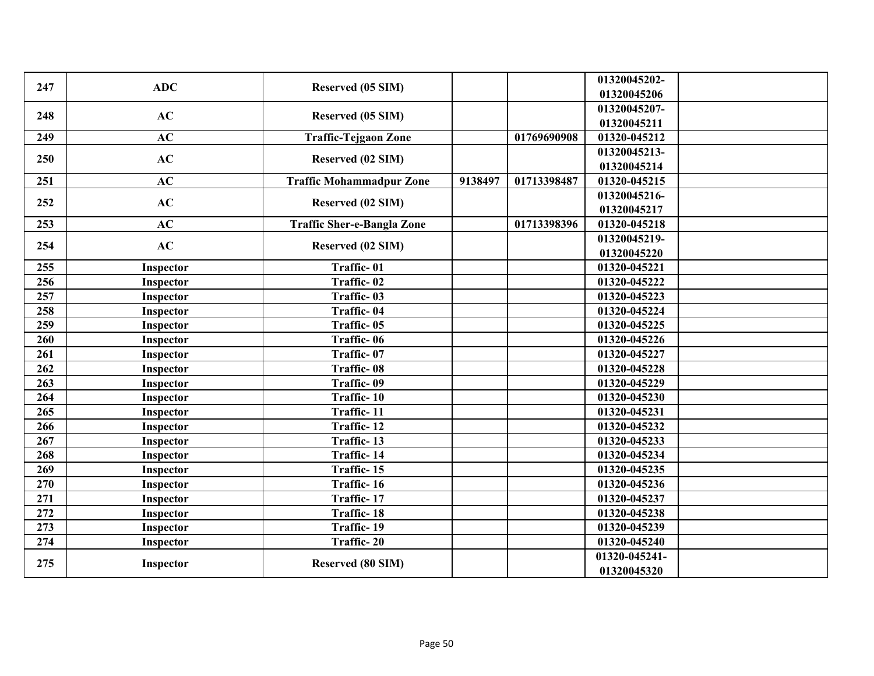| 247 | <b>ADC</b> | Reserved (05 SIM)                 |         |             | 01320045202-  |  |
|-----|------------|-----------------------------------|---------|-------------|---------------|--|
|     |            |                                   |         |             | 01320045206   |  |
| 248 | AC         | Reserved (05 SIM)                 |         |             | 01320045207-  |  |
|     |            |                                   |         |             | 01320045211   |  |
| 249 | AC         | <b>Traffic-Tejgaon Zone</b>       |         | 01769690908 | 01320-045212  |  |
| 250 | AC         | Reserved (02 SIM)                 |         |             | 01320045213-  |  |
|     |            |                                   |         |             | 01320045214   |  |
| 251 | AC         | <b>Traffic Mohammadpur Zone</b>   | 9138497 | 01713398487 | 01320-045215  |  |
| 252 | AC         | Reserved (02 SIM)                 |         |             | 01320045216-  |  |
|     |            |                                   |         |             | 01320045217   |  |
| 253 | AC         | <b>Traffic Sher-e-Bangla Zone</b> |         | 01713398396 | 01320-045218  |  |
| 254 | AC         | <b>Reserved (02 SIM)</b>          |         |             | 01320045219-  |  |
|     |            |                                   |         |             | 01320045220   |  |
| 255 | Inspector  | Traffic-01                        |         |             | 01320-045221  |  |
| 256 | Inspector  | Traffic-02                        |         |             | 01320-045222  |  |
| 257 | Inspector  | Traffic-03                        |         |             | 01320-045223  |  |
| 258 | Inspector  | Traffic-04                        |         |             | 01320-045224  |  |
| 259 | Inspector  | Traffic-05                        |         |             | 01320-045225  |  |
| 260 | Inspector  | Traffic-06                        |         |             | 01320-045226  |  |
| 261 | Inspector  | Traffic-07                        |         |             | 01320-045227  |  |
| 262 | Inspector  | Traffic-08                        |         |             | 01320-045228  |  |
| 263 | Inspector  | Traffic-09                        |         |             | 01320-045229  |  |
| 264 | Inspector  | Traffic-10                        |         |             | 01320-045230  |  |
| 265 | Inspector  | Traffic-11                        |         |             | 01320-045231  |  |
| 266 | Inspector  | Traffic-12                        |         |             | 01320-045232  |  |
| 267 | Inspector  | Traffic-13                        |         |             | 01320-045233  |  |
| 268 | Inspector  | Traffic-14                        |         |             | 01320-045234  |  |
| 269 | Inspector  | Traffic-15                        |         |             | 01320-045235  |  |
| 270 | Inspector  | Traffic-16                        |         |             | 01320-045236  |  |
| 271 | Inspector  | Traffic-17                        |         |             | 01320-045237  |  |
| 272 | Inspector  | <b>Traffic-18</b>                 |         |             | 01320-045238  |  |
| 273 | Inspector  | Traffic-19                        |         |             | 01320-045239  |  |
| 274 | Inspector  | Traffic-20                        |         |             | 01320-045240  |  |
|     |            |                                   |         |             | 01320-045241- |  |
| 275 | Inspector  | <b>Reserved (80 SIM)</b>          |         |             | 01320045320   |  |
|     |            |                                   |         |             |               |  |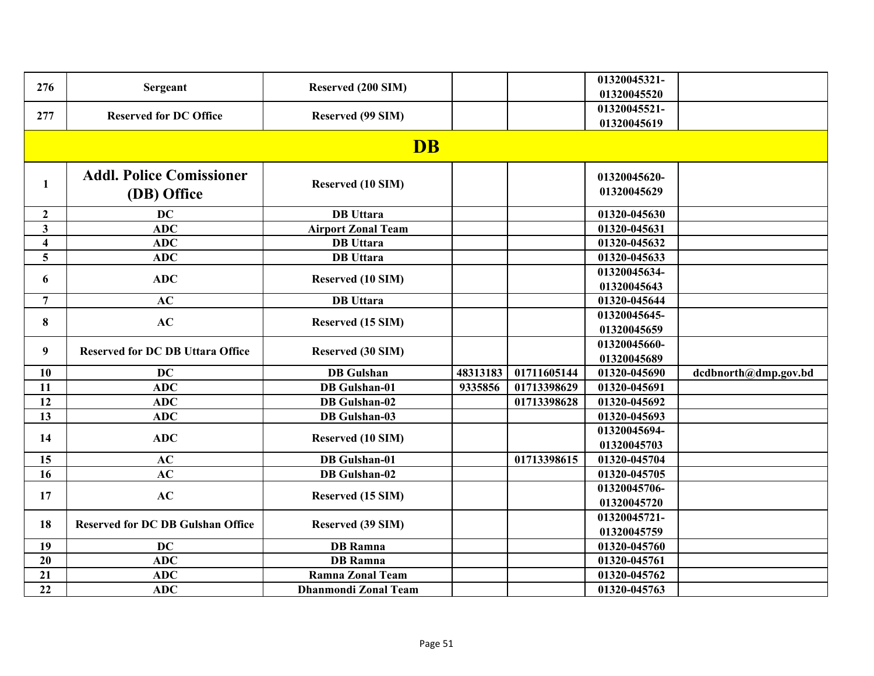| 276                     | Sergeant                                       | Reserved (200 SIM)          |          |             | 01320045321-<br>01320045520 |                      |
|-------------------------|------------------------------------------------|-----------------------------|----------|-------------|-----------------------------|----------------------|
| 277                     | <b>Reserved for DC Office</b>                  | Reserved (99 SIM)           |          |             | 01320045521-<br>01320045619 |                      |
|                         |                                                | <b>DB</b>                   |          |             |                             |                      |
| 1                       | <b>Addl. Police Comissioner</b><br>(DB) Office | Reserved (10 SIM)           |          |             | 01320045620-<br>01320045629 |                      |
| $\overline{2}$          | <b>DC</b>                                      | <b>DB</b> Uttara            |          |             | 01320-045630                |                      |
| $\overline{\mathbf{3}}$ | <b>ADC</b>                                     | <b>Airport Zonal Team</b>   |          |             | 01320-045631                |                      |
| $\overline{\mathbf{4}}$ | <b>ADC</b>                                     | <b>DB</b> Uttara            |          |             | 01320-045632                |                      |
| 5 <sup>5</sup>          | <b>ADC</b>                                     | <b>DB</b> Uttara            |          |             | 01320-045633                |                      |
| 6                       | <b>ADC</b>                                     | Reserved (10 SIM)           |          |             | 01320045634-<br>01320045643 |                      |
| $\overline{7}$          | AC                                             | <b>DB</b> Uttara            |          |             | 01320-045644                |                      |
| $\bf{8}$                | AC                                             | <b>Reserved (15 SIM)</b>    |          |             | 01320045645-<br>01320045659 |                      |
| 9                       | <b>Reserved for DC DB Uttara Office</b>        | Reserved (30 SIM)           |          |             | 01320045660-<br>01320045689 |                      |
| 10                      | <b>DC</b>                                      | <b>DB</b> Gulshan           | 48313183 | 01711605144 | 01320-045690                | dcdbnorth@dmp.gov.bd |
| 11                      | <b>ADC</b>                                     | <b>DB</b> Gulshan-01        | 9335856  | 01713398629 | 01320-045691                |                      |
| 12                      | <b>ADC</b>                                     | <b>DB</b> Gulshan-02        |          | 01713398628 | 01320-045692                |                      |
| 13                      | <b>ADC</b>                                     | <b>DB</b> Gulshan-03        |          |             | 01320-045693                |                      |
| 14                      | <b>ADC</b>                                     | <b>Reserved (10 SIM)</b>    |          |             | 01320045694-<br>01320045703 |                      |
| 15                      | AC                                             | <b>DB</b> Gulshan-01        |          | 01713398615 | 01320-045704                |                      |
| 16                      | AC                                             | <b>DB</b> Gulshan-02        |          |             | 01320-045705                |                      |
| 17                      | AC                                             | Reserved (15 SIM)           |          |             | 01320045706-<br>01320045720 |                      |
| 18                      | <b>Reserved for DC DB Gulshan Office</b>       | Reserved (39 SIM)           |          |             | 01320045721-<br>01320045759 |                      |
| 19                      | <b>DC</b>                                      | <b>DB</b> Ramna             |          |             | 01320-045760                |                      |
| 20                      | <b>ADC</b>                                     | <b>DB</b> Ramna             |          |             | 01320-045761                |                      |
| 21                      | <b>ADC</b>                                     | <b>Ramna Zonal Team</b>     |          |             | 01320-045762                |                      |
| 22                      | <b>ADC</b>                                     | <b>Dhanmondi Zonal Team</b> |          |             | 01320-045763                |                      |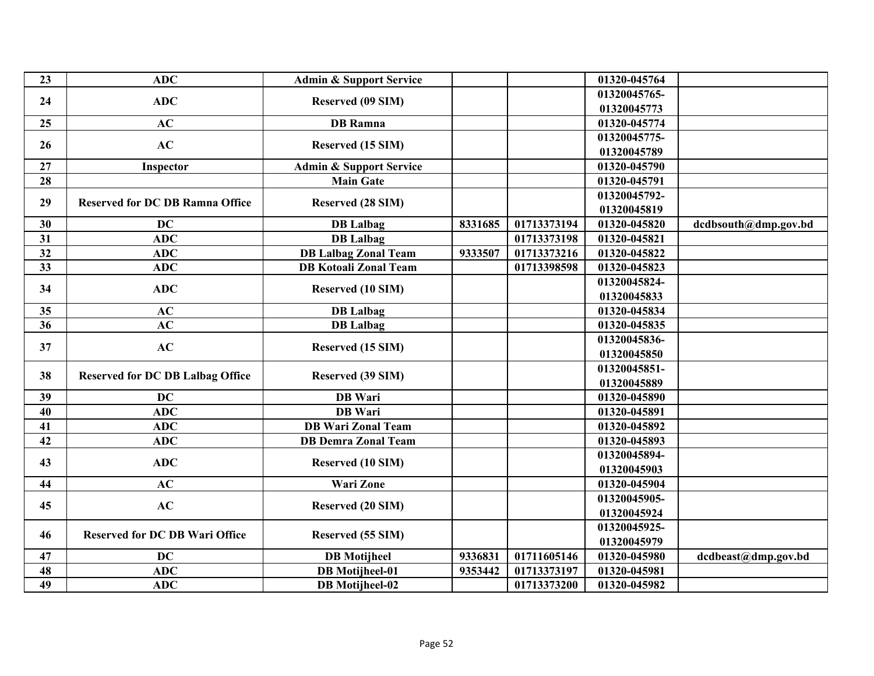| 23 | <b>ADC</b>                              | <b>Admin &amp; Support Service</b> |         |             | 01320-045764                |                      |
|----|-----------------------------------------|------------------------------------|---------|-------------|-----------------------------|----------------------|
| 24 | <b>ADC</b>                              | Reserved (09 SIM)                  |         |             | 01320045765-                |                      |
|    |                                         |                                    |         |             | 01320045773                 |                      |
| 25 | AC                                      | <b>DB</b> Ramna                    |         |             | 01320-045774                |                      |
| 26 | AC                                      | Reserved (15 SIM)                  |         |             | 01320045775-                |                      |
|    |                                         |                                    |         |             | 01320045789                 |                      |
| 27 | Inspector                               | <b>Admin &amp; Support Service</b> |         |             | 01320-045790                |                      |
| 28 |                                         | Main Gate                          |         |             | 01320-045791                |                      |
| 29 | <b>Reserved for DC DB Ramna Office</b>  | <b>Reserved (28 SIM)</b>           |         |             | 01320045792-                |                      |
|    |                                         |                                    |         |             | 01320045819                 |                      |
| 30 | <b>DC</b>                               | <b>DB</b> Lalbag                   | 8331685 | 01713373194 | 01320-045820                | dcdbsouth@dmp.gov.bd |
| 31 | <b>ADC</b>                              | <b>DB</b> Lalbag                   |         | 01713373198 | $\overline{01}320 - 045821$ |                      |
| 32 | <b>ADC</b>                              | <b>DB Lalbag Zonal Team</b>        | 9333507 | 01713373216 | 01320-045822                |                      |
| 33 | <b>ADC</b>                              | <b>DB Kotoali Zonal Team</b>       |         | 01713398598 | 01320-045823                |                      |
| 34 | <b>ADC</b>                              |                                    |         |             | 01320045824-                |                      |
|    |                                         | Reserved (10 SIM)                  |         |             | 01320045833                 |                      |
| 35 | AC                                      | <b>DB</b> Lalbag                   |         |             | 01320-045834                |                      |
| 36 | AC                                      | <b>DB</b> Lalbag                   |         |             | 01320-045835                |                      |
| 37 | AC                                      |                                    |         |             | 01320045836-                |                      |
|    |                                         | Reserved (15 SIM)                  |         |             | 01320045850                 |                      |
| 38 |                                         |                                    |         |             | 01320045851-                |                      |
|    | <b>Reserved for DC DB Lalbag Office</b> | Reserved (39 SIM)                  |         |             | 01320045889                 |                      |
| 39 | <b>DC</b>                               | <b>DB</b> Wari                     |         |             | 01320-045890                |                      |
| 40 | <b>ADC</b>                              | <b>DB</b> Wari                     |         |             | 01320-045891                |                      |
| 41 | <b>ADC</b>                              | <b>DB</b> Wari Zonal Team          |         |             | 01320-045892                |                      |
| 42 | <b>ADC</b>                              | <b>DB Demra Zonal Team</b>         |         |             | 01320-045893                |                      |
|    |                                         |                                    |         |             | 01320045894-                |                      |
| 43 | <b>ADC</b>                              | <b>Reserved (10 SIM)</b>           |         |             | 01320045903                 |                      |
| 44 | AC                                      | <b>Wari Zone</b>                   |         |             | 01320-045904                |                      |
|    |                                         |                                    |         |             | 01320045905-                |                      |
| 45 | AC                                      | <b>Reserved (20 SIM)</b>           |         |             | 01320045924                 |                      |
|    |                                         |                                    |         |             | 01320045925-                |                      |
| 46 | <b>Reserved for DC DB Wari Office</b>   | Reserved (55 SIM)                  |         |             | 01320045979                 |                      |
| 47 | <b>DC</b>                               | <b>DB</b> Motijheel                | 9336831 | 01711605146 | 01320-045980                | dcdbeast@dmp.gov.bd  |
| 48 | <b>ADC</b>                              | <b>DB</b> Motijheel-01             | 9353442 | 01713373197 | 01320-045981                |                      |
| 49 | <b>ADC</b>                              | <b>DB</b> Motijheel-02             |         | 01713373200 | 01320-045982                |                      |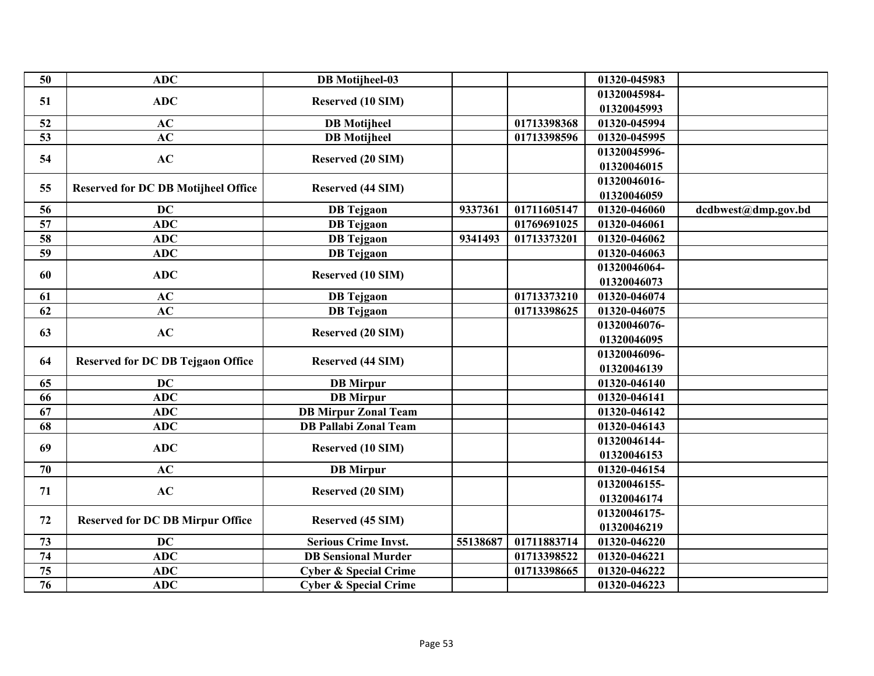| 50              | <b>ADC</b>                                 | <b>DB</b> Motijheel-03           |          |             | 01320-045983                |                     |
|-----------------|--------------------------------------------|----------------------------------|----------|-------------|-----------------------------|---------------------|
| 51              | <b>ADC</b>                                 | Reserved (10 SIM)                |          |             | 01320045984-<br>01320045993 |                     |
| 52              | AC                                         | <b>DB</b> Motijheel              |          | 01713398368 | 01320-045994                |                     |
| 53              | AC                                         | <b>DB</b> Motijheel              |          | 01713398596 | 01320-045995                |                     |
|                 |                                            |                                  |          |             | 01320045996-                |                     |
| 54              | AC                                         | <b>Reserved (20 SIM)</b>         |          |             | 01320046015                 |                     |
|                 |                                            |                                  |          |             | 01320046016-                |                     |
| 55              | <b>Reserved for DC DB Motijheel Office</b> | <b>Reserved (44 SIM)</b>         |          |             | 01320046059                 |                     |
| 56              | <b>DC</b>                                  | <b>DB</b> Tejgaon                | 9337361  | 01711605147 | 01320-046060                | dcdbwest@dmp.gov.bd |
| 57              | <b>ADC</b>                                 | <b>DB</b> Tejgaon                |          | 01769691025 | 01320-046061                |                     |
| 58              | <b>ADC</b>                                 | <b>DB</b> Tejgaon                | 9341493  | 01713373201 | 01320-046062                |                     |
| 59              | <b>ADC</b>                                 | <b>DB</b> Tejgaon                |          |             | 01320-046063                |                     |
|                 |                                            |                                  |          |             | 01320046064-                |                     |
| 60              | <b>ADC</b>                                 | <b>Reserved (10 SIM)</b>         |          |             | 01320046073                 |                     |
| 61              | AC                                         | <b>DB</b> Tejgaon                |          | 01713373210 | 01320-046074                |                     |
| 62              | AC                                         | <b>DB</b> Tejgaon                |          | 01713398625 | 01320-046075                |                     |
|                 |                                            |                                  |          |             | 01320046076-                |                     |
| 63              | AC                                         | <b>Reserved (20 SIM)</b>         |          |             | 01320046095                 |                     |
|                 |                                            |                                  |          |             | 01320046096-                |                     |
| 64              | <b>Reserved for DC DB Tejgaon Office</b>   | Reserved (44 SIM)                |          |             | 01320046139                 |                     |
| 65              | <b>DC</b>                                  | <b>DB</b> Mirpur                 |          |             | 01320-046140                |                     |
| 66              | <b>ADC</b>                                 | <b>DB</b> Mirpur                 |          |             | 01320-046141                |                     |
| 67              | <b>ADC</b>                                 | <b>DB Mirpur Zonal Team</b>      |          |             | 01320-046142                |                     |
| 68              | <b>ADC</b>                                 | <b>DB Pallabi Zonal Team</b>     |          |             | 01320-046143                |                     |
| 69              | <b>ADC</b>                                 | Reserved (10 SIM)                |          |             | 01320046144-                |                     |
|                 |                                            |                                  |          |             | 01320046153                 |                     |
| 70              | AC                                         | <b>DB</b> Mirpur                 |          |             | 01320-046154                |                     |
| 71              | AC                                         | <b>Reserved (20 SIM)</b>         |          |             | 01320046155-                |                     |
|                 |                                            |                                  |          |             | 01320046174                 |                     |
| 72              | <b>Reserved for DC DB Mirpur Office</b>    | Reserved (45 SIM)                |          |             | 01320046175-                |                     |
|                 |                                            |                                  |          |             | 01320046219                 |                     |
| 73              | <b>DC</b>                                  | <b>Serious Crime Invst.</b>      | 55138687 | 01711883714 | 01320-046220                |                     |
| 74              | <b>ADC</b>                                 | <b>DB</b> Sensional Murder       |          | 01713398522 | 01320-046221                |                     |
| 75              | ADC                                        | <b>Cyber &amp; Special Crime</b> |          | 01713398665 | 01320-046222                |                     |
| $\overline{76}$ | <b>ADC</b>                                 | <b>Cyber &amp; Special Crime</b> |          |             | 01320-046223                |                     |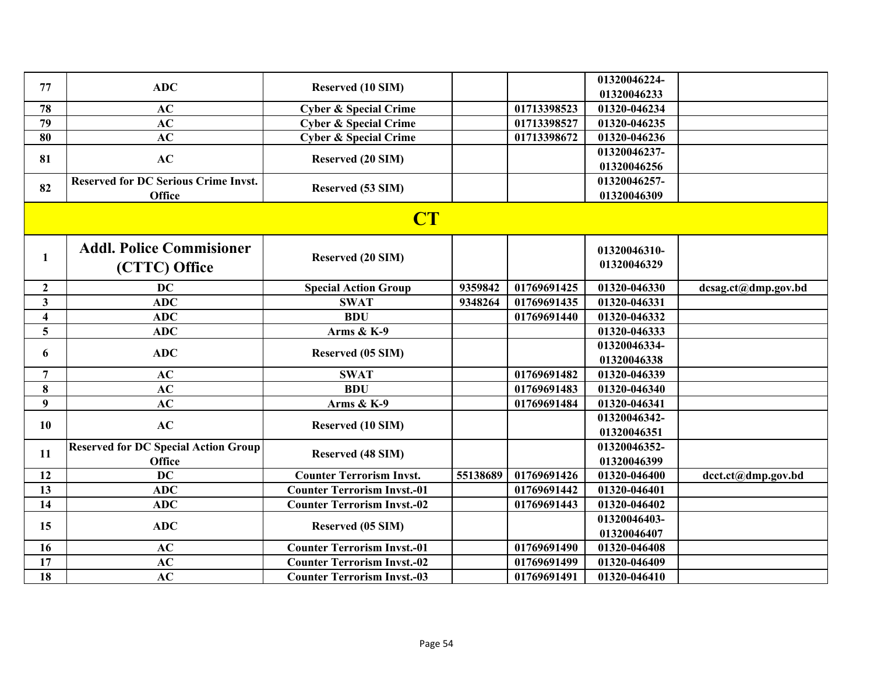| 77                      | <b>ADC</b>                                       | Reserved (10 SIM)                  |          |             | 01320046224-<br>01320046233 |                     |
|-------------------------|--------------------------------------------------|------------------------------------|----------|-------------|-----------------------------|---------------------|
| 78                      | AC                                               | <b>Cyber &amp; Special Crime</b>   |          | 01713398523 | 01320-046234                |                     |
| 79                      | AC                                               | <b>Cyber &amp; Special Crime</b>   |          | 01713398527 | 01320-046235                |                     |
| 80                      | AC                                               | <b>Cyber &amp; Special Crime</b>   |          | 01713398672 | 01320-046236                |                     |
|                         |                                                  |                                    |          |             | 01320046237-                |                     |
| 81                      | AC                                               | <b>Reserved (20 SIM)</b>           |          |             | 01320046256                 |                     |
|                         | <b>Reserved for DC Serious Crime Invst.</b>      |                                    |          |             | 01320046257-                |                     |
| 82                      | <b>Office</b>                                    | Reserved (53 SIM)                  |          |             | 01320046309                 |                     |
|                         |                                                  | <b>CT</b>                          |          |             |                             |                     |
| $\mathbf{1}$            | <b>Addl. Police Commisioner</b><br>(CTTC) Office | <b>Reserved (20 SIM)</b>           |          |             | 01320046310-<br>01320046329 |                     |
| $\overline{2}$          | <b>DC</b>                                        | <b>Special Action Group</b>        | 9359842  | 01769691425 | 01320-046330                | dcsag.ct@dmp.gov.bd |
| $\overline{\mathbf{3}}$ | <b>ADC</b>                                       | <b>SWAT</b>                        | 9348264  | 01769691435 | 01320-046331                |                     |
| $\overline{\mathbf{4}}$ | <b>ADC</b>                                       | <b>BDU</b>                         |          | 01769691440 | 01320-046332                |                     |
| $5\overline{)}$         | <b>ADC</b>                                       | Arms & K-9                         |          |             | 01320-046333                |                     |
|                         | <b>ADC</b>                                       |                                    |          |             | 01320046334-                |                     |
| 6                       |                                                  | Reserved (05 SIM)                  |          |             | 01320046338                 |                     |
| $\overline{7}$          | AC                                               | <b>SWAT</b>                        |          | 01769691482 | 01320-046339                |                     |
| 8                       | AC                                               | <b>BDU</b>                         |          | 01769691483 | 01320-046340                |                     |
| 9                       | AC                                               | Arms & K-9                         |          | 01769691484 | 01320-046341                |                     |
| 10                      | AC                                               | Reserved (10 SIM)                  |          |             | 01320046342-                |                     |
|                         |                                                  |                                    |          |             | 01320046351                 |                     |
| 11                      | <b>Reserved for DC Special Action Group</b>      | <b>Reserved (48 SIM)</b>           |          |             | 01320046352-                |                     |
|                         | Office                                           |                                    |          |             | 01320046399                 |                     |
| 12                      | <b>DC</b>                                        | <b>Counter Terrorism Invst.</b>    | 55138689 | 01769691426 | 01320-046400                | dcct.ct@dmp.gov.bd  |
| 13                      | <b>ADC</b>                                       | <b>Counter Terrorism Invst.-01</b> |          | 01769691442 | 01320-046401                |                     |
| 14                      | <b>ADC</b>                                       | <b>Counter Terrorism Invst.-02</b> |          | 01769691443 | 01320-046402                |                     |
| 15                      | <b>ADC</b>                                       | Reserved (05 SIM)                  |          |             | 01320046403-                |                     |
|                         |                                                  |                                    |          |             | 01320046407                 |                     |
| 16                      | AC                                               | <b>Counter Terrorism Invst.-01</b> |          | 01769691490 | 01320-046408                |                     |
| 17                      | AC                                               | <b>Counter Terrorism Invst.-02</b> |          | 01769691499 | 01320-046409                |                     |
| 18                      | AC                                               | <b>Counter Terrorism Invst.-03</b> |          | 01769691491 | 01320-046410                |                     |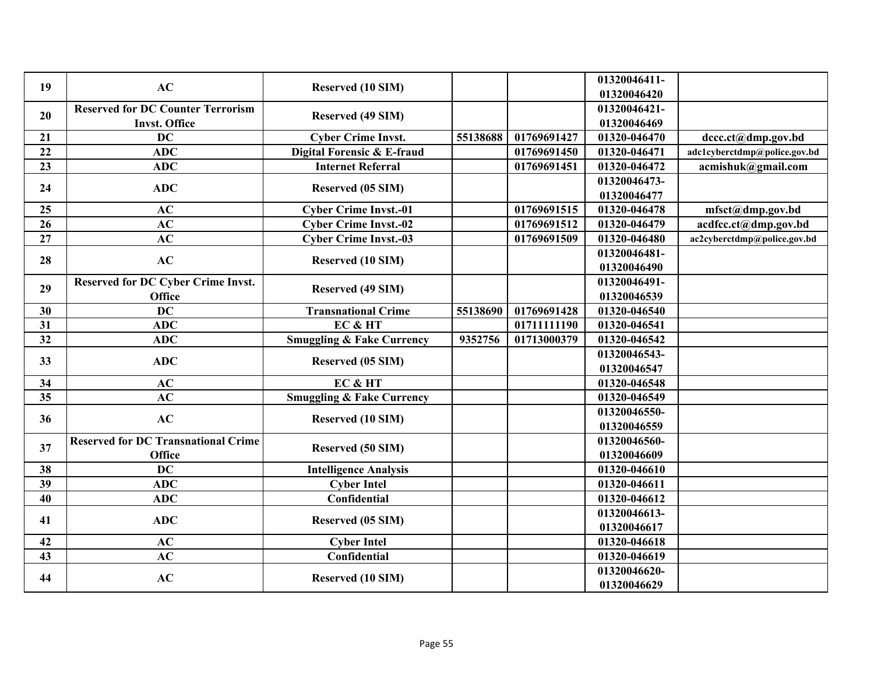| 19              | AC                                         | Reserved (10 SIM)                    |          |              | 01320046411-<br>01320046420  |                              |
|-----------------|--------------------------------------------|--------------------------------------|----------|--------------|------------------------------|------------------------------|
|                 | <b>Reserved for DC Counter Terrorism</b>   |                                      |          |              | 01320046421-                 |                              |
| 20              | <b>Invst. Office</b>                       | <b>Reserved (49 SIM)</b>             |          |              | 01320046469                  |                              |
| 21              | <b>DC</b>                                  | <b>Cyber Crime Invst.</b>            | 55138688 | 01769691427  | 01320-046470                 | dccc.ct@dmp.gov.bd           |
| $\overline{22}$ | ADC                                        | Digital Forensic & E-fraud           |          | 01769691450  | 01320-046471                 | adc1cyberctdmp@police.gov.bd |
| 23              | <b>ADC</b>                                 | <b>Internet Referral</b>             |          | 01769691451  |                              |                              |
|                 |                                            |                                      |          |              | 01320-046472<br>01320046473- | acmishuk@gmail.com           |
| 24              | <b>ADC</b>                                 | Reserved (05 SIM)                    |          |              |                              |                              |
|                 | AC                                         |                                      |          |              | 01320046477<br>01320-046478  |                              |
| 25              |                                            | <b>Cyber Crime Invst.-01</b>         |          | 01769691515  |                              | mfsct@dmp.gov.bd             |
| 26              | AC                                         | <b>Cyber Crime Invst.-02</b>         |          | 01769691512  | 01320-046479                 | acdfcc.ct@dmp.gov.bd         |
| 27              | AC                                         | <b>Cyber Crime Invst.-03</b>         |          | 01769691509  | 01320-046480                 | ac2cyberctdmp@police.gov.bd  |
| 28              | AC                                         | Reserved (10 SIM)                    |          |              | 01320046481-                 |                              |
|                 |                                            |                                      |          |              | 01320046490                  |                              |
| 29              | <b>Reserved for DC Cyber Crime Invst.</b>  | <b>Reserved (49 SIM)</b>             |          |              | 01320046491-                 |                              |
|                 | Office                                     |                                      |          |              | 01320046539                  |                              |
| 30              | <b>DC</b>                                  | <b>Transnational Crime</b>           | 55138690 | 01769691428  | 01320-046540                 |                              |
| 31              | <b>ADC</b>                                 | EC & HT                              |          | 017111111190 | 01320-046541                 |                              |
| 32              | <b>ADC</b>                                 | <b>Smuggling &amp; Fake Currency</b> | 9352756  | 01713000379  | 01320-046542                 |                              |
| 33              | <b>ADC</b>                                 | Reserved (05 SIM)                    |          |              | 01320046543-                 |                              |
|                 |                                            |                                      |          |              | 01320046547                  |                              |
| 34              | AC                                         | EC & HT                              |          |              | 01320-046548                 |                              |
| 35              | AC                                         | <b>Smuggling &amp; Fake Currency</b> |          |              | 01320-046549                 |                              |
| 36              | AC                                         | <b>Reserved (10 SIM)</b>             |          |              | 01320046550-                 |                              |
|                 |                                            |                                      |          |              | 01320046559                  |                              |
| 37              | <b>Reserved for DC Transnational Crime</b> |                                      |          |              | 01320046560-                 |                              |
|                 | <b>Office</b>                              | <b>Reserved (50 SIM)</b>             |          |              | 01320046609                  |                              |
| 38              | <b>DC</b>                                  | <b>Intelligence Analysis</b>         |          |              | 01320-046610                 |                              |
| 39              | <b>ADC</b>                                 | <b>Cyber Intel</b>                   |          |              | 01320-046611                 |                              |
| 40              | <b>ADC</b>                                 | Confidential                         |          |              | 01320-046612                 |                              |
|                 |                                            |                                      |          |              | 01320046613-                 |                              |
| 41              | <b>ADC</b>                                 | Reserved (05 SIM)                    |          |              | 01320046617                  |                              |
| 42              | AC                                         | <b>Cyber Intel</b>                   |          |              | 01320-046618                 |                              |
| 43              | AC                                         | Confidential                         |          |              | 01320-046619                 |                              |
|                 |                                            |                                      |          |              | 01320046620-                 |                              |
| 44              | AC                                         | Reserved (10 SIM)                    |          |              | 01320046629                  |                              |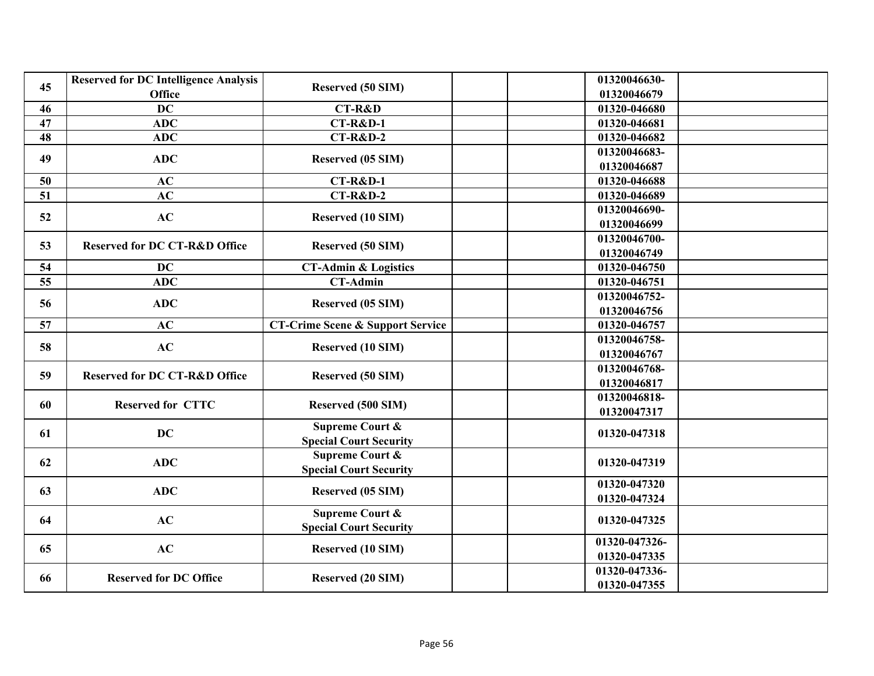| 45 | <b>Reserved for DC Intelligence Analysis</b><br><b>Office</b> | <b>Reserved (50 SIM)</b>                    | 01320046630-<br>01320046679 |
|----|---------------------------------------------------------------|---------------------------------------------|-----------------------------|
| 46 | <b>DC</b>                                                     | <b>CT-R&amp;D</b>                           | 01320-046680                |
| 47 | <b>ADC</b>                                                    | $CT-R&D-1$                                  | 01320-046681                |
| 48 | <b>ADC</b>                                                    | <b>CT-R&amp;D-2</b>                         | 01320-046682                |
|    |                                                               |                                             | 01320046683-                |
| 49 | <b>ADC</b>                                                    | Reserved (05 SIM)                           | 01320046687                 |
| 50 | AC                                                            | <b>CT-R&amp;D-1</b>                         | 01320-046688                |
| 51 | AC                                                            | $CT-R&D-2$                                  | 01320-046689                |
|    |                                                               |                                             | 01320046690-                |
| 52 | AC                                                            | <b>Reserved (10 SIM)</b>                    | 01320046699                 |
|    |                                                               |                                             | 01320046700-                |
| 53 | <b>Reserved for DC CT-R&amp;D Office</b>                      | <b>Reserved (50 SIM)</b>                    | 01320046749                 |
| 54 | <b>DC</b>                                                     | <b>CT-Admin &amp; Logistics</b>             | 01320-046750                |
| 55 | <b>ADC</b>                                                    | <b>CT-Admin</b>                             | 01320-046751                |
| 56 | <b>ADC</b>                                                    | <b>Reserved (05 SIM)</b>                    | 01320046752-                |
|    |                                                               |                                             | 01320046756                 |
| 57 | AC                                                            | <b>CT-Crime Scene &amp; Support Service</b> | 01320-046757                |
| 58 | AC                                                            | <b>Reserved (10 SIM)</b>                    | 01320046758-                |
|    |                                                               |                                             | 01320046767                 |
| 59 | <b>Reserved for DC CT-R&amp;D Office</b>                      | <b>Reserved (50 SIM)</b>                    | 01320046768-                |
|    |                                                               |                                             | 01320046817                 |
| 60 | <b>Reserved for CTTC</b>                                      | Reserved (500 SIM)                          | 01320046818-                |
|    |                                                               |                                             | 01320047317                 |
| 61 | <b>DC</b>                                                     | <b>Supreme Court &amp;</b>                  | 01320-047318                |
|    |                                                               | <b>Special Court Security</b>               |                             |
| 62 | <b>ADC</b>                                                    | <b>Supreme Court &amp;</b>                  | 01320-047319                |
|    |                                                               | <b>Special Court Security</b>               |                             |
| 63 | <b>ADC</b>                                                    | Reserved (05 SIM)                           | 01320-047320                |
|    |                                                               |                                             | 01320-047324                |
| 64 | AC                                                            | <b>Supreme Court &amp;</b>                  | 01320-047325                |
|    |                                                               | <b>Special Court Security</b>               |                             |
| 65 | AC                                                            | Reserved (10 SIM)                           | 01320-047326-               |
|    |                                                               |                                             | 01320-047335                |
| 66 | <b>Reserved for DC Office</b>                                 | <b>Reserved (20 SIM)</b>                    | 01320-047336-               |
|    |                                                               |                                             | 01320-047355                |